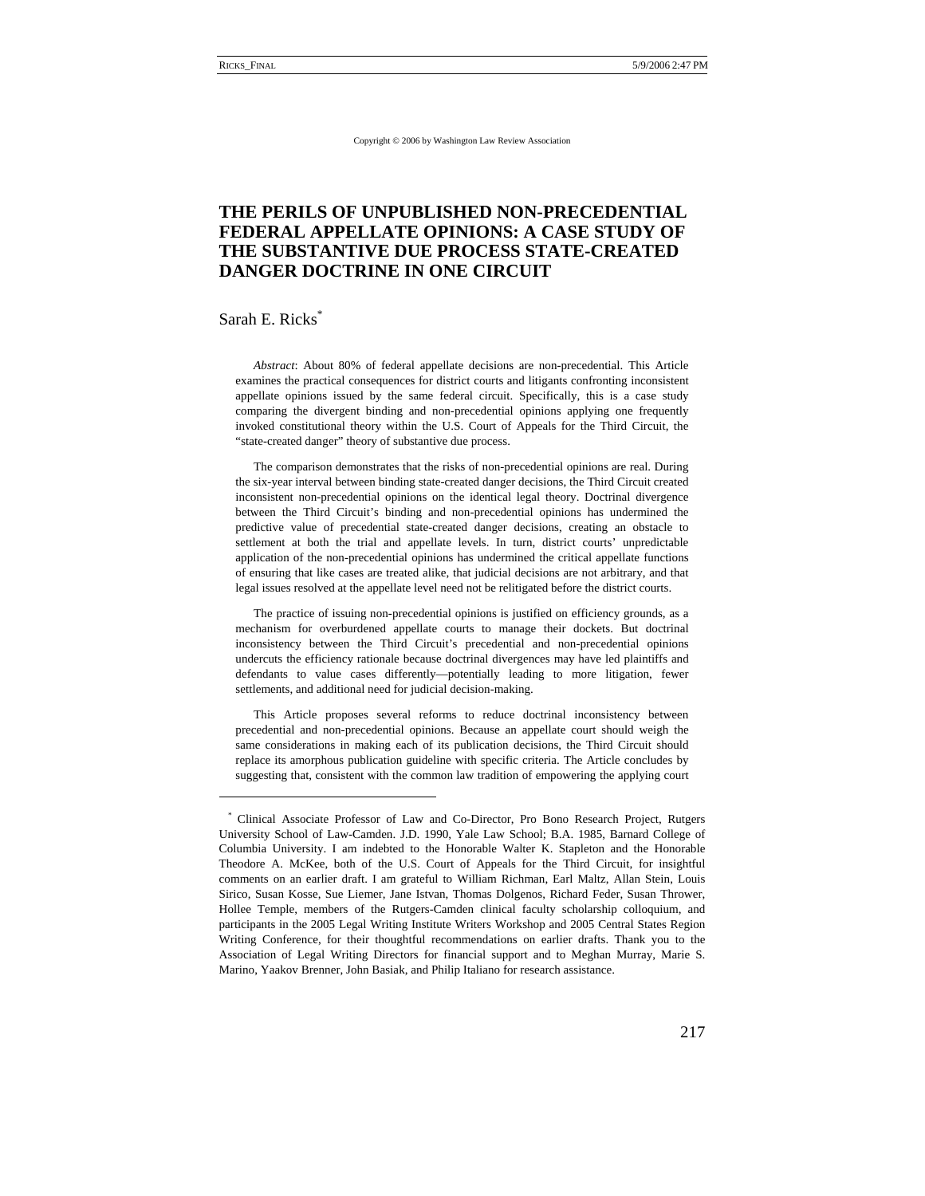Copyright © 2006 by Washington Law Review Association

# **THE PERILS OF UNPUBLISHED NON-PRECEDENTIAL FEDERAL APPELLATE OPINIONS: A CASE STUDY OF THE SUBSTANTIVE DUE PROCESS STATE-CREATED DANGER DOCTRINE IN ONE CIRCUIT**

### Sarah E. Ricks\*

*Abstract*: About 80% of federal appellate decisions are non-precedential. This Article examines the practical consequences for district courts and litigants confronting inconsistent appellate opinions issued by the same federal circuit. Specifically, this is a case study comparing the divergent binding and non-precedential opinions applying one frequently invoked constitutional theory within the U.S. Court of Appeals for the Third Circuit, the "state-created danger" theory of substantive due process.

The comparison demonstrates that the risks of non-precedential opinions are real. During the six-year interval between binding state-created danger decisions, the Third Circuit created inconsistent non-precedential opinions on the identical legal theory. Doctrinal divergence between the Third Circuit's binding and non-precedential opinions has undermined the predictive value of precedential state-created danger decisions, creating an obstacle to settlement at both the trial and appellate levels. In turn, district courts' unpredictable application of the non-precedential opinions has undermined the critical appellate functions of ensuring that like cases are treated alike, that judicial decisions are not arbitrary, and that legal issues resolved at the appellate level need not be relitigated before the district courts.

The practice of issuing non-precedential opinions is justified on efficiency grounds, as a mechanism for overburdened appellate courts to manage their dockets. But doctrinal inconsistency between the Third Circuit's precedential and non-precedential opinions undercuts the efficiency rationale because doctrinal divergences may have led plaintiffs and defendants to value cases differently—potentially leading to more litigation, fewer settlements, and additional need for judicial decision-making.

This Article proposes several reforms to reduce doctrinal inconsistency between precedential and non-precedential opinions. Because an appellate court should weigh the same considerations in making each of its publication decisions, the Third Circuit should replace its amorphous publication guideline with specific criteria. The Article concludes by suggesting that, consistent with the common law tradition of empowering the applying court

<sup>\*</sup> Clinical Associate Professor of Law and Co-Director, Pro Bono Research Project, Rutgers University School of Law-Camden. J.D. 1990, Yale Law School; B.A. 1985, Barnard College of Columbia University. I am indebted to the Honorable Walter K. Stapleton and the Honorable Theodore A. McKee, both of the U.S. Court of Appeals for the Third Circuit, for insightful comments on an earlier draft. I am grateful to William Richman, Earl Maltz, Allan Stein, Louis Sirico, Susan Kosse, Sue Liemer, Jane Istvan, Thomas Dolgenos, Richard Feder, Susan Thrower, Hollee Temple, members of the Rutgers-Camden clinical faculty scholarship colloquium, and participants in the 2005 Legal Writing Institute Writers Workshop and 2005 Central States Region Writing Conference, for their thoughtful recommendations on earlier drafts. Thank you to the Association of Legal Writing Directors for financial support and to Meghan Murray, Marie S. Marino, Yaakov Brenner, John Basiak, and Philip Italiano for research assistance.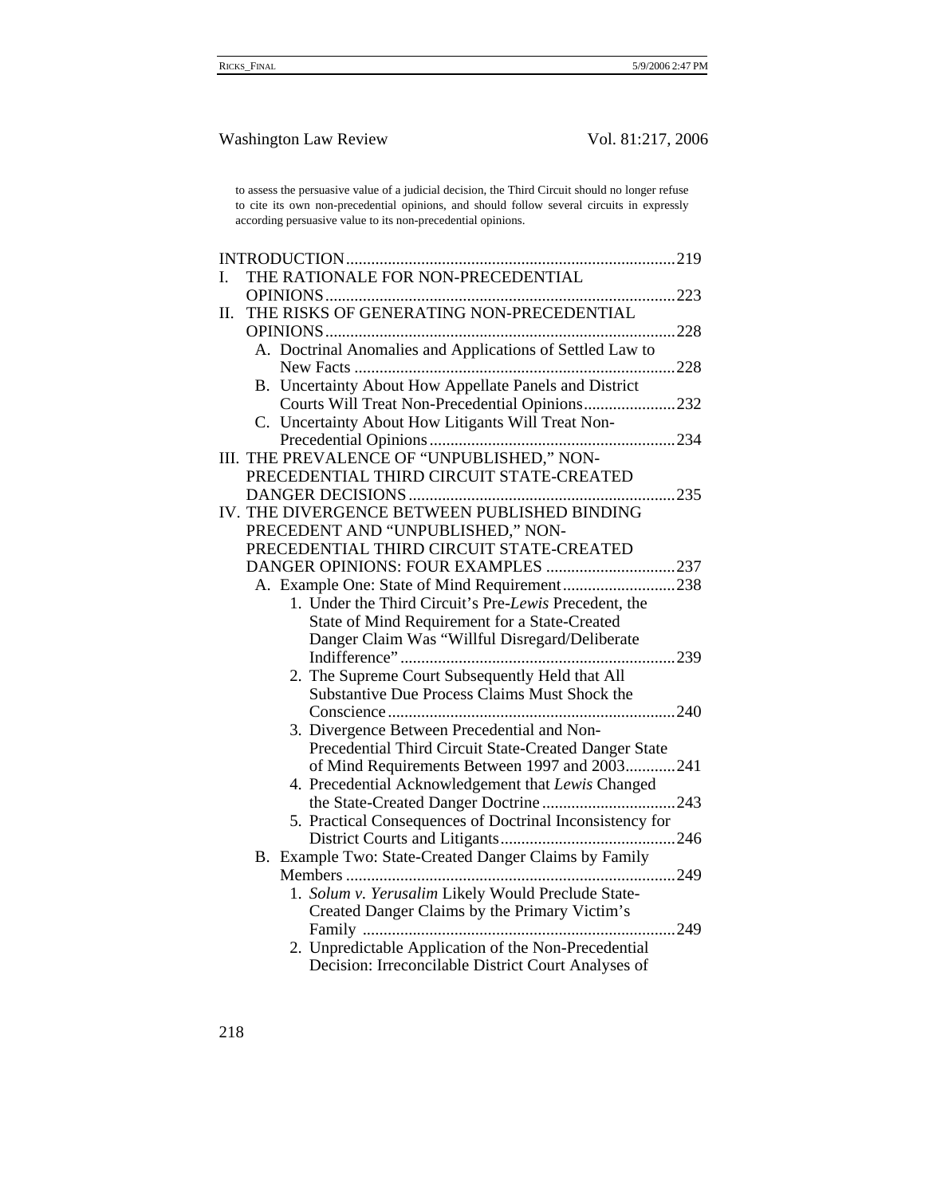to assess the persuasive value of a judicial decision, the Third Circuit should no longer refuse to cite its own non-precedential opinions, and should follow several circuits in expressly according persuasive value to its non-precedential opinions.

| I. | THE RATIONALE FOR NON-PRECEDENTIAL                        |  |
|----|-----------------------------------------------------------|--|
|    |                                                           |  |
| Π. | THE RISKS OF GENERATING NON-PRECEDENTIAL                  |  |
|    |                                                           |  |
|    | A. Doctrinal Anomalies and Applications of Settled Law to |  |
|    |                                                           |  |
|    | B. Uncertainty About How Appellate Panels and District    |  |
|    | Courts Will Treat Non-Precedential Opinions232            |  |
|    | C. Uncertainty About How Litigants Will Treat Non-        |  |
|    |                                                           |  |
|    | III. THE PREVALENCE OF "UNPUBLISHED," NON-                |  |
|    | PRECEDENTIAL THIRD CIRCUIT STATE-CREATED                  |  |
|    |                                                           |  |
|    | IV. THE DIVERGENCE BETWEEN PUBLISHED BINDING              |  |
|    | PRECEDENT AND "UNPUBLISHED," NON-                         |  |
|    | PRECEDENTIAL THIRD CIRCUIT STATE-CREATED                  |  |
|    | DANGER OPINIONS: FOUR EXAMPLES 237                        |  |
|    | A. Example One: State of Mind Requirement238              |  |
|    | 1. Under the Third Circuit's Pre-Lewis Precedent, the     |  |
|    | State of Mind Requirement for a State-Created             |  |
|    | Danger Claim Was "Willful Disregard/Deliberate            |  |
|    |                                                           |  |
|    | 2. The Supreme Court Subsequently Held that All           |  |
|    | Substantive Due Process Claims Must Shock the             |  |
|    |                                                           |  |
|    | 3. Divergence Between Precedential and Non-               |  |
|    | Precedential Third Circuit State-Created Danger State     |  |
|    | of Mind Requirements Between 1997 and 2003241             |  |
|    | 4. Precedential Acknowledgement that Lewis Changed        |  |
|    |                                                           |  |
|    | 5. Practical Consequences of Doctrinal Inconsistency for  |  |
|    |                                                           |  |
|    | B. Example Two: State-Created Danger Claims by Family     |  |
|    |                                                           |  |
|    | 1. Solum v. Yerusalim Likely Would Preclude State-        |  |
|    | Created Danger Claims by the Primary Victim's             |  |
|    |                                                           |  |
|    | 2. Unpredictable Application of the Non-Precedential      |  |
|    | Decision: Irreconcilable District Court Analyses of       |  |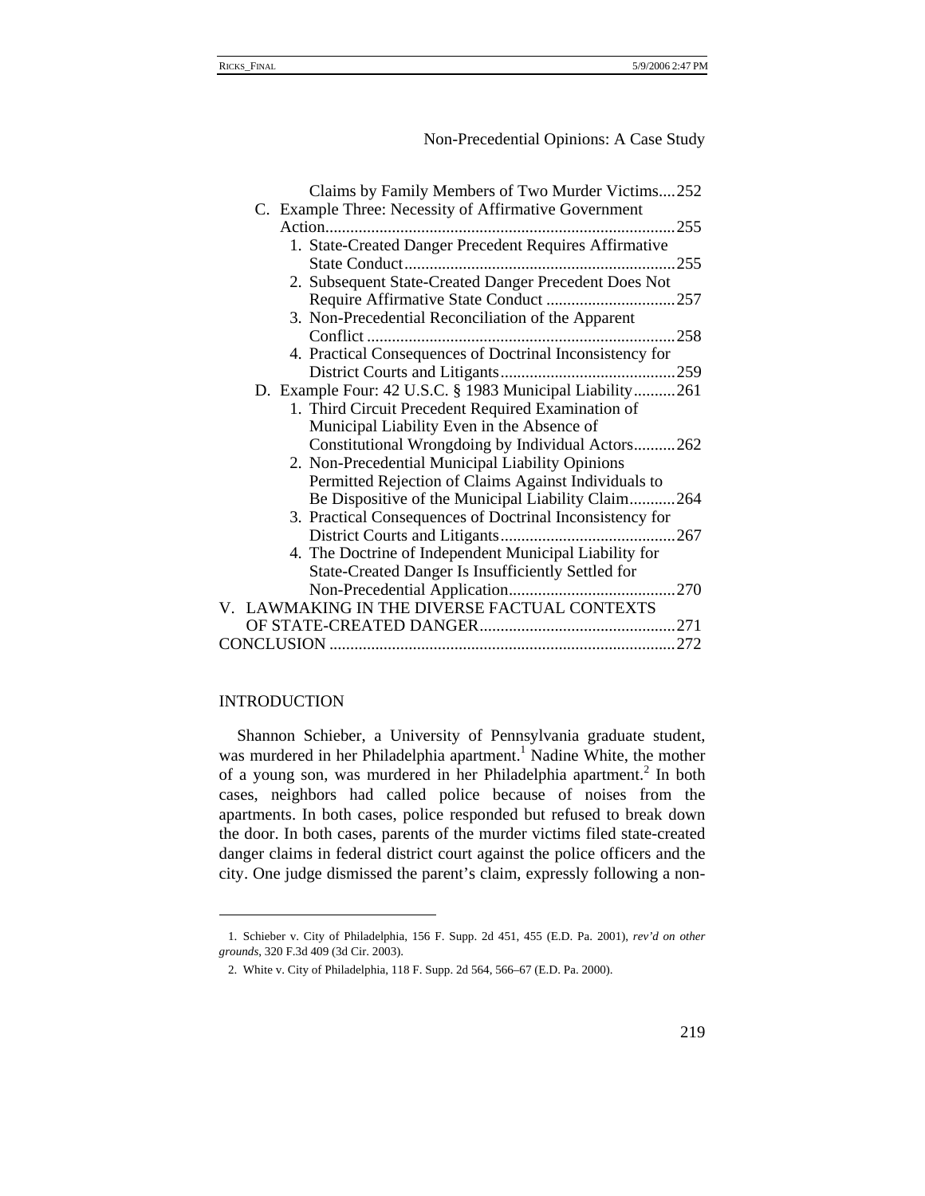## INTRODUCTION

Shannon Schieber, a University of Pennsylvania graduate student, was murdered in her Philadelphia apartment.<sup>1</sup> Nadine White, the mother of a young son, was murdered in her Philadelphia apartment.<sup>2</sup> In both cases, neighbors had called police because of noises from the apartments. In both cases, police responded but refused to break down the door. In both cases, parents of the murder victims filed state-created danger claims in federal district court against the police officers and the city. One judge dismissed the parent's claim, expressly following a non-

<sup>1.</sup> Schieber v. City of Philadelphia, 156 F. Supp. 2d 451, 455 (E.D. Pa. 2001), *rev'd on other grounds*, 320 F.3d 409 (3d Cir. 2003).

<sup>2.</sup> White v. City of Philadelphia, 118 F. Supp. 2d 564, 566–67 (E.D. Pa. 2000).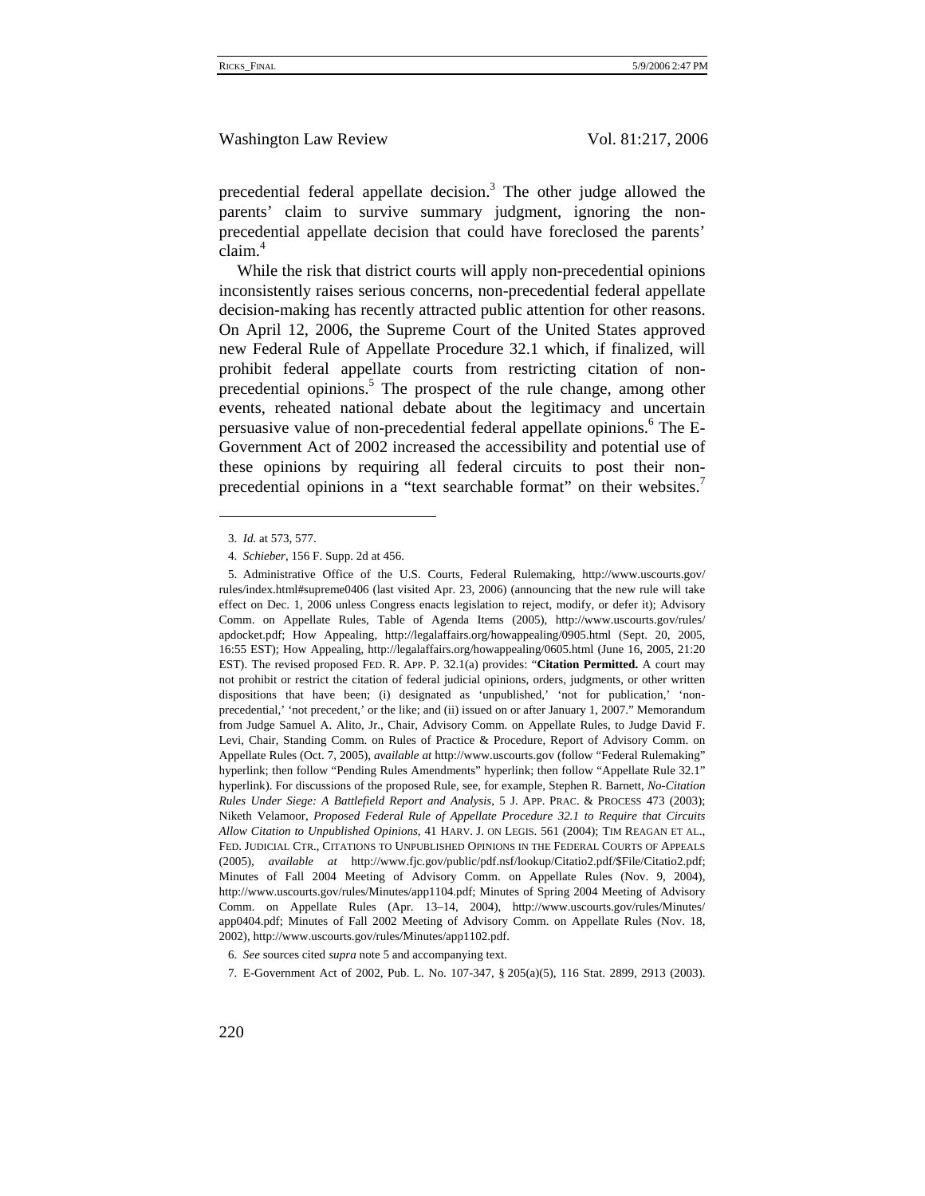precedential federal appellate decision.<sup>3</sup> The other judge allowed the parents' claim to survive summary judgment, ignoring the nonprecedential appellate decision that could have foreclosed the parents' claim.<sup>4</sup>

While the risk that district courts will apply non-precedential opinions inconsistently raises serious concerns, non-precedential federal appellate decision-making has recently attracted public attention for other reasons. On April 12, 2006, the Supreme Court of the United States approved new Federal Rule of Appellate Procedure 32.1 which, if finalized, will prohibit federal appellate courts from restricting citation of nonprecedential opinions.<sup>5</sup> The prospect of the rule change, among other events, reheated national debate about the legitimacy and uncertain persuasive value of non-precedential federal appellate opinions.<sup>6</sup> The E-Government Act of 2002 increased the accessibility and potential use of these opinions by requiring all federal circuits to post their nonprecedential opinions in a "text searchable format" on their websites.<sup>7</sup>

<sup>3.</sup> *Id.* at 573, 577.

<sup>4.</sup> *Schieber*, 156 F. Supp. 2d at 456.

<sup>5.</sup> Administrative Office of the U.S. Courts, Federal Rulemaking, http://www.uscourts.gov/ rules/index.html#supreme0406 (last visited Apr. 23, 2006) (announcing that the new rule will take effect on Dec. 1, 2006 unless Congress enacts legislation to reject, modify, or defer it); Advisory Comm. on Appellate Rules, Table of Agenda Items (2005), http://www.uscourts.gov/rules/ apdocket.pdf; How Appealing, http://legalaffairs.org/howappealing/0905.html (Sept. 20, 2005, 16:55 EST); How Appealing, http://legalaffairs.org/howappealing/0605.html (June 16, 2005, 21:20 EST). The revised proposed FED. R. APP. P. 32.1(a) provides: "**Citation Permitted.** A court may not prohibit or restrict the citation of federal judicial opinions, orders, judgments, or other written dispositions that have been; (i) designated as 'unpublished,' 'not for publication,' 'nonprecedential,' 'not precedent,' or the like; and (ii) issued on or after January 1, 2007." Memorandum from Judge Samuel A. Alito, Jr., Chair, Advisory Comm. on Appellate Rules, to Judge David F. Levi, Chair, Standing Comm. on Rules of Practice & Procedure, Report of Advisory Comm. on Appellate Rules (Oct. 7, 2005), *available at* http://www.uscourts.gov (follow "Federal Rulemaking" hyperlink; then follow "Pending Rules Amendments" hyperlink; then follow "Appellate Rule 32.1" hyperlink). For discussions of the proposed Rule, see, for example, Stephen R. Barnett, *No-Citation Rules Under Siege: A Battlefield Report and Analysis*, 5 J. APP. PRAC. & PROCESS 473 (2003); Niketh Velamoor, *Proposed Federal Rule of Appellate Procedure 32.1 to Require that Circuits Allow Citation to Unpublished Opinions*, 41 HARV. J. ON LEGIS. 561 (2004); TIM REAGAN ET AL., FED. JUDICIAL CTR., CITATIONS TO UNPUBLISHED OPINIONS IN THE FEDERAL COURTS OF APPEALS (2005), *available at* http://www.fjc.gov/public/pdf.nsf/lookup/Citatio2.pdf/\$File/Citatio2.pdf; Minutes of Fall 2004 Meeting of Advisory Comm. on Appellate Rules (Nov. 9, 2004), http://www.uscourts.gov/rules/Minutes/app1104.pdf; Minutes of Spring 2004 Meeting of Advisory Comm. on Appellate Rules (Apr. 13–14, 2004), http://www.uscourts.gov/rules/Minutes/ app0404.pdf; Minutes of Fall 2002 Meeting of Advisory Comm. on Appellate Rules (Nov. 18, 2002), http://www.uscourts.gov/rules/Minutes/app1102.pdf.

<sup>6.</sup> *See* sources cited *supra* note 5 and accompanying text.

<sup>7.</sup> E-Government Act of 2002, Pub. L. No. 107-347, § 205(a)(5), 116 Stat. 2899, 2913 (2003).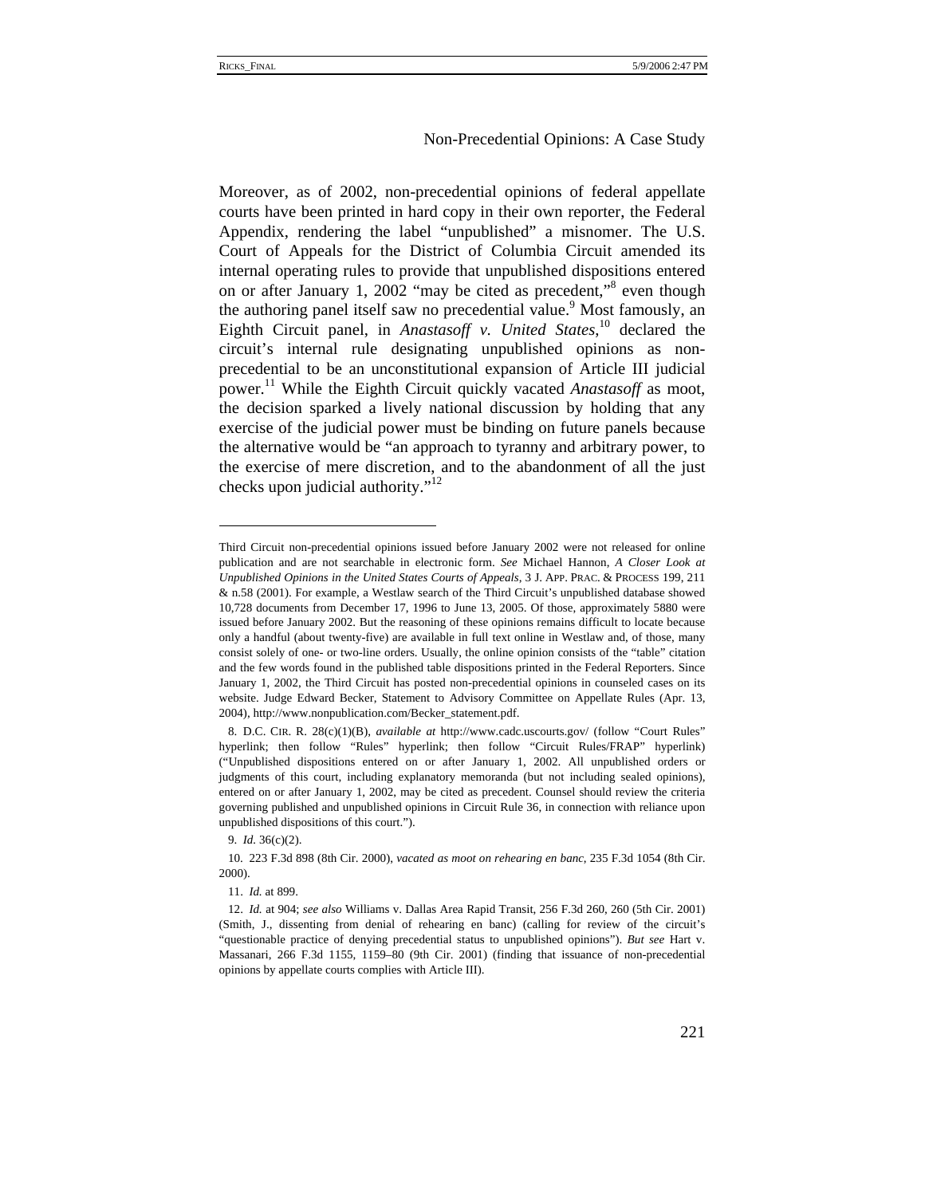Moreover, as of 2002, non-precedential opinions of federal appellate courts have been printed in hard copy in their own reporter, the Federal Appendix, rendering the label "unpublished" a misnomer. The U.S. Court of Appeals for the District of Columbia Circuit amended its internal operating rules to provide that unpublished dispositions entered on or after January 1, 2002 "may be cited as precedent,"<sup>8</sup> even though the authoring panel itself saw no precedential value.<sup>9</sup> Most famously, an Eighth Circuit panel, in *Anastasoff v. United States*, 10 declared the circuit's internal rule designating unpublished opinions as nonprecedential to be an unconstitutional expansion of Article III judicial power.11 While the Eighth Circuit quickly vacated *Anastasoff* as moot, the decision sparked a lively national discussion by holding that any exercise of the judicial power must be binding on future panels because the alternative would be "an approach to tyranny and arbitrary power, to the exercise of mere discretion, and to the abandonment of all the just checks upon judicial authority."<sup>12</sup>

9. *Id.* 36(c)(2).

Third Circuit non-precedential opinions issued before January 2002 were not released for online publication and are not searchable in electronic form. *See* Michael Hannon, *A Closer Look at Unpublished Opinions in the United States Courts of Appeals*, 3 J. APP. PRAC. & PROCESS 199, 211 & n.58 (2001). For example, a Westlaw search of the Third Circuit's unpublished database showed 10,728 documents from December 17, 1996 to June 13, 2005. Of those, approximately 5880 were issued before January 2002. But the reasoning of these opinions remains difficult to locate because only a handful (about twenty-five) are available in full text online in Westlaw and, of those, many consist solely of one- or two-line orders. Usually, the online opinion consists of the "table" citation and the few words found in the published table dispositions printed in the Federal Reporters. Since January 1, 2002, the Third Circuit has posted non-precedential opinions in counseled cases on its website. Judge Edward Becker, Statement to Advisory Committee on Appellate Rules (Apr. 13, 2004), http://www.nonpublication.com/Becker\_statement.pdf.

<sup>8.</sup> D.C. CIR. R. 28(c)(1)(B), *available at* http://www.cadc.uscourts.gov/ (follow "Court Rules" hyperlink; then follow "Rules" hyperlink; then follow "Circuit Rules/FRAP" hyperlink) ("Unpublished dispositions entered on or after January 1, 2002. All unpublished orders or judgments of this court, including explanatory memoranda (but not including sealed opinions), entered on or after January 1, 2002, may be cited as precedent. Counsel should review the criteria governing published and unpublished opinions in Circuit Rule 36, in connection with reliance upon unpublished dispositions of this court.").

<sup>10. 223</sup> F.3d 898 (8th Cir. 2000), *vacated as moot on rehearing en banc*, 235 F.3d 1054 (8th Cir. 2000).

<sup>11.</sup> *Id.* at 899.

<sup>12.</sup> *Id.* at 904; *see also* Williams v. Dallas Area Rapid Transit, 256 F.3d 260, 260 (5th Cir. 2001) (Smith, J., dissenting from denial of rehearing en banc) (calling for review of the circuit's "questionable practice of denying precedential status to unpublished opinions"). *But see* Hart v. Massanari, 266 F.3d 1155, 1159–80 (9th Cir. 2001) (finding that issuance of non-precedential opinions by appellate courts complies with Article III).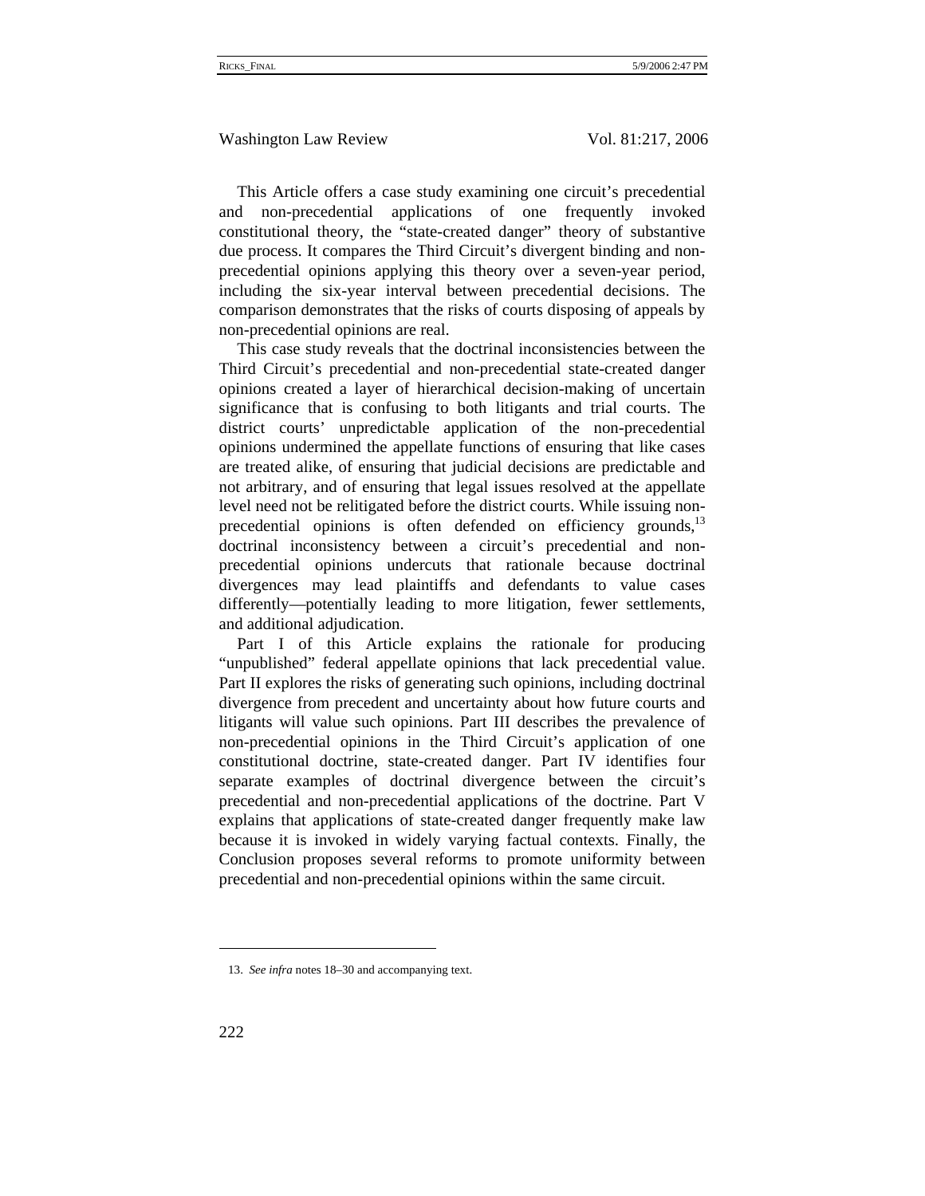This Article offers a case study examining one circuit's precedential and non-precedential applications of one frequently invoked constitutional theory, the "state-created danger" theory of substantive due process. It compares the Third Circuit's divergent binding and nonprecedential opinions applying this theory over a seven-year period, including the six-year interval between precedential decisions. The comparison demonstrates that the risks of courts disposing of appeals by non-precedential opinions are real.

This case study reveals that the doctrinal inconsistencies between the Third Circuit's precedential and non-precedential state-created danger opinions created a layer of hierarchical decision-making of uncertain significance that is confusing to both litigants and trial courts. The district courts' unpredictable application of the non-precedential opinions undermined the appellate functions of ensuring that like cases are treated alike, of ensuring that judicial decisions are predictable and not arbitrary, and of ensuring that legal issues resolved at the appellate level need not be relitigated before the district courts. While issuing nonprecedential opinions is often defended on efficiency grounds, $^{13}$ doctrinal inconsistency between a circuit's precedential and nonprecedential opinions undercuts that rationale because doctrinal divergences may lead plaintiffs and defendants to value cases differently—potentially leading to more litigation, fewer settlements, and additional adjudication.

Part I of this Article explains the rationale for producing "unpublished" federal appellate opinions that lack precedential value. Part II explores the risks of generating such opinions, including doctrinal divergence from precedent and uncertainty about how future courts and litigants will value such opinions. Part III describes the prevalence of non-precedential opinions in the Third Circuit's application of one constitutional doctrine, state-created danger. Part IV identifies four separate examples of doctrinal divergence between the circuit's precedential and non-precedential applications of the doctrine. Part V explains that applications of state-created danger frequently make law because it is invoked in widely varying factual contexts. Finally, the Conclusion proposes several reforms to promote uniformity between precedential and non-precedential opinions within the same circuit.

<sup>13.</sup> *See infra* notes 18–30 and accompanying text.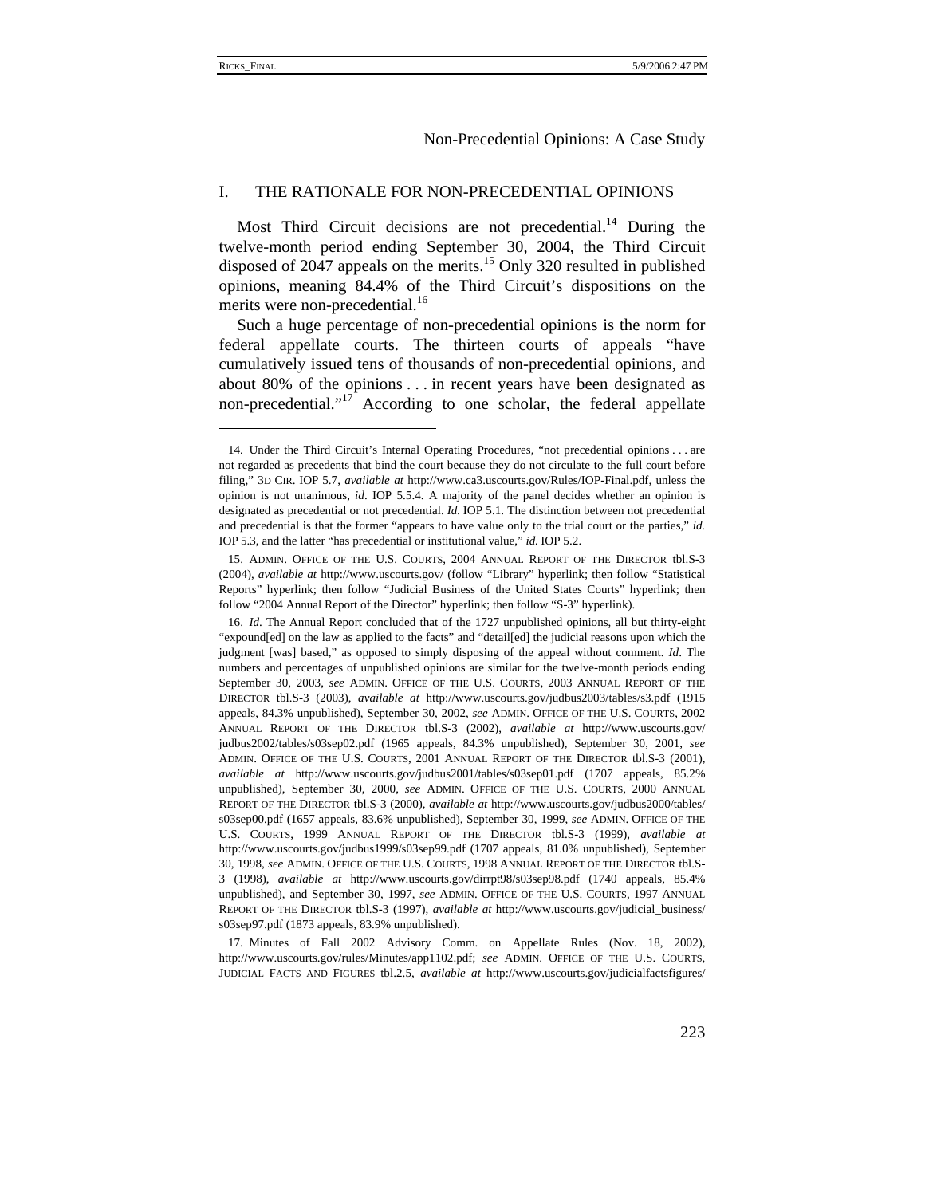#### Non-Precedential Opinions: A Case Study

### I. THE RATIONALE FOR NON-PRECEDENTIAL OPINIONS

Most Third Circuit decisions are not precedential.<sup>14</sup> During the twelve-month period ending September 30, 2004, the Third Circuit disposed of 2047 appeals on the merits.<sup>15</sup> Only 320 resulted in published opinions, meaning 84.4% of the Third Circuit's dispositions on the merits were non-precedential.<sup>16</sup>

Such a huge percentage of non-precedential opinions is the norm for federal appellate courts. The thirteen courts of appeals "have cumulatively issued tens of thousands of non-precedential opinions, and about 80% of the opinions . . . in recent years have been designated as non-precedential."<sup>17</sup> According to one scholar, the federal appellate

<sup>14.</sup> Under the Third Circuit's Internal Operating Procedures, "not precedential opinions . . . are not regarded as precedents that bind the court because they do not circulate to the full court before filing," 3D CIR. IOP 5.7, *available at* http://www.ca3.uscourts.gov/Rules/IOP-Final.pdf, unless the opinion is not unanimous, *id*. IOP 5.5.4. A majority of the panel decides whether an opinion is designated as precedential or not precedential. *Id.* IOP 5.1. The distinction between not precedential and precedential is that the former "appears to have value only to the trial court or the parties," *id.* IOP 5.3, and the latter "has precedential or institutional value," *id.* IOP 5.2.

<sup>15.</sup> ADMIN. OFFICE OF THE U.S. COURTS, 2004 ANNUAL REPORT OF THE DIRECTOR tbl.S-3 (2004), *available at* http://www.uscourts.gov/ (follow "Library" hyperlink; then follow "Statistical Reports" hyperlink; then follow "Judicial Business of the United States Courts" hyperlink; then follow "2004 Annual Report of the Director" hyperlink; then follow "S-3" hyperlink).

<sup>16.</sup> *Id*. The Annual Report concluded that of the 1727 unpublished opinions, all but thirty-eight "expound[ed] on the law as applied to the facts" and "detail[ed] the judicial reasons upon which the judgment [was] based," as opposed to simply disposing of the appeal without comment. *Id*. The numbers and percentages of unpublished opinions are similar for the twelve-month periods ending September 30, 2003, *see* ADMIN. OFFICE OF THE U.S. COURTS, 2003 ANNUAL REPORT OF THE DIRECTOR tbl.S-3 (2003), *available at* http://www.uscourts.gov/judbus2003/tables/s3.pdf (1915 appeals, 84.3% unpublished), September 30, 2002, *see* ADMIN. OFFICE OF THE U.S. COURTS, 2002 ANNUAL REPORT OF THE DIRECTOR tbl.S-3 (2002), *available at* http://www.uscourts.gov/ judbus2002/tables/s03sep02.pdf (1965 appeals, 84.3% unpublished), September 30, 2001, *see* ADMIN. OFFICE OF THE U.S. COURTS, 2001 ANNUAL REPORT OF THE DIRECTOR tbl.S-3 (2001), *available at* http://www.uscourts.gov/judbus2001/tables/s03sep01.pdf (1707 appeals, 85.2% unpublished), September 30, 2000, *see* ADMIN. OFFICE OF THE U.S. COURTS, 2000 ANNUAL REPORT OF THE DIRECTOR tbl.S-3 (2000), *available at* http://www.uscourts.gov/judbus2000/tables/ s03sep00.pdf (1657 appeals, 83.6% unpublished), September 30, 1999, *see* ADMIN. OFFICE OF THE U.S. COURTS, 1999 ANNUAL REPORT OF THE DIRECTOR tbl.S-3 (1999), *available at* http://www.uscourts.gov/judbus1999/s03sep99.pdf (1707 appeals, 81.0% unpublished), September 30, 1998, *see* ADMIN. OFFICE OF THE U.S. COURTS, 1998 ANNUAL REPORT OF THE DIRECTOR tbl.S-3 (1998), *available at* http://www.uscourts.gov/dirrpt98/s03sep98.pdf (1740 appeals, 85.4% unpublished), and September 30, 1997, *see* ADMIN. OFFICE OF THE U.S. COURTS, 1997 ANNUAL REPORT OF THE DIRECTOR tbl.S-3 (1997), *available at* http://www.uscourts.gov/judicial\_business/ s03sep97.pdf (1873 appeals, 83.9% unpublished).

<sup>17.</sup> Minutes of Fall 2002 Advisory Comm. on Appellate Rules (Nov. 18, 2002), http://www.uscourts.gov/rules/Minutes/app1102.pdf; *see* ADMIN. OFFICE OF THE U.S. COURTS, JUDICIAL FACTS AND FIGURES tbl.2.5, *available at* http://www.uscourts.gov/judicialfactsfigures/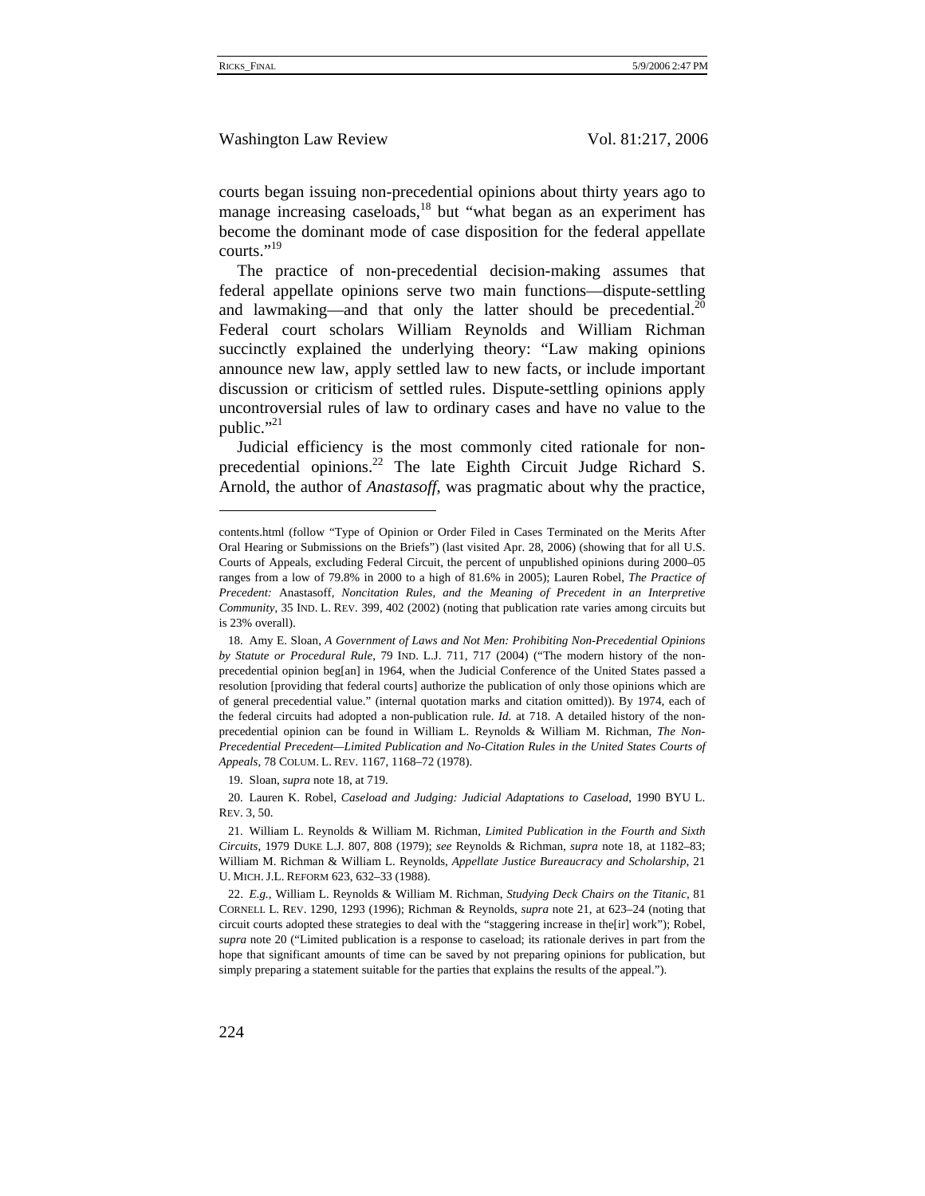Washington Law Review Vol. 81:217, 2006

courts began issuing non-precedential opinions about thirty years ago to manage increasing caseloads, $18$  but "what began as an experiment has become the dominant mode of case disposition for the federal appellate courts."19

The practice of non-precedential decision-making assumes that federal appellate opinions serve two main functions—dispute-settling and lawmaking—and that only the latter should be precedential.<sup>20</sup> Federal court scholars William Reynolds and William Richman succinctly explained the underlying theory: "Law making opinions announce new law, apply settled law to new facts, or include important discussion or criticism of settled rules. Dispute-settling opinions apply uncontroversial rules of law to ordinary cases and have no value to the public." $^{21}$ 

Judicial efficiency is the most commonly cited rationale for nonprecedential opinions. $^{22}$  The late Eighth Circuit Judge Richard S. Arnold, the author of *Anastasoff*, was pragmatic about why the practice,

19. Sloan, *supra* note 18, at 719.

20. Lauren K. Robel, *Caseload and Judging: Judicial Adaptations to Caseload*, 1990 BYU L. REV. 3, 50.

contents.html (follow "Type of Opinion or Order Filed in Cases Terminated on the Merits After Oral Hearing or Submissions on the Briefs") (last visited Apr. 28, 2006) (showing that for all U.S. Courts of Appeals, excluding Federal Circuit, the percent of unpublished opinions during 2000–05 ranges from a low of 79.8% in 2000 to a high of 81.6% in 2005); Lauren Robel, *The Practice of Precedent:* Anastasoff*, Noncitation Rules, and the Meaning of Precedent in an Interpretive Community*, 35 IND. L. REV. 399, 402 (2002) (noting that publication rate varies among circuits but is 23% overall).

<sup>18.</sup> Amy E. Sloan, *A Government of Laws and Not Men: Prohibiting Non-Precedential Opinions by Statute or Procedural Rule*, 79 IND. L.J. 711, 717 (2004) ("The modern history of the nonprecedential opinion beg[an] in 1964, when the Judicial Conference of the United States passed a resolution [providing that federal courts] authorize the publication of only those opinions which are of general precedential value." (internal quotation marks and citation omitted)). By 1974, each of the federal circuits had adopted a non-publication rule. *Id.* at 718. A detailed history of the nonprecedential opinion can be found in William L. Reynolds & William M. Richman, *The Non-Precedential Precedent—Limited Publication and No-Citation Rules in the United States Courts of Appeals*, 78 COLUM. L. REV. 1167, 1168–72 (1978).

<sup>21.</sup> William L. Reynolds & William M. Richman, *Limited Publication in the Fourth and Sixth Circuits*, 1979 DUKE L.J. 807, 808 (1979); *see* Reynolds & Richman, *supra* note 18, at 1182–83; William M. Richman & William L. Reynolds, *Appellate Justice Bureaucracy and Scholarship*, 21 U. MICH. J.L. REFORM 623, 632–33 (1988).

<sup>22.</sup> *E.g.*, William L. Reynolds & William M. Richman, *Studying Deck Chairs on the Titanic*, 81 CORNELL L. REV. 1290, 1293 (1996); Richman & Reynolds, *supra* note 21, at 623–24 (noting that circuit courts adopted these strategies to deal with the "staggering increase in the[ir] work"); Robel, *supra* note 20 ("Limited publication is a response to caseload; its rationale derives in part from the hope that significant amounts of time can be saved by not preparing opinions for publication, but simply preparing a statement suitable for the parties that explains the results of the appeal.").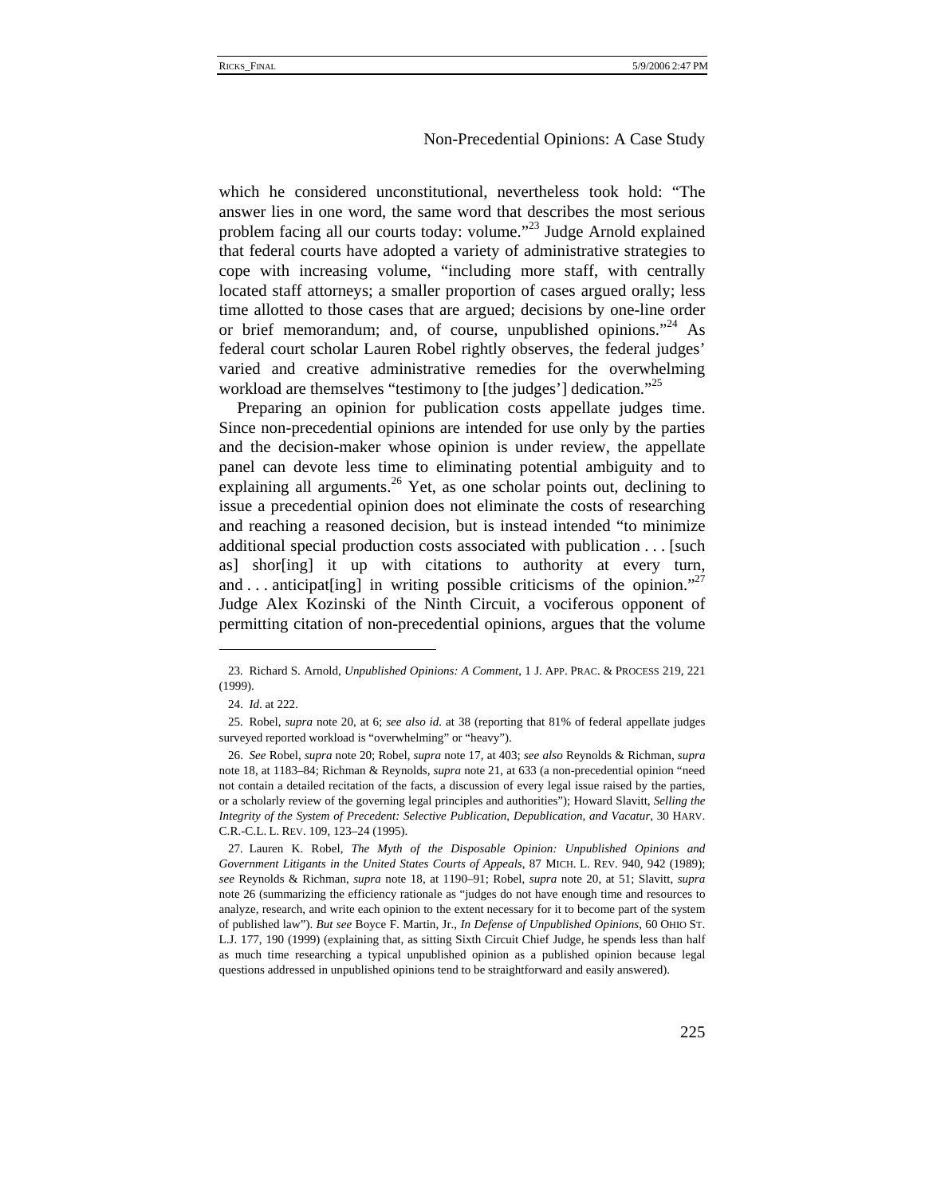which he considered unconstitutional, nevertheless took hold: "The answer lies in one word, the same word that describes the most serious problem facing all our courts today: volume."<sup>23</sup> Judge Arnold explained that federal courts have adopted a variety of administrative strategies to cope with increasing volume, "including more staff, with centrally located staff attorneys; a smaller proportion of cases argued orally; less time allotted to those cases that are argued; decisions by one-line order or brief memorandum; and, of course, unpublished opinions."<sup>24</sup> As federal court scholar Lauren Robel rightly observes, the federal judges' varied and creative administrative remedies for the overwhelming workload are themselves "testimony to [the judges'] dedication."<sup>25</sup>

Preparing an opinion for publication costs appellate judges time. Since non-precedential opinions are intended for use only by the parties and the decision-maker whose opinion is under review, the appellate panel can devote less time to eliminating potential ambiguity and to explaining all arguments.<sup>26</sup> Yet, as one scholar points out, declining to issue a precedential opinion does not eliminate the costs of researching and reaching a reasoned decision, but is instead intended "to minimize additional special production costs associated with publication . . . [such as] shor[ing] it up with citations to authority at every turn, and ... anticipat[ing] in writing possible criticisms of the opinion." Judge Alex Kozinski of the Ninth Circuit, a vociferous opponent of permitting citation of non-precedential opinions, argues that the volume

<sup>23.</sup> Richard S. Arnold, *Unpublished Opinions: A Comment*, 1 J. APP. PRAC. & PROCESS 219, 221 (1999).

<sup>24.</sup> *Id*. at 222.

<sup>25.</sup> Robel, *supra* note 20, at 6; *see also id.* at 38 (reporting that 81% of federal appellate judges surveyed reported workload is "overwhelming" or "heavy").

<sup>26.</sup> *See* Robel, *supra* note 20; Robel, *supra* note 17, at 403; *see also* Reynolds & Richman, *supra*  note 18, at 1183–84; Richman & Reynolds, *supra* note 21, at 633 (a non-precedential opinion "need not contain a detailed recitation of the facts, a discussion of every legal issue raised by the parties, or a scholarly review of the governing legal principles and authorities"); Howard Slavitt, *Selling the Integrity of the System of Precedent: Selective Publication, Depublication, and Vacatur*, 30 HARV. C.R.-C.L. L. REV. 109, 123–24 (1995).

<sup>27.</sup> Lauren K. Robel, *The Myth of the Disposable Opinion: Unpublished Opinions and Government Litigants in the United States Courts of Appeals*, 87 MICH. L. REV. 940, 942 (1989); *see* Reynolds & Richman, *supra* note 18, at 1190–91; Robel, *supra* note 20, at 51; Slavitt, *supra* note 26 (summarizing the efficiency rationale as "judges do not have enough time and resources to analyze, research, and write each opinion to the extent necessary for it to become part of the system of published law"). *But see* Boyce F. Martin, Jr., *In Defense of Unpublished Opinions*, 60 OHIO ST. L.J. 177, 190 (1999) (explaining that, as sitting Sixth Circuit Chief Judge, he spends less than half as much time researching a typical unpublished opinion as a published opinion because legal questions addressed in unpublished opinions tend to be straightforward and easily answered).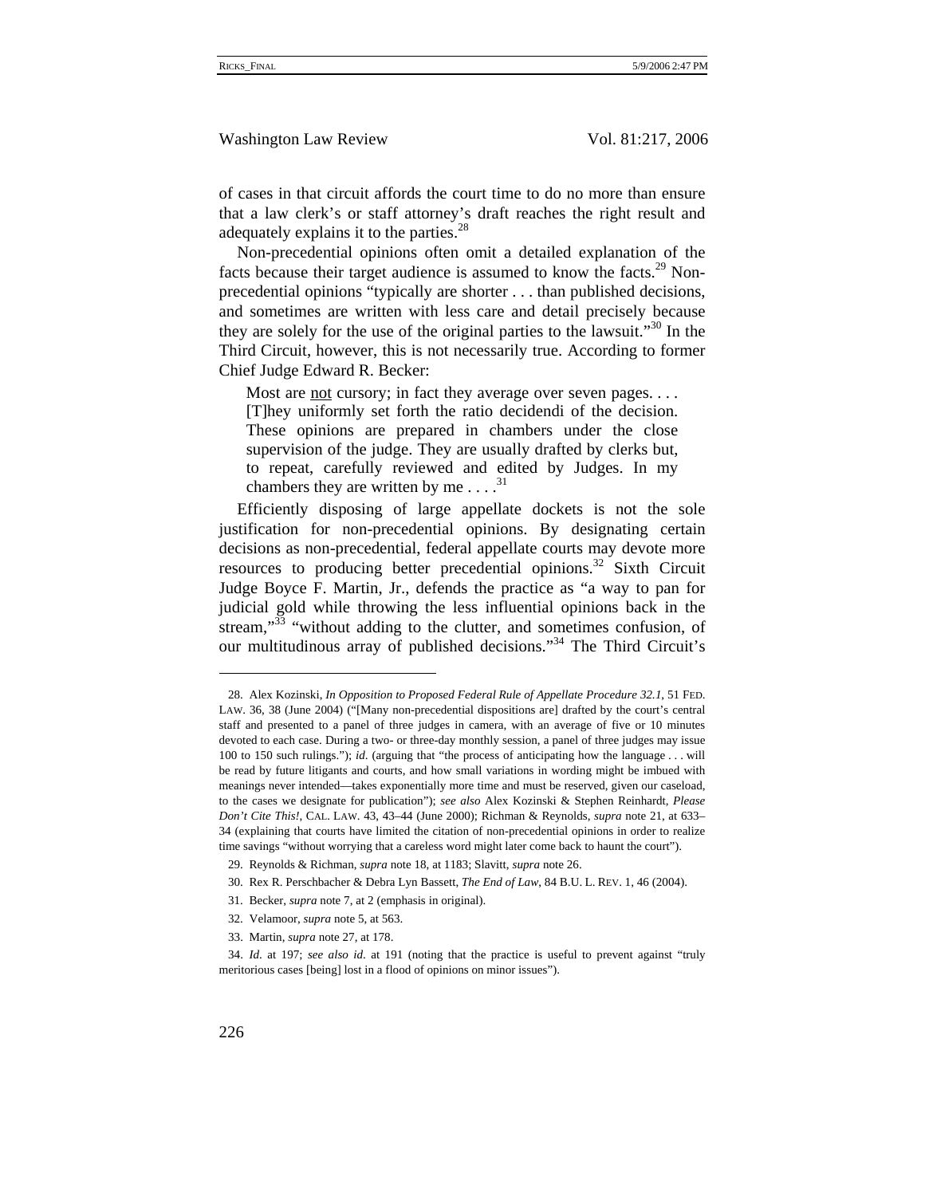of cases in that circuit affords the court time to do no more than ensure that a law clerk's or staff attorney's draft reaches the right result and adequately explains it to the parties.<sup>28</sup>

Non-precedential opinions often omit a detailed explanation of the facts because their target audience is assumed to know the facts. $29$  Nonprecedential opinions "typically are shorter . . . than published decisions, and sometimes are written with less care and detail precisely because they are solely for the use of the original parties to the lawsuit."<sup>30</sup> In the Third Circuit, however, this is not necessarily true. According to former Chief Judge Edward R. Becker:

Most are not cursory; in fact they average over seven pages. . . . [T]hey uniformly set forth the ratio decidendi of the decision. These opinions are prepared in chambers under the close supervision of the judge. They are usually drafted by clerks but, to repeat, carefully reviewed and edited by Judges. In my chambers they are written by me  $\dots$ <sup>31</sup>

Efficiently disposing of large appellate dockets is not the sole justification for non-precedential opinions. By designating certain decisions as non-precedential, federal appellate courts may devote more resources to producing better precedential opinions.<sup>32</sup> Sixth Circuit Judge Boyce F. Martin, Jr., defends the practice as "a way to pan for judicial gold while throwing the less influential opinions back in the stream,"<sup>33</sup> "without adding to the clutter, and sometimes confusion, of our multitudinous array of published decisions."34 The Third Circuit's

<sup>28.</sup> Alex Kozinski, *In Opposition to Proposed Federal Rule of Appellate Procedure 32.1*, 51 FED. LAW. 36, 38 (June 2004) ("[Many non-precedential dispositions are] drafted by the court's central staff and presented to a panel of three judges in camera, with an average of five or 10 minutes devoted to each case. During a two- or three-day monthly session, a panel of three judges may issue 100 to 150 such rulings."); *id*. (arguing that "the process of anticipating how the language . . . will be read by future litigants and courts, and how small variations in wording might be imbued with meanings never intended—takes exponentially more time and must be reserved, given our caseload, to the cases we designate for publication"); *see also* Alex Kozinski & Stephen Reinhardt, *Please Don't Cite This!*, CAL. LAW. 43, 43–44 (June 2000); Richman & Reynolds, *supra* note 21, at 633– 34 (explaining that courts have limited the citation of non-precedential opinions in order to realize time savings "without worrying that a careless word might later come back to haunt the court").

<sup>29.</sup> Reynolds & Richman, *supra* note 18, at 1183; Slavitt, *supra* note 26.

<sup>30.</sup> Rex R. Perschbacher & Debra Lyn Bassett, *The End of Law*, 84 B.U. L. REV. 1, 46 (2004).

<sup>31.</sup> Becker, *supra* note 7, at 2 (emphasis in original).

<sup>32.</sup> Velamoor, *supra* note 5, at 563.

<sup>33.</sup> Martin, *supra* note 27, at 178.

<sup>34.</sup> *Id*. at 197; *see also id*. at 191 (noting that the practice is useful to prevent against "truly meritorious cases [being] lost in a flood of opinions on minor issues").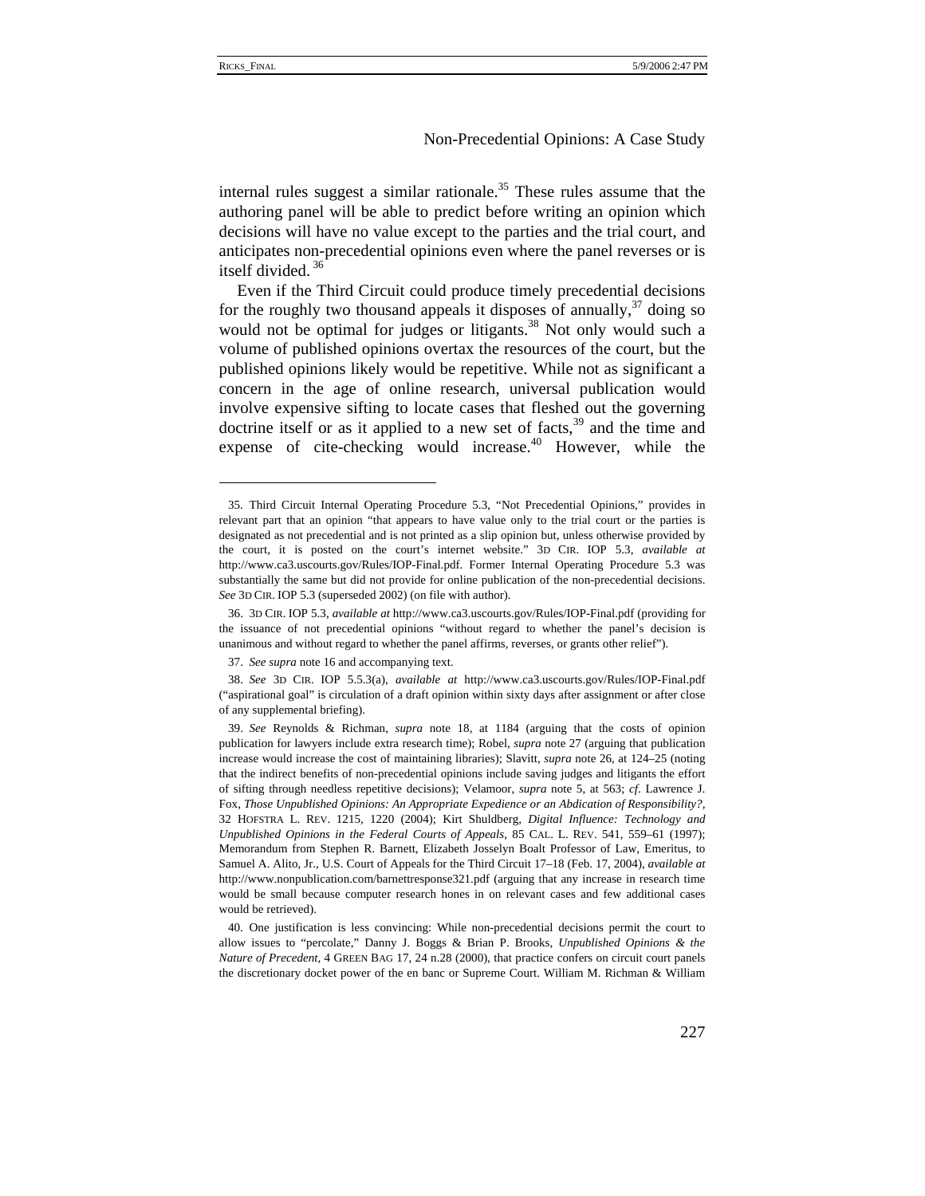### Non-Precedential Opinions: A Case Study

internal rules suggest a similar rationale.<sup>35</sup> These rules assume that the authoring panel will be able to predict before writing an opinion which decisions will have no value except to the parties and the trial court, and anticipates non-precedential opinions even where the panel reverses or is itself divided. 36

Even if the Third Circuit could produce timely precedential decisions for the roughly two thousand appeals it disposes of annually,  $37$  doing so would not be optimal for judges or litigants.<sup>38</sup> Not only would such a volume of published opinions overtax the resources of the court, but the published opinions likely would be repetitive. While not as significant a concern in the age of online research, universal publication would involve expensive sifting to locate cases that fleshed out the governing doctrine itself or as it applied to a new set of facts,  $39$  and the time and expense of cite-checking would increase.<sup>40</sup> However, while the

<sup>35.</sup> Third Circuit Internal Operating Procedure 5.3, "Not Precedential Opinions," provides in relevant part that an opinion "that appears to have value only to the trial court or the parties is designated as not precedential and is not printed as a slip opinion but, unless otherwise provided by the court, it is posted on the court's internet website." 3D CIR. IOP 5.3, *available at* http://www.ca3.uscourts.gov/Rules/IOP-Final.pdf. Former Internal Operating Procedure 5.3 was substantially the same but did not provide for online publication of the non-precedential decisions. *See* 3D CIR. IOP 5.3 (superseded 2002) (on file with author).

<sup>36. 3</sup>D CIR. IOP 5.3, *available at* http://www.ca3.uscourts.gov/Rules/IOP-Final.pdf (providing for the issuance of not precedential opinions "without regard to whether the panel's decision is unanimous and without regard to whether the panel affirms, reverses, or grants other relief").

<sup>37.</sup> *See supra* note 16 and accompanying text.

<sup>38.</sup> *See* 3D CIR. IOP 5.5.3(a), *available at* http://www.ca3.uscourts.gov/Rules/IOP-Final.pdf ("aspirational goal" is circulation of a draft opinion within sixty days after assignment or after close of any supplemental briefing).

<sup>39.</sup> *See* Reynolds & Richman, *supra* note 18, at 1184 (arguing that the costs of opinion publication for lawyers include extra research time); Robel, *supra* note 27 (arguing that publication increase would increase the cost of maintaining libraries); Slavitt, *supra* note 26, at 124–25 (noting that the indirect benefits of non-precedential opinions include saving judges and litigants the effort of sifting through needless repetitive decisions); Velamoor, *supra* note 5, at 563; *cf*. Lawrence J. Fox, *Those Unpublished Opinions: An Appropriate Expedience or an Abdication of Responsibility?*, 32 HOFSTRA L. REV. 1215, 1220 (2004); Kirt Shuldberg, *Digital Influence: Technology and Unpublished Opinions in the Federal Courts of Appeals*, 85 CAL. L. REV. 541, 559–61 (1997); Memorandum from Stephen R. Barnett, Elizabeth Josselyn Boalt Professor of Law, Emeritus, to Samuel A. Alito, Jr., U.S. Court of Appeals for the Third Circuit 17–18 (Feb. 17, 2004), *available at* http://www.nonpublication.com/barnettresponse321.pdf (arguing that any increase in research time would be small because computer research hones in on relevant cases and few additional cases would be retrieved).

<sup>40.</sup> One justification is less convincing: While non-precedential decisions permit the court to allow issues to "percolate," Danny J. Boggs & Brian P. Brooks, *Unpublished Opinions & the Nature of Precedent*, 4 GREEN BAG 17, 24 n.28 (2000), that practice confers on circuit court panels the discretionary docket power of the en banc or Supreme Court. William M. Richman & William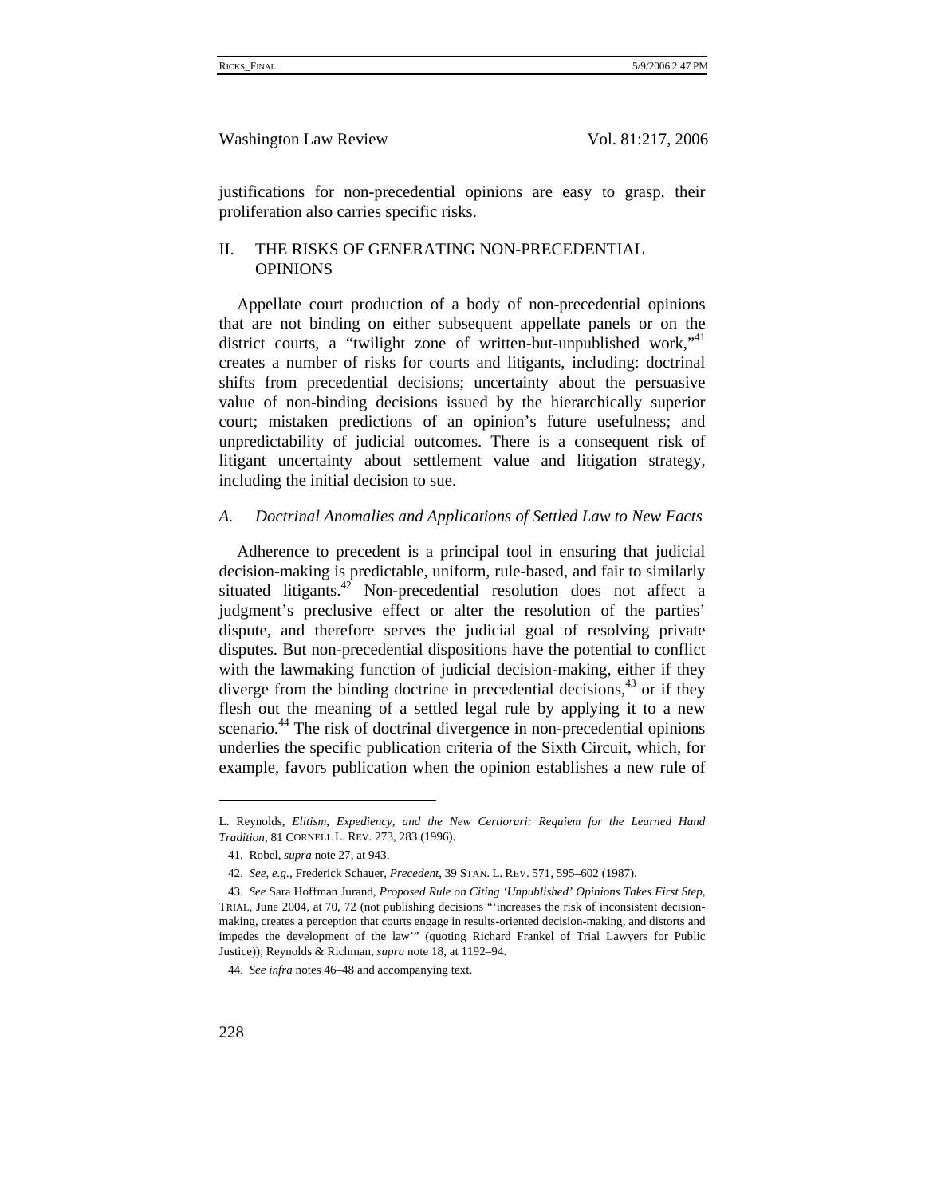justifications for non-precedential opinions are easy to grasp, their proliferation also carries specific risks.

# II. THE RISKS OF GENERATING NON-PRECEDENTIAL **OPINIONS**

Appellate court production of a body of non-precedential opinions that are not binding on either subsequent appellate panels or on the district courts, a "twilight zone of written-but-unpublished work,"<sup>41</sup> creates a number of risks for courts and litigants, including: doctrinal shifts from precedential decisions; uncertainty about the persuasive value of non-binding decisions issued by the hierarchically superior court; mistaken predictions of an opinion's future usefulness; and unpredictability of judicial outcomes. There is a consequent risk of litigant uncertainty about settlement value and litigation strategy, including the initial decision to sue.

#### *A. Doctrinal Anomalies and Applications of Settled Law to New Facts*

Adherence to precedent is a principal tool in ensuring that judicial decision-making is predictable, uniform, rule-based, and fair to similarly situated litigants. $42$  Non-precedential resolution does not affect a judgment's preclusive effect or alter the resolution of the parties' dispute, and therefore serves the judicial goal of resolving private disputes. But non-precedential dispositions have the potential to conflict with the lawmaking function of judicial decision-making, either if they diverge from the binding doctrine in precedential decisions,  $43$  or if they flesh out the meaning of a settled legal rule by applying it to a new scenario.<sup>44</sup> The risk of doctrinal divergence in non-precedential opinions underlies the specific publication criteria of the Sixth Circuit, which, for example, favors publication when the opinion establishes a new rule of

L. Reynolds, *Elitism, Expediency, and the New Certiorari: Requiem for the Learned Hand Tradition*, 81 CORNELL L. REV. 273, 283 (1996).

<sup>41.</sup> Robel, *supra* note 27, at 943.

<sup>42.</sup> *See, e.g.*, Frederick Schauer, *Precedent*, 39 STAN. L. REV. 571, 595–602 (1987).

<sup>43.</sup> *See* Sara Hoffman Jurand, *Proposed Rule on Citing 'Unpublished' Opinions Takes First Step*, TRIAL, June 2004, at 70, 72 (not publishing decisions "'increases the risk of inconsistent decisionmaking, creates a perception that courts engage in results-oriented decision-making, and distorts and impedes the development of the law'" (quoting Richard Frankel of Trial Lawyers for Public Justice)); Reynolds & Richman, *supra* note 18, at 1192–94.

<sup>44.</sup> *See infra* notes 46–48 and accompanying text.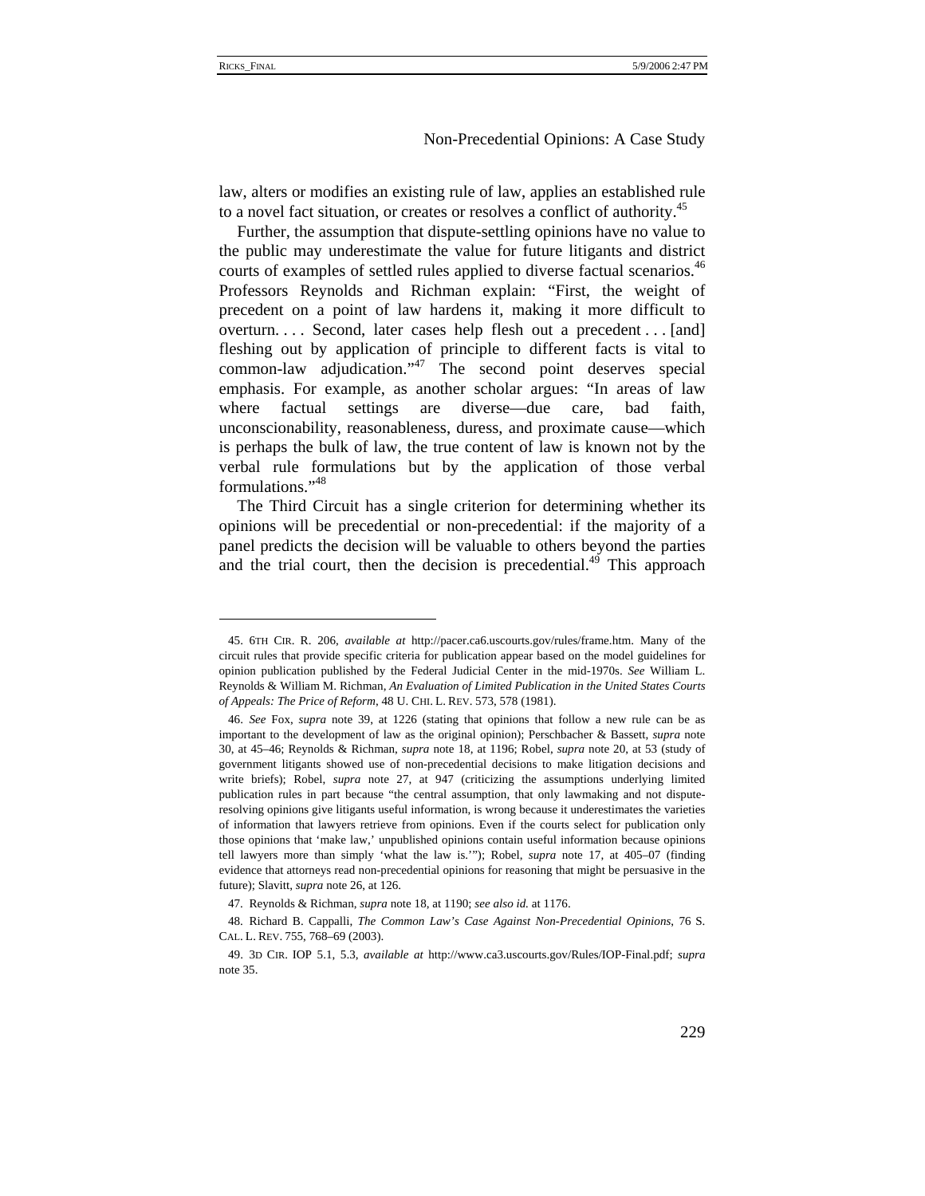## Non-Precedential Opinions: A Case Study

law, alters or modifies an existing rule of law, applies an established rule to a novel fact situation, or creates or resolves a conflict of authority.<sup>45</sup>

Further, the assumption that dispute-settling opinions have no value to the public may underestimate the value for future litigants and district courts of examples of settled rules applied to diverse factual scenarios.<sup>46</sup> Professors Reynolds and Richman explain: "First, the weight of precedent on a point of law hardens it, making it more difficult to overturn. . . . Second, later cases help flesh out a precedent . . . [and] fleshing out by application of principle to different facts is vital to common-law adjudication."47 The second point deserves special emphasis. For example, as another scholar argues: "In areas of law where factual settings are diverse—due care, bad faith, unconscionability, reasonableness, duress, and proximate cause—which is perhaps the bulk of law, the true content of law is known not by the verbal rule formulations but by the application of those verbal formulations."48

The Third Circuit has a single criterion for determining whether its opinions will be precedential or non-precedential: if the majority of a panel predicts the decision will be valuable to others beyond the parties and the trial court, then the decision is precedential.<sup>49</sup> This approach

<sup>45. 6</sup>TH CIR. R. 206, *available at* http://pacer.ca6.uscourts.gov/rules/frame.htm. Many of the circuit rules that provide specific criteria for publication appear based on the model guidelines for opinion publication published by the Federal Judicial Center in the mid-1970s. *See* William L. Reynolds & William M. Richman, *An Evaluation of Limited Publication in the United States Courts of Appeals: The Price of Reform*, 48 U. CHI. L. REV. 573, 578 (1981).

<sup>46.</sup> *See* Fox, *supra* note 39, at 1226 (stating that opinions that follow a new rule can be as important to the development of law as the original opinion); Perschbacher & Bassett, *supra* note 30, at 45–46; Reynolds & Richman, *supra* note 18, at 1196; Robel, *supra* note 20, at 53 (study of government litigants showed use of non-precedential decisions to make litigation decisions and write briefs); Robel, *supra* note 27, at 947 (criticizing the assumptions underlying limited publication rules in part because "the central assumption, that only lawmaking and not disputeresolving opinions give litigants useful information, is wrong because it underestimates the varieties of information that lawyers retrieve from opinions. Even if the courts select for publication only those opinions that 'make law,' unpublished opinions contain useful information because opinions tell lawyers more than simply 'what the law is.'"); Robel, *supra* note 17, at 405–07 (finding evidence that attorneys read non-precedential opinions for reasoning that might be persuasive in the future); Slavitt, *supra* note 26, at 126.

<sup>47.</sup> Reynolds & Richman, *supra* note 18, at 1190; *see also id.* at 1176.

<sup>48.</sup> Richard B. Cappalli, *The Common Law's Case Against Non-Precedential Opinions*, 76 S. CAL. L. REV. 755, 768–69 (2003).

<sup>49. 3</sup>D CIR. IOP 5.1, 5.3, *available at* http://www.ca3.uscourts.gov/Rules/IOP-Final.pdf; *supra* note 35.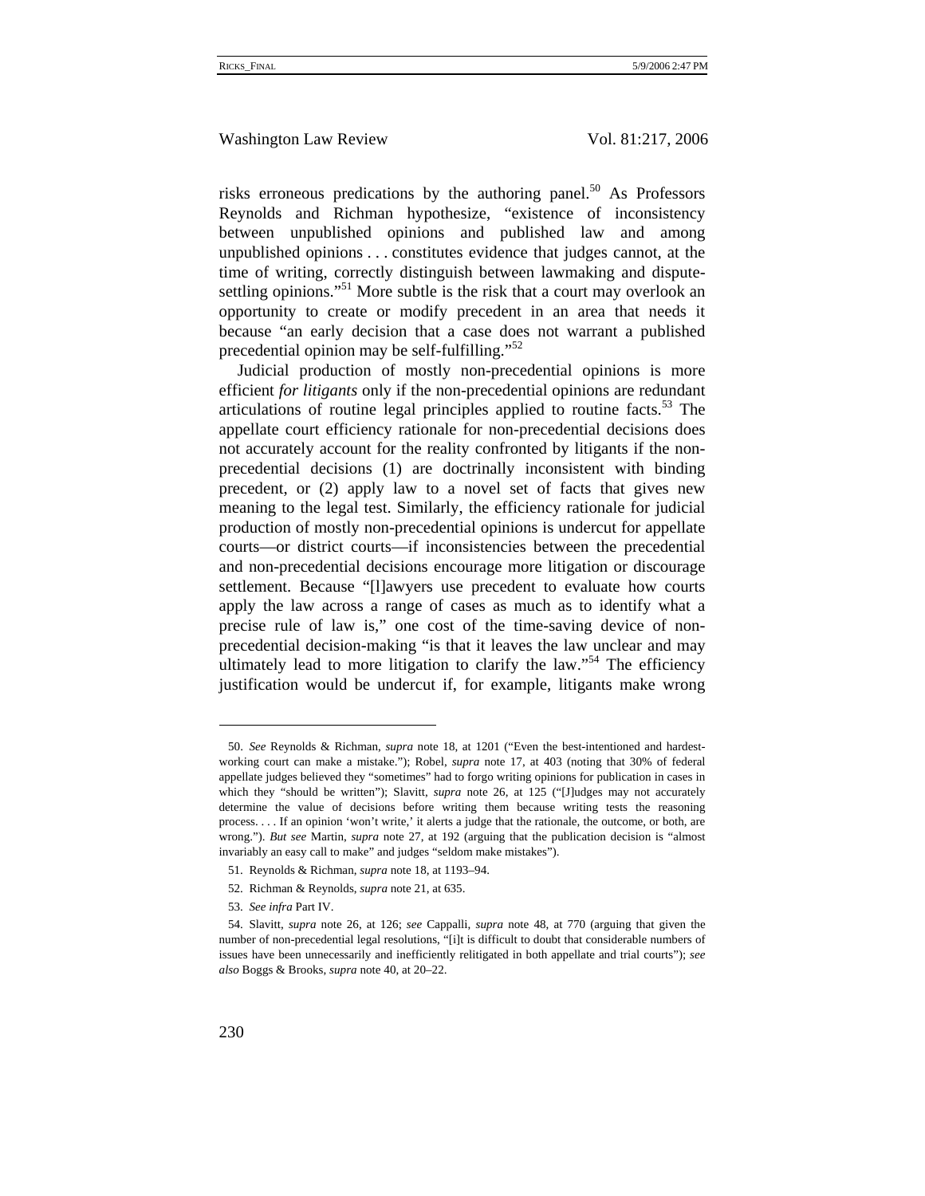risks erroneous predications by the authoring panel.<sup>50</sup> As Professors Reynolds and Richman hypothesize, "existence of inconsistency between unpublished opinions and published law and among unpublished opinions . . . constitutes evidence that judges cannot, at the time of writing, correctly distinguish between lawmaking and disputesettling opinions."<sup>51</sup> More subtle is the risk that a court may overlook an opportunity to create or modify precedent in an area that needs it because "an early decision that a case does not warrant a published precedential opinion may be self-fulfilling."<sup>52</sup>

Judicial production of mostly non-precedential opinions is more efficient *for litigants* only if the non-precedential opinions are redundant articulations of routine legal principles applied to routine facts.<sup>53</sup> The appellate court efficiency rationale for non-precedential decisions does not accurately account for the reality confronted by litigants if the nonprecedential decisions (1) are doctrinally inconsistent with binding precedent, or (2) apply law to a novel set of facts that gives new meaning to the legal test. Similarly, the efficiency rationale for judicial production of mostly non-precedential opinions is undercut for appellate courts—or district courts—if inconsistencies between the precedential and non-precedential decisions encourage more litigation or discourage settlement. Because "[l]awyers use precedent to evaluate how courts apply the law across a range of cases as much as to identify what a precise rule of law is," one cost of the time-saving device of nonprecedential decision-making "is that it leaves the law unclear and may ultimately lead to more litigation to clarify the law."<sup>54</sup> The efficiency justification would be undercut if, for example, litigants make wrong

<sup>50.</sup> *See* Reynolds & Richman, *supra* note 18, at 1201 ("Even the best-intentioned and hardestworking court can make a mistake."); Robel, *supra* note 17, at 403 (noting that 30% of federal appellate judges believed they "sometimes" had to forgo writing opinions for publication in cases in which they "should be written"); Slavitt, *supra* note 26, at 125 ("[J]udges may not accurately determine the value of decisions before writing them because writing tests the reasoning process. . . . If an opinion 'won't write,' it alerts a judge that the rationale, the outcome, or both, are wrong."). *But see* Martin, *supra* note 27, at 192 (arguing that the publication decision is "almost invariably an easy call to make" and judges "seldom make mistakes").

<sup>51.</sup> Reynolds & Richman, *supra* note 18, at 1193–94.

<sup>52.</sup> Richman & Reynolds, *supra* note 21, at 635.

<sup>53.</sup> *See infra* Part IV.

<sup>54.</sup> Slavitt, *supra* note 26, at 126; *see* Cappalli, *supra* note 48, at 770 (arguing that given the number of non-precedential legal resolutions, "[i]t is difficult to doubt that considerable numbers of issues have been unnecessarily and inefficiently relitigated in both appellate and trial courts"); *see also* Boggs & Brooks, *supra* note 40, at 20–22.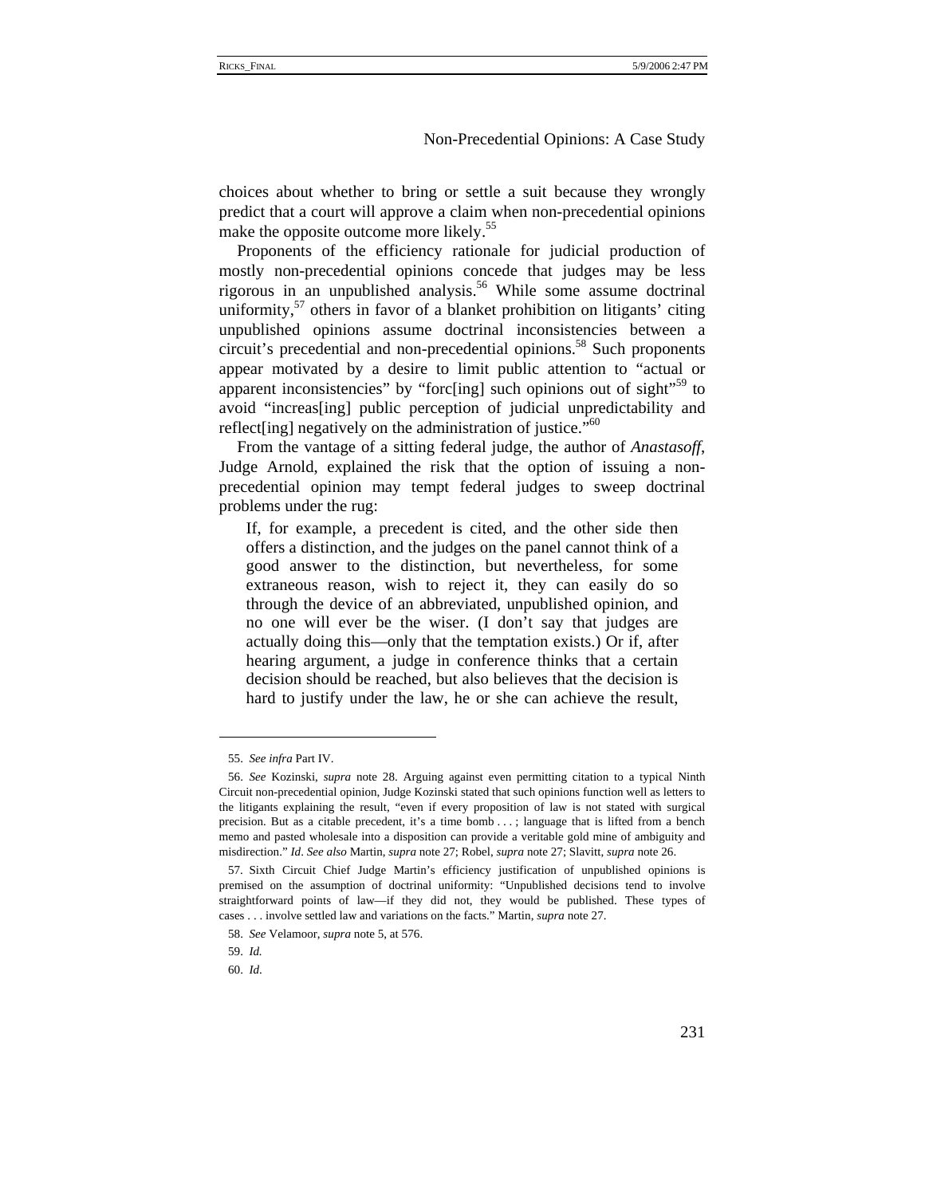choices about whether to bring or settle a suit because they wrongly predict that a court will approve a claim when non-precedential opinions make the opposite outcome more likely.<sup>55</sup>

Proponents of the efficiency rationale for judicial production of mostly non-precedential opinions concede that judges may be less rigorous in an unpublished analysis.<sup>56</sup> While some assume doctrinal uniformity,<sup>57</sup> others in favor of a blanket prohibition on litigants' citing unpublished opinions assume doctrinal inconsistencies between a circuit's precedential and non-precedential opinions.<sup>58</sup> Such proponents appear motivated by a desire to limit public attention to "actual or apparent inconsistencies" by "forc[ing] such opinions out of sight"<sup>59</sup> to avoid "increas[ing] public perception of judicial unpredictability and reflect [ing] negatively on the administration of justice."<sup>60</sup>

From the vantage of a sitting federal judge, the author of *Anastasoff*, Judge Arnold, explained the risk that the option of issuing a nonprecedential opinion may tempt federal judges to sweep doctrinal problems under the rug:

If, for example, a precedent is cited, and the other side then offers a distinction, and the judges on the panel cannot think of a good answer to the distinction, but nevertheless, for some extraneous reason, wish to reject it, they can easily do so through the device of an abbreviated, unpublished opinion, and no one will ever be the wiser. (I don't say that judges are actually doing this—only that the temptation exists.) Or if, after hearing argument, a judge in conference thinks that a certain decision should be reached, but also believes that the decision is hard to justify under the law, he or she can achieve the result,

59. *Id.*

<sup>55.</sup> *See infra* Part IV.

<sup>56.</sup> *See* Kozinski, *supra* note 28. Arguing against even permitting citation to a typical Ninth Circuit non-precedential opinion, Judge Kozinski stated that such opinions function well as letters to the litigants explaining the result, "even if every proposition of law is not stated with surgical precision. But as a citable precedent, it's a time bomb . . . ; language that is lifted from a bench memo and pasted wholesale into a disposition can provide a veritable gold mine of ambiguity and misdirection." *Id*. *See also* Martin, *supra* note 27; Robel, *supra* note 27; Slavitt, *supra* note 26.

<sup>57.</sup> Sixth Circuit Chief Judge Martin's efficiency justification of unpublished opinions is premised on the assumption of doctrinal uniformity: "Unpublished decisions tend to involve straightforward points of law—if they did not, they would be published. These types of cases . . . involve settled law and variations on the facts." Martin, *supra* note 27.

<sup>58.</sup> *See* Velamoor, *supra* note 5, at 576.

<sup>60.</sup> *Id*.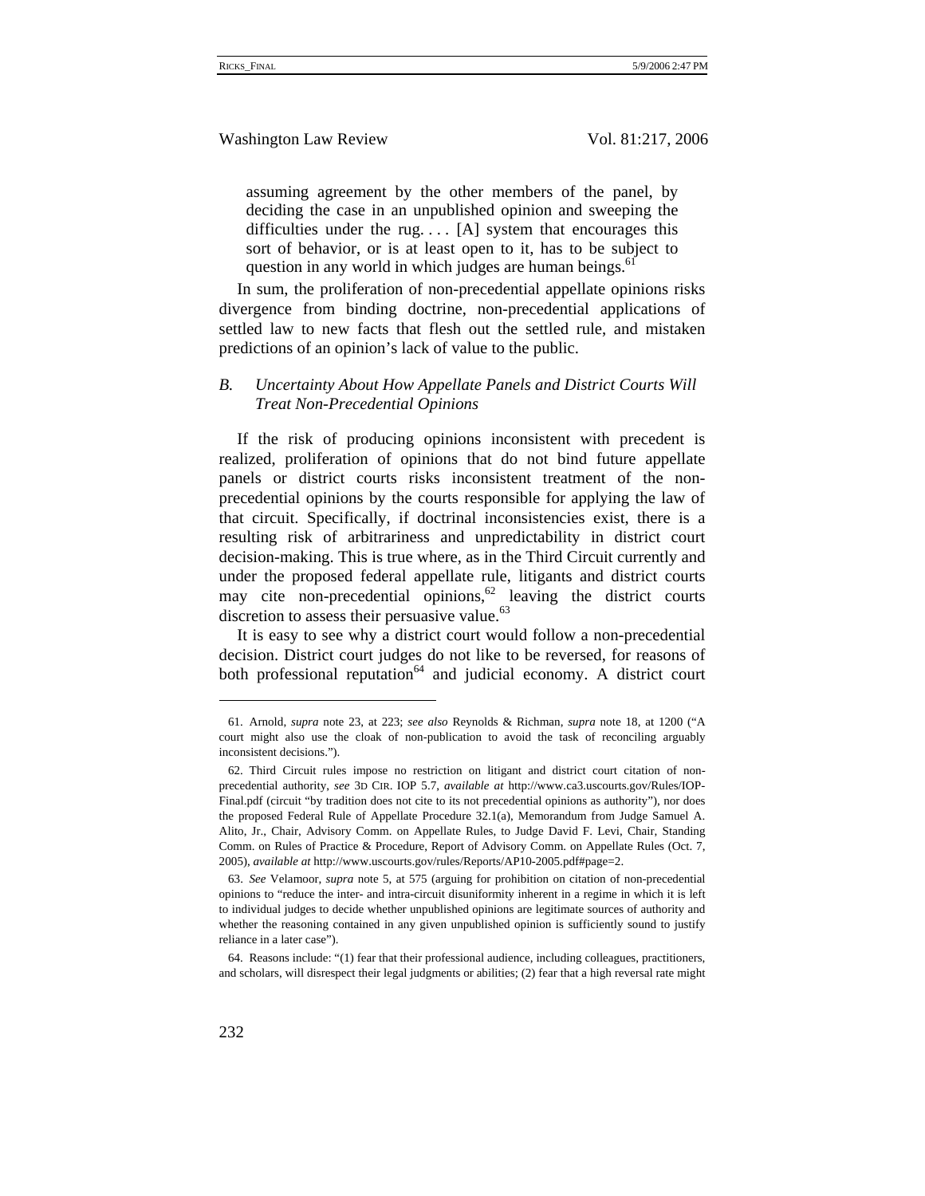assuming agreement by the other members of the panel, by deciding the case in an unpublished opinion and sweeping the difficulties under the rug....  $[A]$  system that encourages this sort of behavior, or is at least open to it, has to be subject to question in any world in which judges are human beings.<sup>61</sup>

In sum, the proliferation of non-precedential appellate opinions risks divergence from binding doctrine, non-precedential applications of settled law to new facts that flesh out the settled rule, and mistaken predictions of an opinion's lack of value to the public.

# *B. Uncertainty About How Appellate Panels and District Courts Will Treat Non-Precedential Opinions*

If the risk of producing opinions inconsistent with precedent is realized, proliferation of opinions that do not bind future appellate panels or district courts risks inconsistent treatment of the nonprecedential opinions by the courts responsible for applying the law of that circuit. Specifically, if doctrinal inconsistencies exist, there is a resulting risk of arbitrariness and unpredictability in district court decision-making. This is true where, as in the Third Circuit currently and under the proposed federal appellate rule, litigants and district courts may cite non-precedential opinions, $62$  leaving the district courts discretion to assess their persuasive value. $^{63}$ 

It is easy to see why a district court would follow a non-precedential decision. District court judges do not like to be reversed, for reasons of both professional reputation<sup>64</sup> and judicial economy. A district court

<sup>61.</sup> Arnold, *supra* note 23, at 223; *see also* Reynolds & Richman, *supra* note 18, at 1200 ("A court might also use the cloak of non-publication to avoid the task of reconciling arguably inconsistent decisions.").

<sup>62.</sup> Third Circuit rules impose no restriction on litigant and district court citation of nonprecedential authority, *see* 3D CIR. IOP 5.7, *available at* http://www.ca3.uscourts.gov/Rules/IOP-Final.pdf (circuit "by tradition does not cite to its not precedential opinions as authority"), nor does the proposed Federal Rule of Appellate Procedure 32.1(a), Memorandum from Judge Samuel A. Alito, Jr., Chair, Advisory Comm. on Appellate Rules, to Judge David F. Levi, Chair, Standing Comm. on Rules of Practice & Procedure, Report of Advisory Comm. on Appellate Rules (Oct. 7, 2005), *available at* http://www.uscourts.gov/rules/Reports/AP10-2005.pdf#page=2.

<sup>63.</sup> *See* Velamoor, *supra* note 5, at 575 (arguing for prohibition on citation of non-precedential opinions to "reduce the inter- and intra-circuit disuniformity inherent in a regime in which it is left to individual judges to decide whether unpublished opinions are legitimate sources of authority and whether the reasoning contained in any given unpublished opinion is sufficiently sound to justify reliance in a later case").

<sup>64.</sup> Reasons include: "(1) fear that their professional audience, including colleagues, practitioners, and scholars, will disrespect their legal judgments or abilities; (2) fear that a high reversal rate might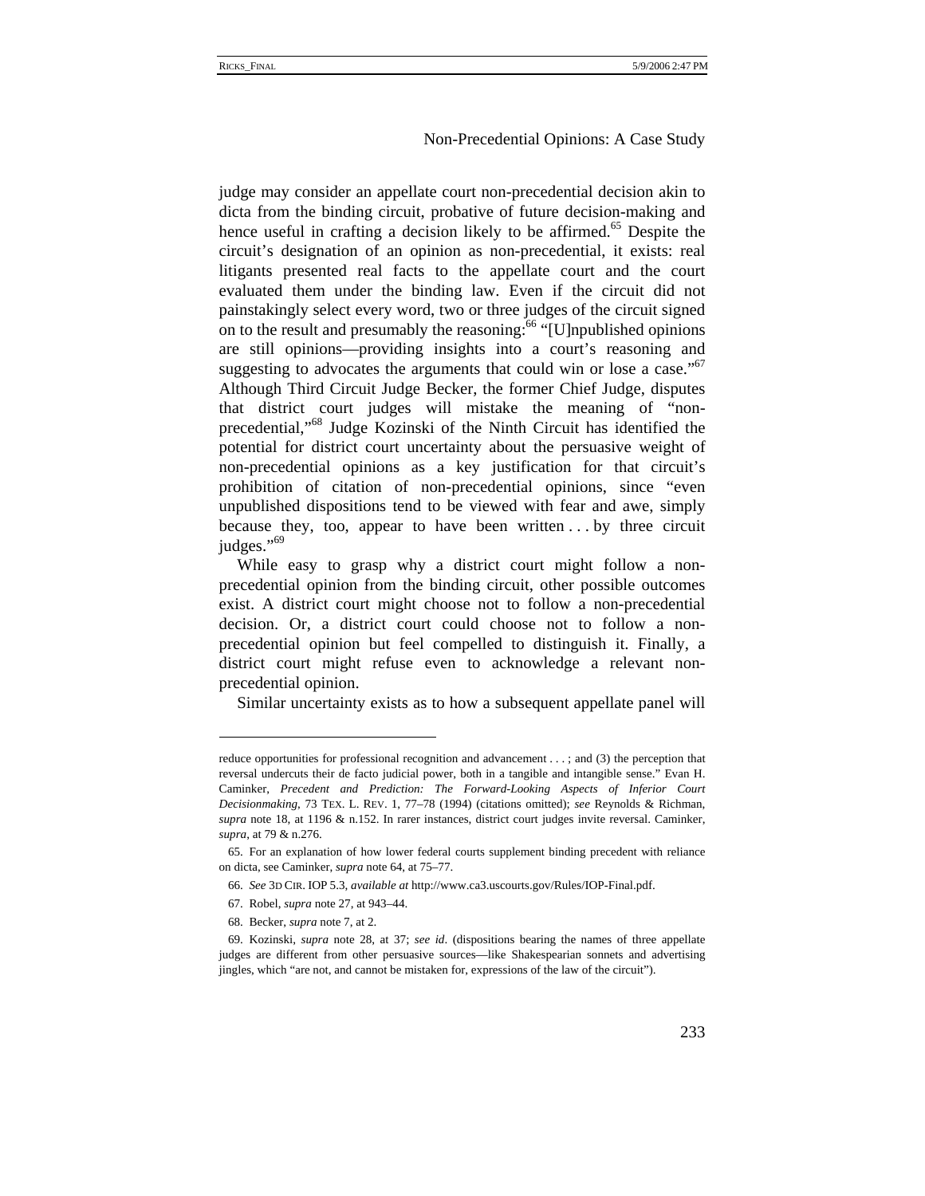judge may consider an appellate court non-precedential decision akin to dicta from the binding circuit, probative of future decision-making and hence useful in crafting a decision likely to be affirmed.<sup>65</sup> Despite the circuit's designation of an opinion as non-precedential, it exists: real litigants presented real facts to the appellate court and the court evaluated them under the binding law. Even if the circuit did not painstakingly select every word, two or three judges of the circuit signed on to the result and presumably the reasoning:<sup>66</sup> "[U]npublished opinions are still opinions—providing insights into a court's reasoning and suggesting to advocates the arguments that could win or lose a case." $67$ Although Third Circuit Judge Becker, the former Chief Judge, disputes that district court judges will mistake the meaning of "nonprecedential,"68 Judge Kozinski of the Ninth Circuit has identified the potential for district court uncertainty about the persuasive weight of non-precedential opinions as a key justification for that circuit's prohibition of citation of non-precedential opinions, since "even unpublished dispositions tend to be viewed with fear and awe, simply because they, too, appear to have been written . . . by three circuit judges."<sup>69</sup>

While easy to grasp why a district court might follow a nonprecedential opinion from the binding circuit, other possible outcomes exist. A district court might choose not to follow a non-precedential decision. Or, a district court could choose not to follow a nonprecedential opinion but feel compelled to distinguish it. Finally, a district court might refuse even to acknowledge a relevant nonprecedential opinion.

Similar uncertainty exists as to how a subsequent appellate panel will

- 67. Robel, *supra* note 27, at 943–44.
- 68. Becker, *supra* note 7, at 2.

reduce opportunities for professional recognition and advancement . . . ; and (3) the perception that reversal undercuts their de facto judicial power, both in a tangible and intangible sense." Evan H. Caminker, *Precedent and Prediction: The Forward-Looking Aspects of Inferior Court Decisionmaking*, 73 TEX. L. REV. 1, 77–78 (1994) (citations omitted); *see* Reynolds & Richman, *supra* note 18, at 1196 & n.152. In rarer instances, district court judges invite reversal. Caminker, *supra*, at 79 & n.276.

<sup>65.</sup> For an explanation of how lower federal courts supplement binding precedent with reliance on dicta, see Caminker, *supra* note 64, at 75–77.

<sup>66.</sup> *See* 3D CIR. IOP 5.3, *available at* http://www.ca3.uscourts.gov/Rules/IOP-Final.pdf.

<sup>69.</sup> Kozinski, *supra* note 28, at 37; *see id*. (dispositions bearing the names of three appellate judges are different from other persuasive sources—like Shakespearian sonnets and advertising jingles, which "are not, and cannot be mistaken for, expressions of the law of the circuit").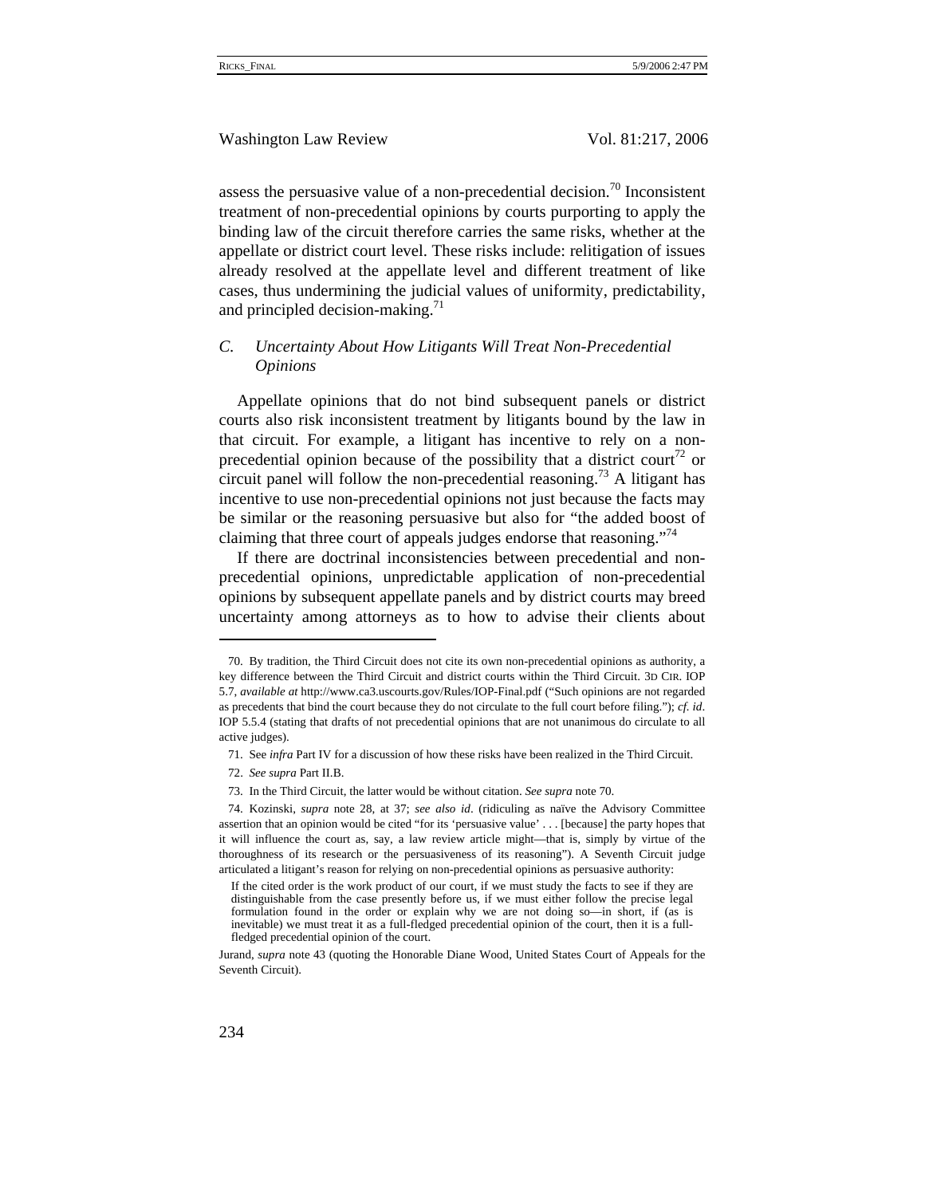assess the persuasive value of a non-precedential decision.<sup>70</sup> Inconsistent treatment of non-precedential opinions by courts purporting to apply the binding law of the circuit therefore carries the same risks, whether at the appellate or district court level. These risks include: relitigation of issues already resolved at the appellate level and different treatment of like cases, thus undermining the judicial values of uniformity, predictability, and principled decision-making.<sup>71</sup>

# *C. Uncertainty About How Litigants Will Treat Non-Precedential Opinions*

Appellate opinions that do not bind subsequent panels or district courts also risk inconsistent treatment by litigants bound by the law in that circuit. For example, a litigant has incentive to rely on a nonprecedential opinion because of the possibility that a district court<sup>72</sup> or circuit panel will follow the non-precedential reasoning.<sup>73</sup> A litigant has incentive to use non-precedential opinions not just because the facts may be similar or the reasoning persuasive but also for "the added boost of claiming that three court of appeals judges endorse that reasoning."<sup>14</sup>

If there are doctrinal inconsistencies between precedential and nonprecedential opinions, unpredictable application of non-precedential opinions by subsequent appellate panels and by district courts may breed uncertainty among attorneys as to how to advise their clients about

<sup>70.</sup> By tradition, the Third Circuit does not cite its own non-precedential opinions as authority, a key difference between the Third Circuit and district courts within the Third Circuit. 3D CIR. IOP 5.7, *available at* http://www.ca3.uscourts.gov/Rules/IOP-Final.pdf ("Such opinions are not regarded as precedents that bind the court because they do not circulate to the full court before filing."); *cf. id*. IOP 5.5.4 (stating that drafts of not precedential opinions that are not unanimous do circulate to all active judges).

<sup>71.</sup> See *infra* Part IV for a discussion of how these risks have been realized in the Third Circuit.

<sup>72.</sup> *See supra* Part II.B.

<sup>73.</sup> In the Third Circuit, the latter would be without citation. *See supra* note 70.

<sup>74.</sup> Kozinski, *supra* note 28, at 37; *see also id*. (ridiculing as naïve the Advisory Committee assertion that an opinion would be cited "for its 'persuasive value' . . . [because] the party hopes that it will influence the court as, say, a law review article might—that is, simply by virtue of the thoroughness of its research or the persuasiveness of its reasoning"). A Seventh Circuit judge articulated a litigant's reason for relying on non-precedential opinions as persuasive authority:

If the cited order is the work product of our court, if we must study the facts to see if they are distinguishable from the case presently before us, if we must either follow the precise legal formulation found in the order or explain why we are not doing so—in short, if (as is inevitable) we must treat it as a full-fledged precedential opinion of the court, then it is a fullfledged precedential opinion of the court.

Jurand, *supra* note 43 (quoting the Honorable Diane Wood, United States Court of Appeals for the Seventh Circuit).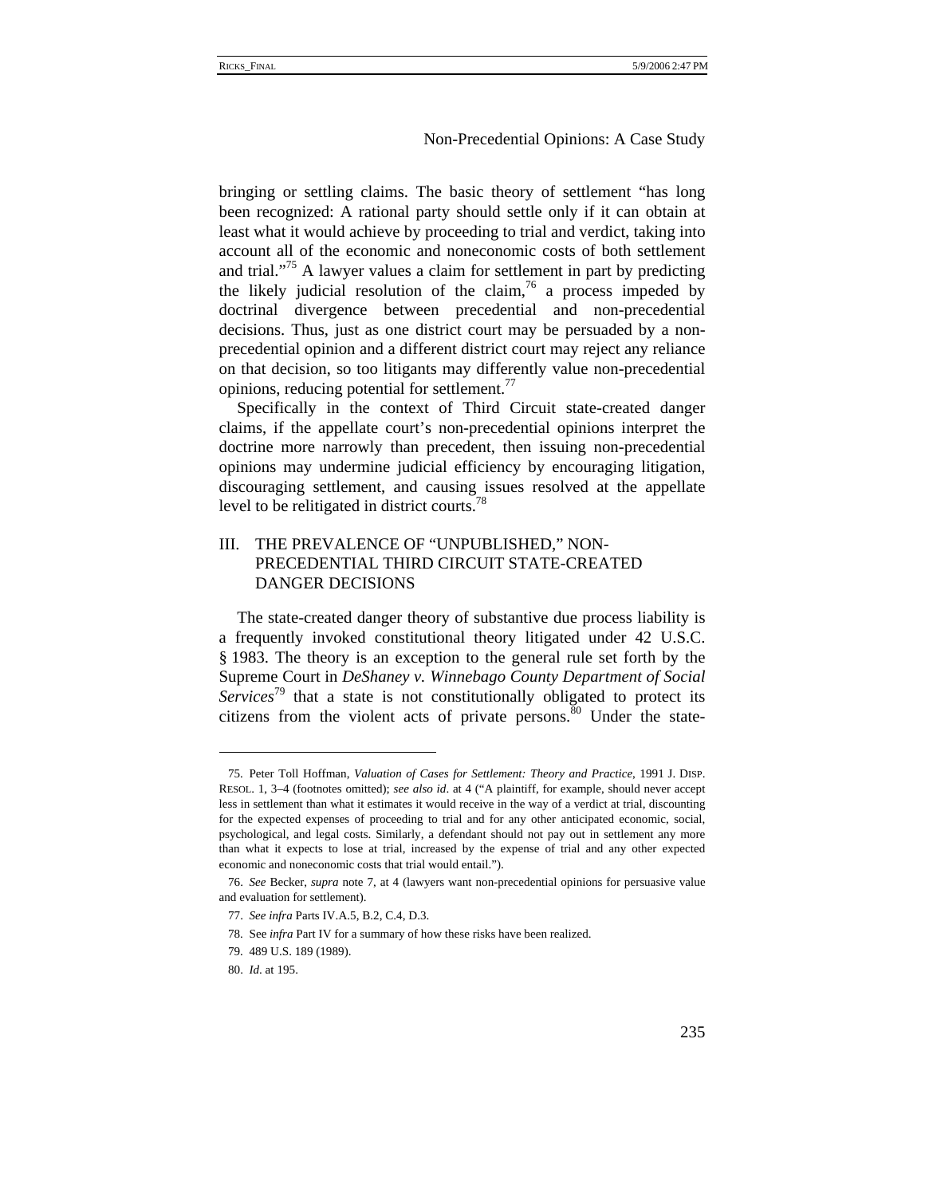bringing or settling claims. The basic theory of settlement "has long been recognized: A rational party should settle only if it can obtain at least what it would achieve by proceeding to trial and verdict, taking into account all of the economic and noneconomic costs of both settlement and trial."<sup>75</sup> A lawyer values a claim for settlement in part by predicting the likely judicial resolution of the claim,<sup>76</sup> a process impeded by doctrinal divergence between precedential and non-precedential decisions. Thus, just as one district court may be persuaded by a nonprecedential opinion and a different district court may reject any reliance on that decision, so too litigants may differently value non-precedential opinions, reducing potential for settlement.<sup>77</sup>

Specifically in the context of Third Circuit state-created danger claims, if the appellate court's non-precedential opinions interpret the doctrine more narrowly than precedent, then issuing non-precedential opinions may undermine judicial efficiency by encouraging litigation, discouraging settlement, and causing issues resolved at the appellate level to be relitigated in district courts.<sup>78</sup>

# III. THE PREVALENCE OF "UNPUBLISHED," NON-PRECEDENTIAL THIRD CIRCUIT STATE-CREATED DANGER DECISIONS

The state-created danger theory of substantive due process liability is a frequently invoked constitutional theory litigated under 42 U.S.C. § 1983. The theory is an exception to the general rule set forth by the Supreme Court in *DeShaney v. Winnebago County Department of Social Services*<sup>79</sup> that a state is not constitutionally obligated to protect its citizens from the violent acts of private persons. $80$  Under the state-

<sup>75.</sup> Peter Toll Hoffman, *Valuation of Cases for Settlement: Theory and Practice*, 1991 J. DISP. RESOL. 1, 3–4 (footnotes omitted); *see also id*. at 4 ("A plaintiff, for example, should never accept less in settlement than what it estimates it would receive in the way of a verdict at trial, discounting for the expected expenses of proceeding to trial and for any other anticipated economic, social, psychological, and legal costs. Similarly, a defendant should not pay out in settlement any more than what it expects to lose at trial, increased by the expense of trial and any other expected economic and noneconomic costs that trial would entail.").

<sup>76.</sup> *See* Becker, *supra* note 7, at 4 (lawyers want non-precedential opinions for persuasive value and evaluation for settlement).

<sup>77.</sup> *See infra* Parts IV.A.5, B.2, C.4, D.3.

<sup>78.</sup> See *infra* Part IV for a summary of how these risks have been realized.

<sup>79. 489</sup> U.S. 189 (1989).

<sup>80.</sup> *Id*. at 195.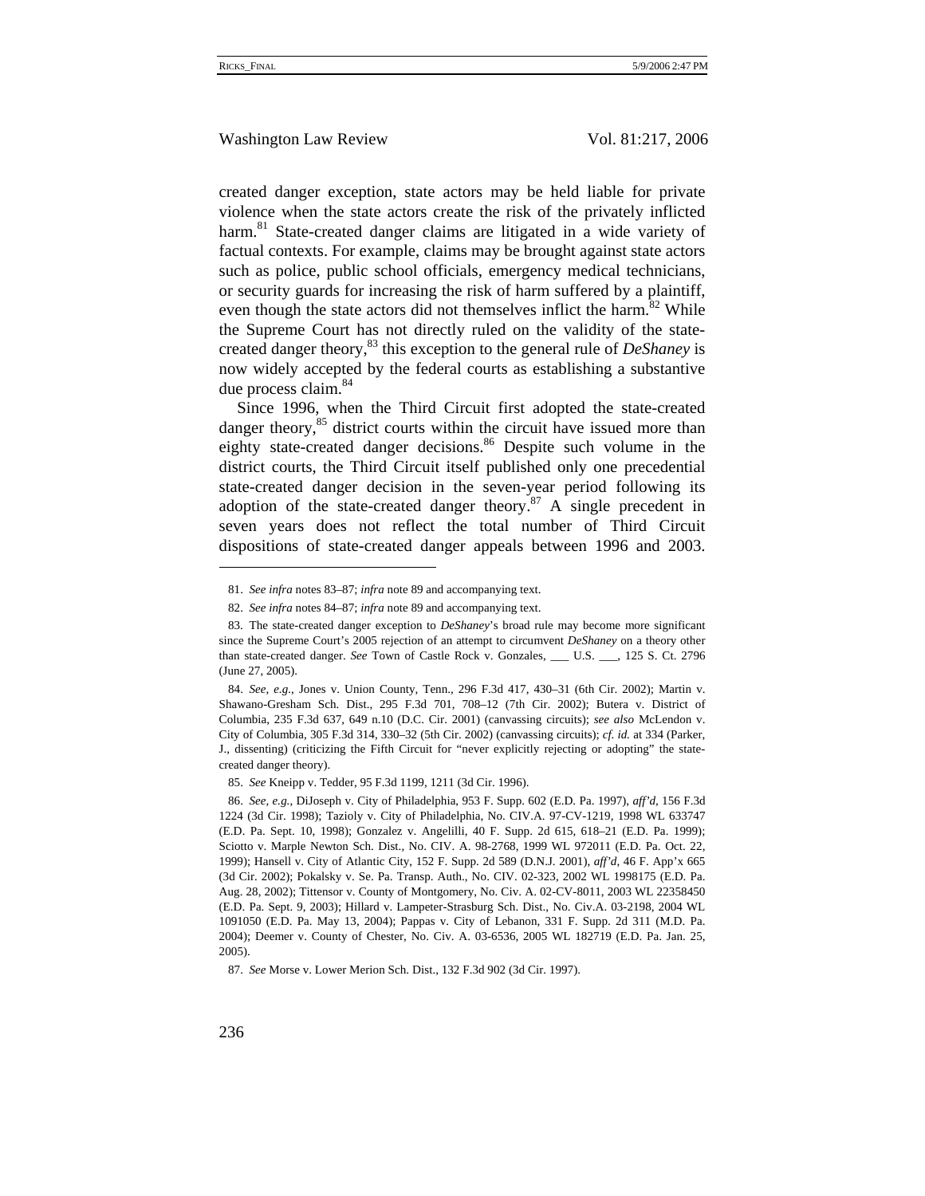created danger exception, state actors may be held liable for private violence when the state actors create the risk of the privately inflicted harm.<sup>81</sup> State-created danger claims are litigated in a wide variety of factual contexts. For example, claims may be brought against state actors such as police, public school officials, emergency medical technicians, or security guards for increasing the risk of harm suffered by a plaintiff, even though the state actors did not themselves inflict the harm.<sup>82</sup> While the Supreme Court has not directly ruled on the validity of the statecreated danger theory,<sup>83</sup> this exception to the general rule of *DeShaney* is now widely accepted by the federal courts as establishing a substantive due process claim.<sup>84</sup>

Since 1996, when the Third Circuit first adopted the state-created danger theory, $85$  district courts within the circuit have issued more than eighty state-created danger decisions.<sup>86</sup> Despite such volume in the district courts, the Third Circuit itself published only one precedential state-created danger decision in the seven-year period following its adoption of the state-created danger theory.<sup>87</sup> A single precedent in seven years does not reflect the total number of Third Circuit dispositions of state-created danger appeals between 1996 and 2003.

<sup>81.</sup> *See infra* notes 83–87; *infra* note 89 and accompanying text.

<sup>82.</sup> *See infra* notes 84–87; *infra* note 89 and accompanying text.

<sup>83.</sup> The state-created danger exception to *DeShaney*'s broad rule may become more significant since the Supreme Court's 2005 rejection of an attempt to circumvent *DeShaney* on a theory other than state-created danger. *See* Town of Castle Rock v. Gonzales, \_\_\_ U.S. \_\_\_, 125 S. Ct. 2796 (June 27, 2005).

<sup>84.</sup> *See, e.g.*, Jones v. Union County, Tenn., 296 F.3d 417, 430–31 (6th Cir. 2002); Martin v. Shawano-Gresham Sch. Dist., 295 F.3d 701, 708–12 (7th Cir. 2002); Butera v. District of Columbia, 235 F.3d 637, 649 n.10 (D.C. Cir. 2001) (canvassing circuits); *see also* McLendon v. City of Columbia, 305 F.3d 314, 330–32 (5th Cir. 2002) (canvassing circuits); *cf. id.* at 334 (Parker, J., dissenting) (criticizing the Fifth Circuit for "never explicitly rejecting or adopting" the statecreated danger theory).

<sup>85.</sup> *See* Kneipp v. Tedder, 95 F.3d 1199, 1211 (3d Cir. 1996).

<sup>86.</sup> *See, e.g.*, DiJoseph v. City of Philadelphia, 953 F. Supp. 602 (E.D. Pa. 1997), *aff'd*, 156 F.3d 1224 (3d Cir. 1998); Tazioly v. City of Philadelphia, No. CIV.A. 97-CV-1219, 1998 WL 633747 (E.D. Pa. Sept. 10, 1998); Gonzalez v. Angelilli, 40 F. Supp. 2d 615, 618–21 (E.D. Pa. 1999); Sciotto v. Marple Newton Sch. Dist., No. CIV. A. 98-2768, 1999 WL 972011 (E.D. Pa. Oct. 22, 1999); Hansell v. City of Atlantic City, 152 F. Supp. 2d 589 (D.N.J. 2001), *aff'd*, 46 F. App'x 665 (3d Cir. 2002); Pokalsky v. Se. Pa. Transp. Auth., No. CIV. 02-323, 2002 WL 1998175 (E.D. Pa. Aug. 28, 2002); Tittensor v. County of Montgomery, No. Civ. A. 02-CV-8011, 2003 WL 22358450 (E.D. Pa. Sept. 9, 2003); Hillard v. Lampeter-Strasburg Sch. Dist., No. Civ.A. 03-2198, 2004 WL 1091050 (E.D. Pa. May 13, 2004); Pappas v. City of Lebanon, 331 F. Supp. 2d 311 (M.D. Pa. 2004); Deemer v. County of Chester, No. Civ. A. 03-6536, 2005 WL 182719 (E.D. Pa. Jan. 25, 2005).

<sup>87.</sup> *See* Morse v. Lower Merion Sch. Dist., 132 F.3d 902 (3d Cir. 1997).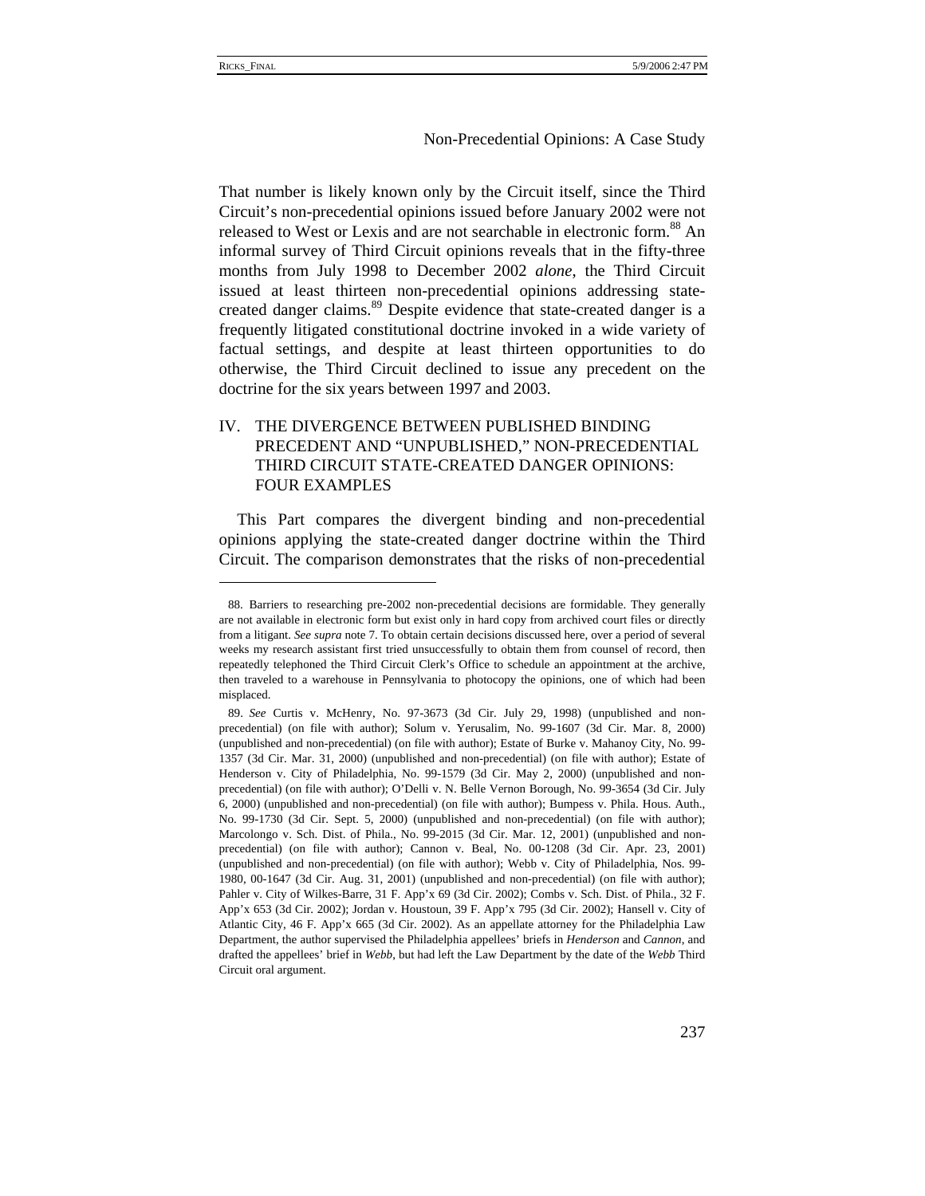## Non-Precedential Opinions: A Case Study

That number is likely known only by the Circuit itself, since the Third Circuit's non-precedential opinions issued before January 2002 were not released to West or Lexis and are not searchable in electronic form.<sup>88</sup> An informal survey of Third Circuit opinions reveals that in the fifty-three months from July 1998 to December 2002 *alone*, the Third Circuit issued at least thirteen non-precedential opinions addressing statecreated danger claims.<sup>89</sup> Despite evidence that state-created danger is a frequently litigated constitutional doctrine invoked in a wide variety of factual settings, and despite at least thirteen opportunities to do otherwise, the Third Circuit declined to issue any precedent on the doctrine for the six years between 1997 and 2003.

# IV. THE DIVERGENCE BETWEEN PUBLISHED BINDING PRECEDENT AND "UNPUBLISHED," NON-PRECEDENTIAL THIRD CIRCUIT STATE-CREATED DANGER OPINIONS: FOUR EXAMPLES

This Part compares the divergent binding and non-precedential opinions applying the state-created danger doctrine within the Third Circuit. The comparison demonstrates that the risks of non-precedential

<sup>88.</sup> Barriers to researching pre-2002 non-precedential decisions are formidable. They generally are not available in electronic form but exist only in hard copy from archived court files or directly from a litigant. *See supra* note 7. To obtain certain decisions discussed here, over a period of several weeks my research assistant first tried unsuccessfully to obtain them from counsel of record, then repeatedly telephoned the Third Circuit Clerk's Office to schedule an appointment at the archive, then traveled to a warehouse in Pennsylvania to photocopy the opinions, one of which had been misplaced.

<sup>89.</sup> *See* Curtis v. McHenry, No. 97-3673 (3d Cir. July 29, 1998) (unpublished and nonprecedential) (on file with author); Solum v. Yerusalim, No. 99-1607 (3d Cir. Mar. 8, 2000) (unpublished and non-precedential) (on file with author); Estate of Burke v. Mahanoy City, No. 99- 1357 (3d Cir. Mar. 31, 2000) (unpublished and non-precedential) (on file with author); Estate of Henderson v. City of Philadelphia, No. 99-1579 (3d Cir. May 2, 2000) (unpublished and nonprecedential) (on file with author); O'Delli v. N. Belle Vernon Borough, No. 99-3654 (3d Cir. July 6, 2000) (unpublished and non-precedential) (on file with author); Bumpess v. Phila. Hous. Auth., No. 99-1730 (3d Cir. Sept. 5, 2000) (unpublished and non-precedential) (on file with author); Marcolongo v. Sch. Dist. of Phila., No. 99-2015 (3d Cir. Mar. 12, 2001) (unpublished and nonprecedential) (on file with author); Cannon v. Beal, No. 00-1208 (3d Cir. Apr. 23, 2001) (unpublished and non-precedential) (on file with author); Webb v. City of Philadelphia, Nos. 99- 1980, 00-1647 (3d Cir. Aug. 31, 2001) (unpublished and non-precedential) (on file with author); Pahler v. City of Wilkes-Barre, 31 F. App'x 69 (3d Cir. 2002); Combs v. Sch. Dist. of Phila., 32 F. App'x 653 (3d Cir. 2002); Jordan v. Houstoun, 39 F. App'x 795 (3d Cir. 2002); Hansell v. City of Atlantic City, 46 F. App'x 665 (3d Cir. 2002). As an appellate attorney for the Philadelphia Law Department, the author supervised the Philadelphia appellees' briefs in *Henderson* and *Cannon*, and drafted the appellees' brief in *Webb*, but had left the Law Department by the date of the *Webb* Third Circuit oral argument.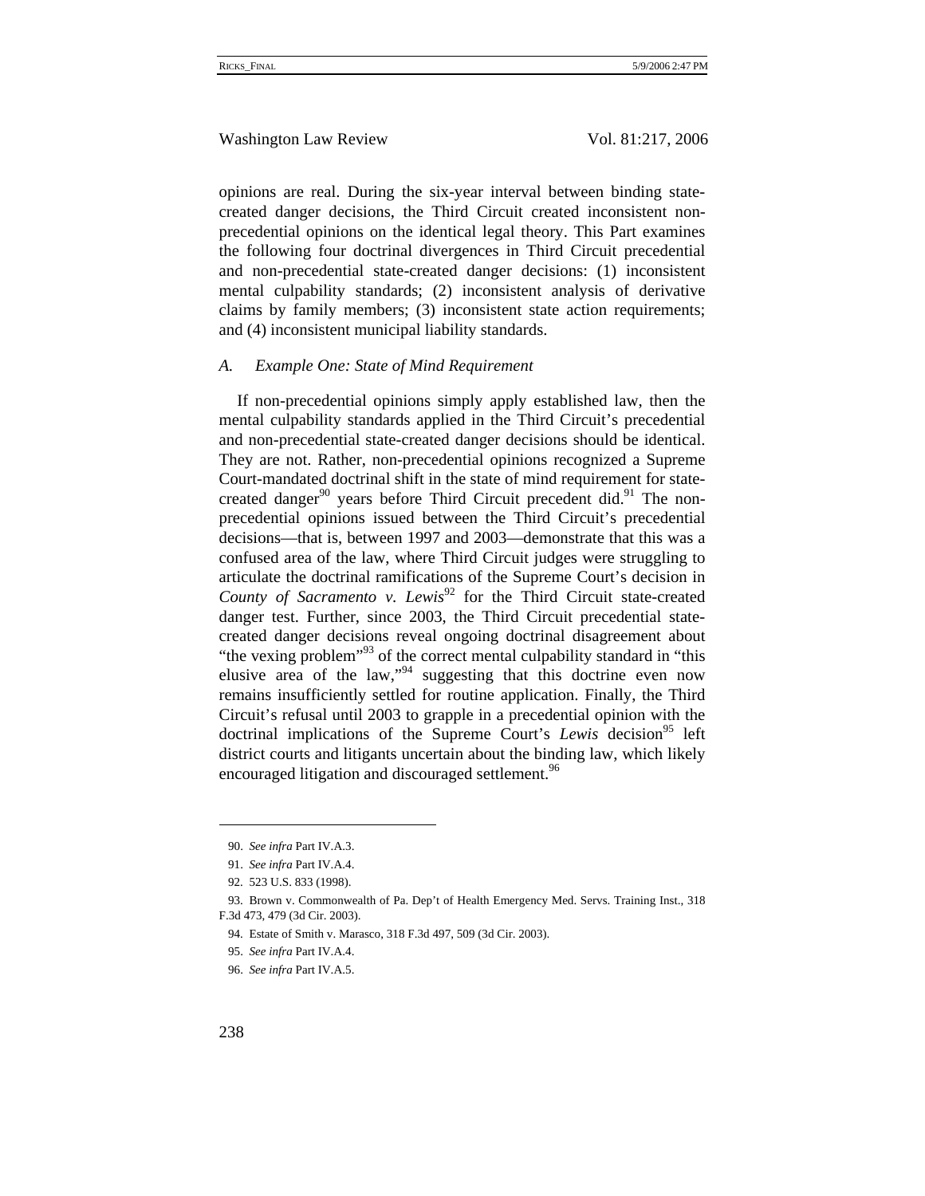opinions are real. During the six-year interval between binding statecreated danger decisions, the Third Circuit created inconsistent nonprecedential opinions on the identical legal theory. This Part examines the following four doctrinal divergences in Third Circuit precedential and non-precedential state-created danger decisions: (1) inconsistent mental culpability standards; (2) inconsistent analysis of derivative claims by family members; (3) inconsistent state action requirements; and (4) inconsistent municipal liability standards.

#### *A. Example One: State of Mind Requirement*

If non-precedential opinions simply apply established law, then the mental culpability standards applied in the Third Circuit's precedential and non-precedential state-created danger decisions should be identical. They are not. Rather, non-precedential opinions recognized a Supreme Court-mandated doctrinal shift in the state of mind requirement for statecreated danger<sup>90</sup> years before Third Circuit precedent did.<sup>91</sup> The nonprecedential opinions issued between the Third Circuit's precedential decisions—that is, between 1997 and 2003—demonstrate that this was a confused area of the law, where Third Circuit judges were struggling to articulate the doctrinal ramifications of the Supreme Court's decision in *County of Sacramento v. Lewis*<sup>92</sup> for the Third Circuit state-created danger test. Further, since 2003, the Third Circuit precedential statecreated danger decisions reveal ongoing doctrinal disagreement about "the vexing problem"<sup>93</sup> of the correct mental culpability standard in "this" elusive area of the law," $94$  suggesting that this doctrine even now remains insufficiently settled for routine application. Finally, the Third Circuit's refusal until 2003 to grapple in a precedential opinion with the doctrinal implications of the Supreme Court's *Lewis* decision<sup>95</sup> left district courts and litigants uncertain about the binding law, which likely encouraged litigation and discouraged settlement.<sup>96</sup>

<sup>90.</sup> *See infra* Part IV.A.3.

<sup>91.</sup> *See infra* Part IV.A.4.

<sup>92. 523</sup> U.S. 833 (1998).

<sup>93.</sup> Brown v. Commonwealth of Pa. Dep't of Health Emergency Med. Servs. Training Inst., 318 F.3d 473, 479 (3d Cir. 2003).

<sup>94.</sup> Estate of Smith v. Marasco, 318 F.3d 497, 509 (3d Cir. 2003).

<sup>95.</sup> *See infra* Part IV.A.4.

<sup>96.</sup> *See infra* Part IV.A.5.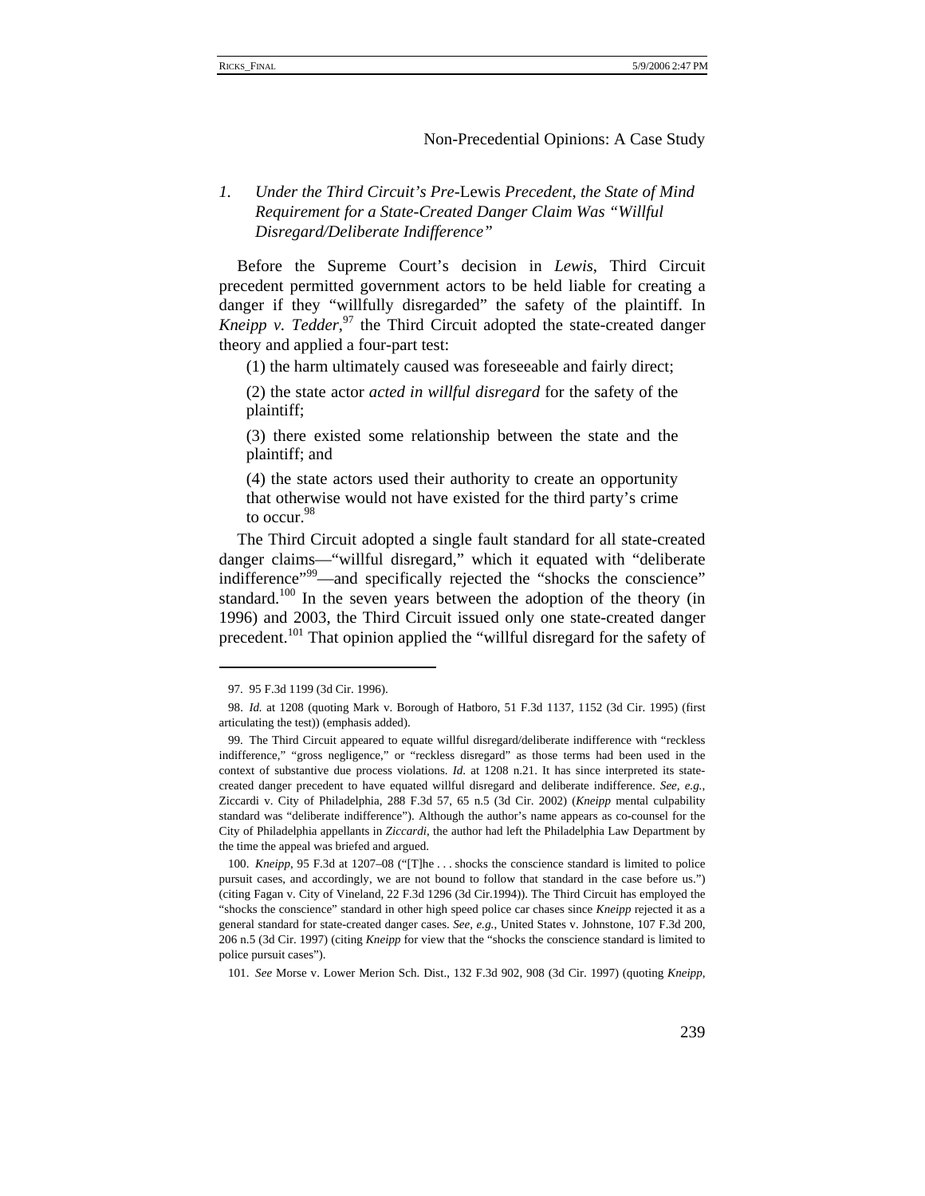# *1. Under the Third Circuit's Pre-*Lewis *Precedent, the State of Mind Requirement for a State-Created Danger Claim Was "Willful Disregard/Deliberate Indifference"*

Before the Supreme Court's decision in *Lewis*, Third Circuit precedent permitted government actors to be held liable for creating a danger if they "willfully disregarded" the safety of the plaintiff. In *Kneipp v. Tedder*,<sup>97</sup> the Third Circuit adopted the state-created danger theory and applied a four-part test:

(1) the harm ultimately caused was foreseeable and fairly direct;

(2) the state actor *acted in willful disregard* for the safety of the plaintiff;

(3) there existed some relationship between the state and the plaintiff; and

(4) the state actors used their authority to create an opportunity that otherwise would not have existed for the third party's crime to occur.<sup>98</sup>

The Third Circuit adopted a single fault standard for all state-created danger claims—"willful disregard," which it equated with "deliberate indifference<sup>"99</sup>—and specifically rejected the "shocks the conscience" standard.<sup>100</sup> In the seven years between the adoption of the theory (in 1996) and 2003, the Third Circuit issued only one state-created danger precedent.<sup>101</sup> That opinion applied the "willful disregard for the safety of

101. *See* Morse v. Lower Merion Sch. Dist., 132 F.3d 902, 908 (3d Cir. 1997) (quoting *Kneipp*,

<sup>97. 95</sup> F.3d 1199 (3d Cir. 1996).

<sup>98.</sup> *Id.* at 1208 (quoting Mark v. Borough of Hatboro, 51 F.3d 1137, 1152 (3d Cir. 1995) (first articulating the test)) (emphasis added).

<sup>99.</sup> The Third Circuit appeared to equate willful disregard/deliberate indifference with "reckless indifference," "gross negligence," or "reckless disregard" as those terms had been used in the context of substantive due process violations. *Id*. at 1208 n.21. It has since interpreted its statecreated danger precedent to have equated willful disregard and deliberate indifference. *See, e.g.*, Ziccardi v. City of Philadelphia, 288 F.3d 57, 65 n.5 (3d Cir. 2002) (*Kneipp* mental culpability standard was "deliberate indifference"). Although the author's name appears as co-counsel for the City of Philadelphia appellants in *Ziccardi*, the author had left the Philadelphia Law Department by the time the appeal was briefed and argued.

<sup>100.</sup> *Kneipp*, 95 F.3d at 1207–08 ("[T]he . . . shocks the conscience standard is limited to police pursuit cases, and accordingly, we are not bound to follow that standard in the case before us.") (citing Fagan v. City of Vineland, 22 F.3d 1296 (3d Cir.1994)). The Third Circuit has employed the "shocks the conscience" standard in other high speed police car chases since *Kneipp* rejected it as a general standard for state-created danger cases. *See, e.g.*, United States v. Johnstone, 107 F.3d 200, 206 n.5 (3d Cir. 1997) (citing *Kneipp* for view that the "shocks the conscience standard is limited to police pursuit cases").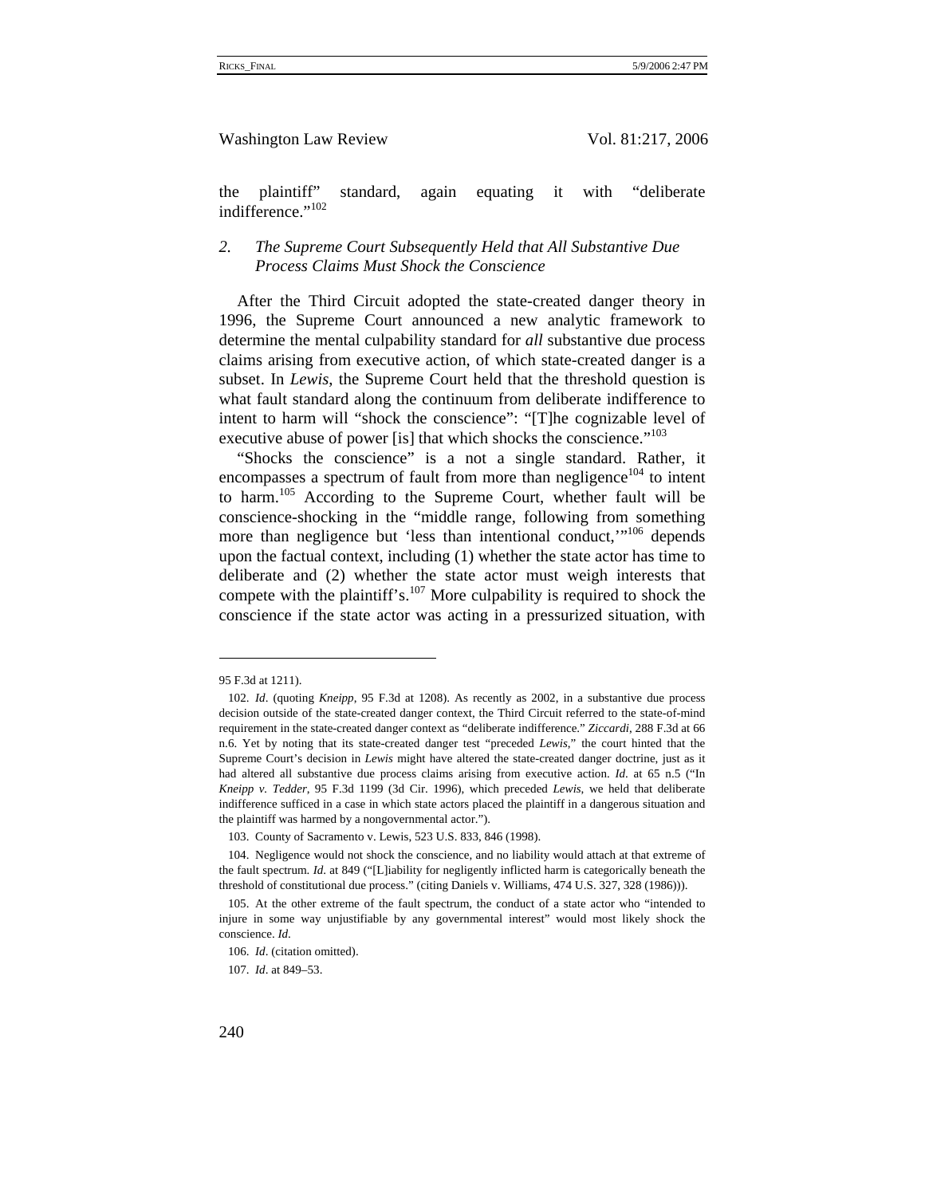the plaintiff" standard, again equating it with "deliberate indifference."<sup>102</sup>

# *2. The Supreme Court Subsequently Held that All Substantive Due Process Claims Must Shock the Conscience*

After the Third Circuit adopted the state-created danger theory in 1996, the Supreme Court announced a new analytic framework to determine the mental culpability standard for *all* substantive due process claims arising from executive action, of which state-created danger is a subset. In *Lewis*, the Supreme Court held that the threshold question is what fault standard along the continuum from deliberate indifference to intent to harm will "shock the conscience": "[T]he cognizable level of executive abuse of power [is] that which shocks the conscience."<sup>103</sup>

"Shocks the conscience" is a not a single standard. Rather, it encompasses a spectrum of fault from more than negligence<sup>104</sup> to intent to harm.<sup>105</sup> According to the Supreme Court, whether fault will be conscience-shocking in the "middle range, following from something more than negligence but 'less than intentional conduct,'"<sup>106</sup> depends upon the factual context, including (1) whether the state actor has time to deliberate and (2) whether the state actor must weigh interests that compete with the plaintiff's.<sup>107</sup> More culpability is required to shock the conscience if the state actor was acting in a pressurized situation, with

<sup>95</sup> F.3d at 1211).

<sup>102.</sup> *Id*. (quoting *Kneipp*, 95 F.3d at 1208). As recently as 2002, in a substantive due process decision outside of the state-created danger context, the Third Circuit referred to the state-of-mind requirement in the state-created danger context as "deliberate indifference." *Ziccardi*, 288 F.3d at 66 n.6. Yet by noting that its state-created danger test "preceded *Lewis*," the court hinted that the Supreme Court's decision in *Lewis* might have altered the state-created danger doctrine, just as it had altered all substantive due process claims arising from executive action. *Id*. at 65 n.5 ("In *Kneipp v. Tedder*, 95 F.3d 1199 (3d Cir. 1996), which preceded *Lewis*, we held that deliberate indifference sufficed in a case in which state actors placed the plaintiff in a dangerous situation and the plaintiff was harmed by a nongovernmental actor.").

<sup>103.</sup> County of Sacramento v. Lewis, 523 U.S. 833, 846 (1998).

<sup>104.</sup> Negligence would not shock the conscience, and no liability would attach at that extreme of the fault spectrum. *Id*. at 849 ("[L]iability for negligently inflicted harm is categorically beneath the threshold of constitutional due process." (citing Daniels v. Williams, 474 U.S. 327, 328 (1986))).

<sup>105.</sup> At the other extreme of the fault spectrum, the conduct of a state actor who "intended to injure in some way unjustifiable by any governmental interest" would most likely shock the conscience. *Id*.

<sup>106.</sup> *Id*. (citation omitted).

<sup>107.</sup> *Id*. at 849–53.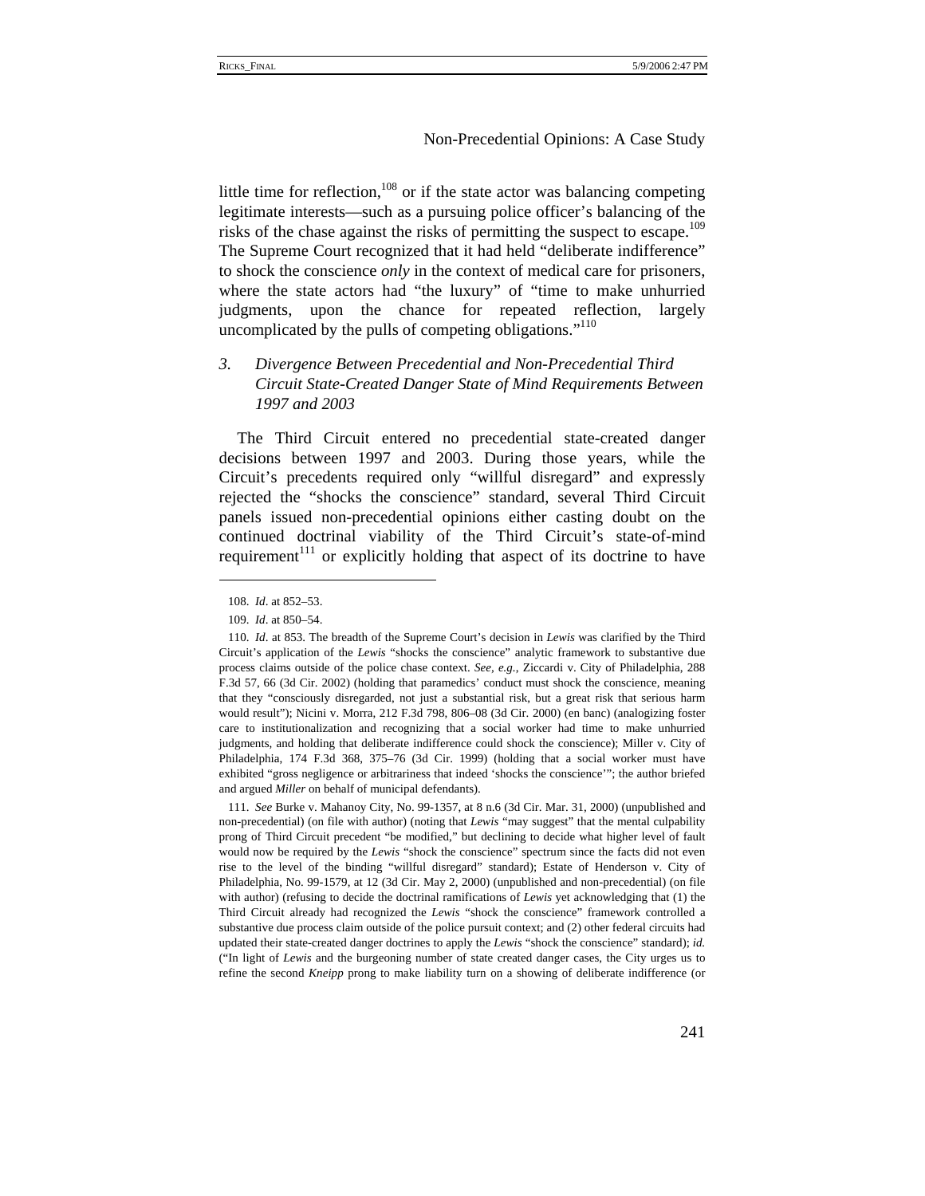little time for reflection, $108$  or if the state actor was balancing competing legitimate interests—such as a pursuing police officer's balancing of the risks of the chase against the risks of permitting the suspect to escape.<sup>109</sup> The Supreme Court recognized that it had held "deliberate indifference" to shock the conscience *only* in the context of medical care for prisoners, where the state actors had "the luxury" of "time to make unhurried judgments, upon the chance for repeated reflection, largely uncomplicated by the pulls of competing obligations."<sup>110</sup>

# *3. Divergence Between Precedential and Non-Precedential Third Circuit State-Created Danger State of Mind Requirements Between 1997 and 2003*

The Third Circuit entered no precedential state-created danger decisions between 1997 and 2003. During those years, while the Circuit's precedents required only "willful disregard" and expressly rejected the "shocks the conscience" standard, several Third Circuit panels issued non-precedential opinions either casting doubt on the continued doctrinal viability of the Third Circuit's state-of-mind requirement $111$  or explicitly holding that aspect of its doctrine to have

111. *See* Burke v. Mahanoy City, No. 99-1357, at 8 n.6 (3d Cir. Mar. 31, 2000) (unpublished and non-precedential) (on file with author) (noting that *Lewis* "may suggest" that the mental culpability prong of Third Circuit precedent "be modified," but declining to decide what higher level of fault would now be required by the *Lewis* "shock the conscience" spectrum since the facts did not even rise to the level of the binding "willful disregard" standard); Estate of Henderson v. City of Philadelphia, No. 99-1579, at 12 (3d Cir. May 2, 2000) (unpublished and non-precedential) (on file with author) (refusing to decide the doctrinal ramifications of *Lewis* yet acknowledging that (1) the Third Circuit already had recognized the *Lewis* "shock the conscience" framework controlled a substantive due process claim outside of the police pursuit context; and (2) other federal circuits had updated their state-created danger doctrines to apply the *Lewis* "shock the conscience" standard); *id.*  ("In light of *Lewis* and the burgeoning number of state created danger cases, the City urges us to refine the second *Kneipp* prong to make liability turn on a showing of deliberate indifference (or

<sup>108.</sup> *Id*. at 852–53.

<sup>109.</sup> *Id*. at 850–54.

<sup>110.</sup> *Id*. at 853. The breadth of the Supreme Court's decision in *Lewis* was clarified by the Third Circuit's application of the *Lewis* "shocks the conscience" analytic framework to substantive due process claims outside of the police chase context. *See, e.g.*, Ziccardi v. City of Philadelphia, 288 F.3d 57, 66 (3d Cir. 2002) (holding that paramedics' conduct must shock the conscience, meaning that they "consciously disregarded, not just a substantial risk, but a great risk that serious harm would result"); Nicini v. Morra, 212 F.3d 798, 806–08 (3d Cir. 2000) (en banc) (analogizing foster care to institutionalization and recognizing that a social worker had time to make unhurried judgments, and holding that deliberate indifference could shock the conscience); Miller v. City of Philadelphia, 174 F.3d 368, 375–76 (3d Cir. 1999) (holding that a social worker must have exhibited "gross negligence or arbitrariness that indeed 'shocks the conscience'"; the author briefed and argued *Miller* on behalf of municipal defendants).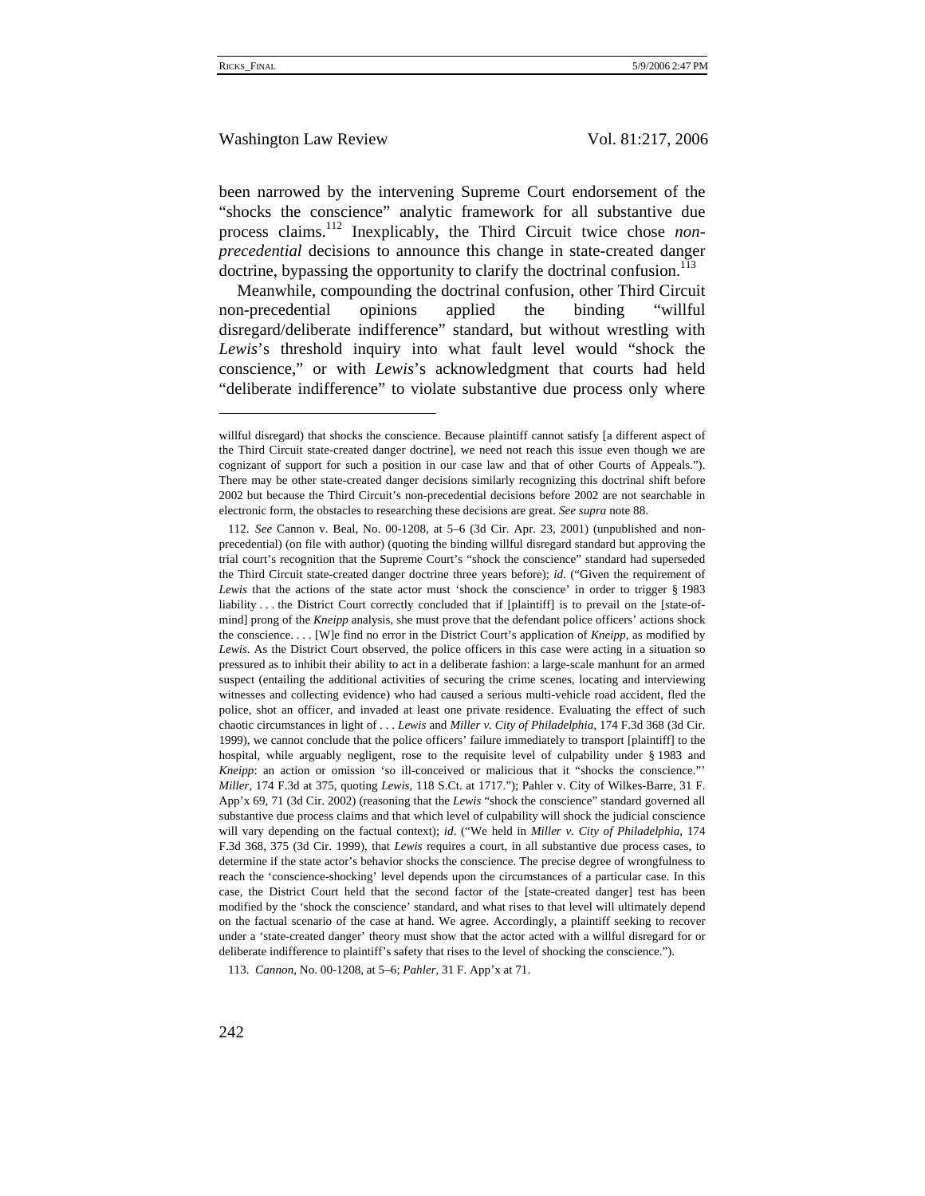# Washington Law Review Vol. 81:217, 2006

been narrowed by the intervening Supreme Court endorsement of the "shocks the conscience" analytic framework for all substantive due process claims.112 Inexplicably, the Third Circuit twice chose *nonprecedential* decisions to announce this change in state-created danger doctrine, bypassing the opportunity to clarify the doctrinal confusion. $^{113}$ 

Meanwhile, compounding the doctrinal confusion, other Third Circuit non-precedential opinions applied the binding "willful disregard/deliberate indifference" standard, but without wrestling with *Lewis*'s threshold inquiry into what fault level would "shock the conscience," or with *Lewis*'s acknowledgment that courts had held "deliberate indifference" to violate substantive due process only where

113. *Cannon*, No. 00-1208, at 5–6; *Pahler*, 31 F. App'x at 71.

willful disregard) that shocks the conscience. Because plaintiff cannot satisfy [a different aspect of the Third Circuit state-created danger doctrine], we need not reach this issue even though we are cognizant of support for such a position in our case law and that of other Courts of Appeals."). There may be other state-created danger decisions similarly recognizing this doctrinal shift before 2002 but because the Third Circuit's non-precedential decisions before 2002 are not searchable in electronic form, the obstacles to researching these decisions are great. *See supra* note 88.

<sup>112.</sup> *See* Cannon v. Beal, No. 00-1208, at 5–6 (3d Cir. Apr. 23, 2001) (unpublished and nonprecedential) (on file with author) (quoting the binding willful disregard standard but approving the trial court's recognition that the Supreme Court's "shock the conscience" standard had superseded the Third Circuit state-created danger doctrine three years before); *id.* ("Given the requirement of *Lewis* that the actions of the state actor must 'shock the conscience' in order to trigger § 1983 liability . . . the District Court correctly concluded that if [plaintiff] is to prevail on the [state-ofmind] prong of the *Kneipp* analysis, she must prove that the defendant police officers' actions shock the conscience. . . . [W]e find no error in the District Court's application of *Kneipp*, as modified by *Lewis*. As the District Court observed, the police officers in this case were acting in a situation so pressured as to inhibit their ability to act in a deliberate fashion: a large-scale manhunt for an armed suspect (entailing the additional activities of securing the crime scenes, locating and interviewing witnesses and collecting evidence) who had caused a serious multi-vehicle road accident, fled the police, shot an officer, and invaded at least one private residence. Evaluating the effect of such chaotic circumstances in light of . . . *Lewis* and *Miller v. City of Philadelphia*, 174 F.3d 368 (3d Cir. 1999), we cannot conclude that the police officers' failure immediately to transport [plaintiff] to the hospital, while arguably negligent, rose to the requisite level of culpability under § 1983 and *Kneipp*: an action or omission 'so ill-conceived or malicious that it "shocks the conscience."' *Miller*, 174 F.3d at 375, quoting *Lewis*, 118 S.Ct. at 1717."); Pahler v. City of Wilkes-Barre, 31 F. App'x 69, 71 (3d Cir. 2002) (reasoning that the *Lewis* "shock the conscience" standard governed all substantive due process claims and that which level of culpability will shock the judicial conscience will vary depending on the factual context); *id*. ("We held in *Miller v. City of Philadelphia*, 174 F.3d 368, 375 (3d Cir. 1999), that *Lewis* requires a court, in all substantive due process cases, to determine if the state actor's behavior shocks the conscience. The precise degree of wrongfulness to reach the 'conscience-shocking' level depends upon the circumstances of a particular case. In this case, the District Court held that the second factor of the [state-created danger] test has been modified by the 'shock the conscience' standard, and what rises to that level will ultimately depend on the factual scenario of the case at hand. We agree. Accordingly, a plaintiff seeking to recover under a 'state-created danger' theory must show that the actor acted with a willful disregard for or deliberate indifference to plaintiff's safety that rises to the level of shocking the conscience.").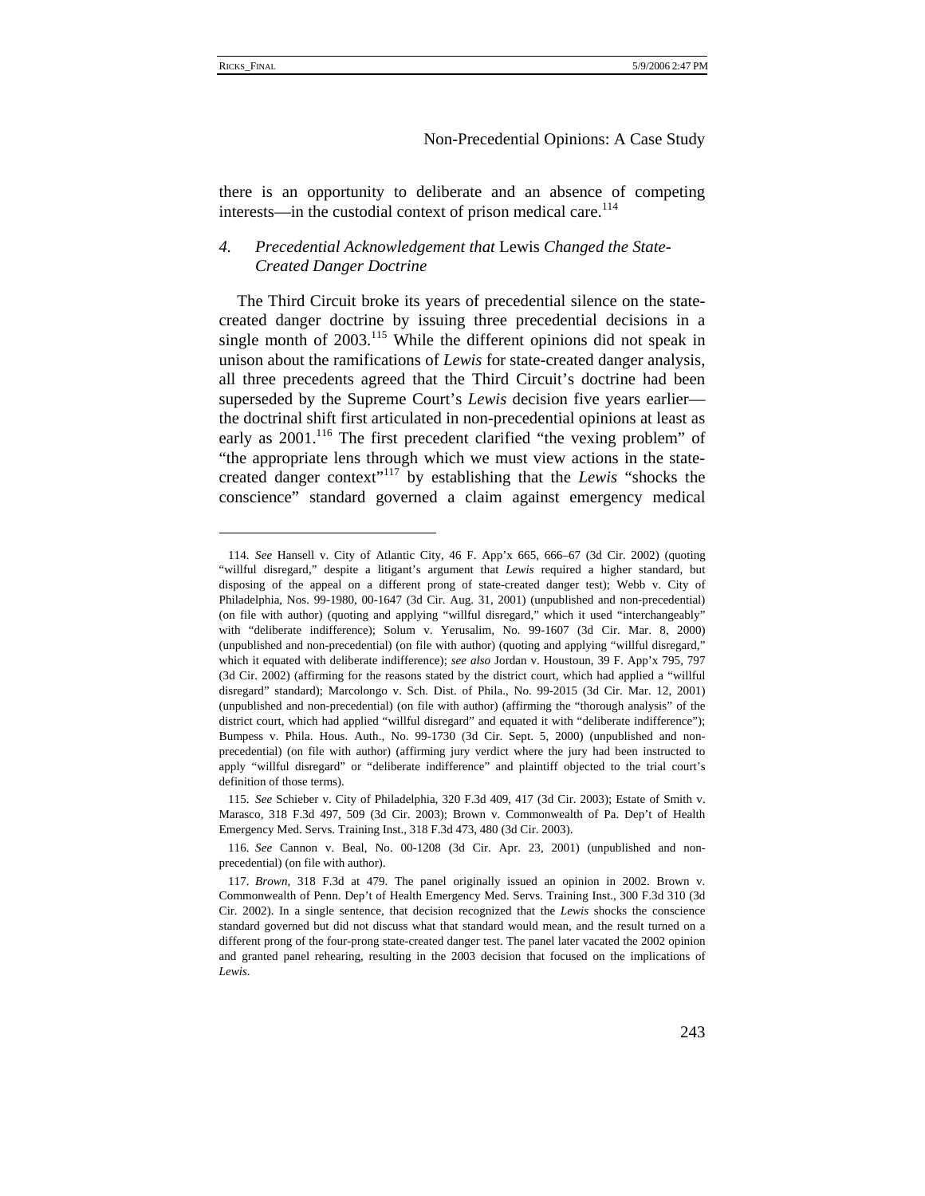$\overline{a}$ 

# Non-Precedential Opinions: A Case Study

there is an opportunity to deliberate and an absence of competing interests—in the custodial context of prison medical care.<sup>114</sup>

# *4. Precedential Acknowledgement that* Lewis *Changed the State-Created Danger Doctrine*

The Third Circuit broke its years of precedential silence on the statecreated danger doctrine by issuing three precedential decisions in a single month of  $2003$ <sup>115</sup> While the different opinions did not speak in unison about the ramifications of *Lewis* for state-created danger analysis, all three precedents agreed that the Third Circuit's doctrine had been superseded by the Supreme Court's *Lewis* decision five years earlier the doctrinal shift first articulated in non-precedential opinions at least as early as  $2001$ .<sup>116</sup> The first precedent clarified "the vexing problem" of "the appropriate lens through which we must view actions in the statecreated danger context"117 by establishing that the *Lewis* "shocks the conscience" standard governed a claim against emergency medical

<sup>114.</sup> *See* Hansell v. City of Atlantic City, 46 F. App'x 665, 666–67 (3d Cir. 2002) (quoting "willful disregard," despite a litigant's argument that *Lewis* required a higher standard, but disposing of the appeal on a different prong of state-created danger test); Webb v. City of Philadelphia, Nos. 99-1980, 00-1647 (3d Cir. Aug. 31, 2001) (unpublished and non-precedential) (on file with author) (quoting and applying "willful disregard," which it used "interchangeably" with "deliberate indifference); Solum v. Yerusalim, No. 99-1607 (3d Cir. Mar. 8, 2000) (unpublished and non-precedential) (on file with author) (quoting and applying "willful disregard," which it equated with deliberate indifference); *see also* Jordan v. Houstoun, 39 F. App'x 795, 797 (3d Cir. 2002) (affirming for the reasons stated by the district court, which had applied a "willful disregard" standard); Marcolongo v. Sch. Dist. of Phila., No. 99-2015 (3d Cir. Mar. 12, 2001) (unpublished and non-precedential) (on file with author) (affirming the "thorough analysis" of the district court, which had applied "willful disregard" and equated it with "deliberate indifference"); Bumpess v. Phila. Hous. Auth., No. 99-1730 (3d Cir. Sept. 5, 2000) (unpublished and nonprecedential) (on file with author) (affirming jury verdict where the jury had been instructed to apply "willful disregard" or "deliberate indifference" and plaintiff objected to the trial court's definition of those terms).

<sup>115.</sup> *See* Schieber v. City of Philadelphia, 320 F.3d 409, 417 (3d Cir. 2003); Estate of Smith v. Marasco, 318 F.3d 497, 509 (3d Cir. 2003); Brown v. Commonwealth of Pa. Dep't of Health Emergency Med. Servs. Training Inst., 318 F.3d 473, 480 (3d Cir. 2003).

<sup>116.</sup> *See* Cannon v. Beal, No. 00-1208 (3d Cir. Apr. 23, 2001) (unpublished and nonprecedential) (on file with author).

<sup>117.</sup> *Brown*, 318 F.3d at 479. The panel originally issued an opinion in 2002. Brown v. Commonwealth of Penn. Dep't of Health Emergency Med. Servs. Training Inst., 300 F.3d 310 (3d Cir. 2002). In a single sentence, that decision recognized that the *Lewis* shocks the conscience standard governed but did not discuss what that standard would mean, and the result turned on a different prong of the four-prong state-created danger test. The panel later vacated the 2002 opinion and granted panel rehearing, resulting in the 2003 decision that focused on the implications of *Lewis*.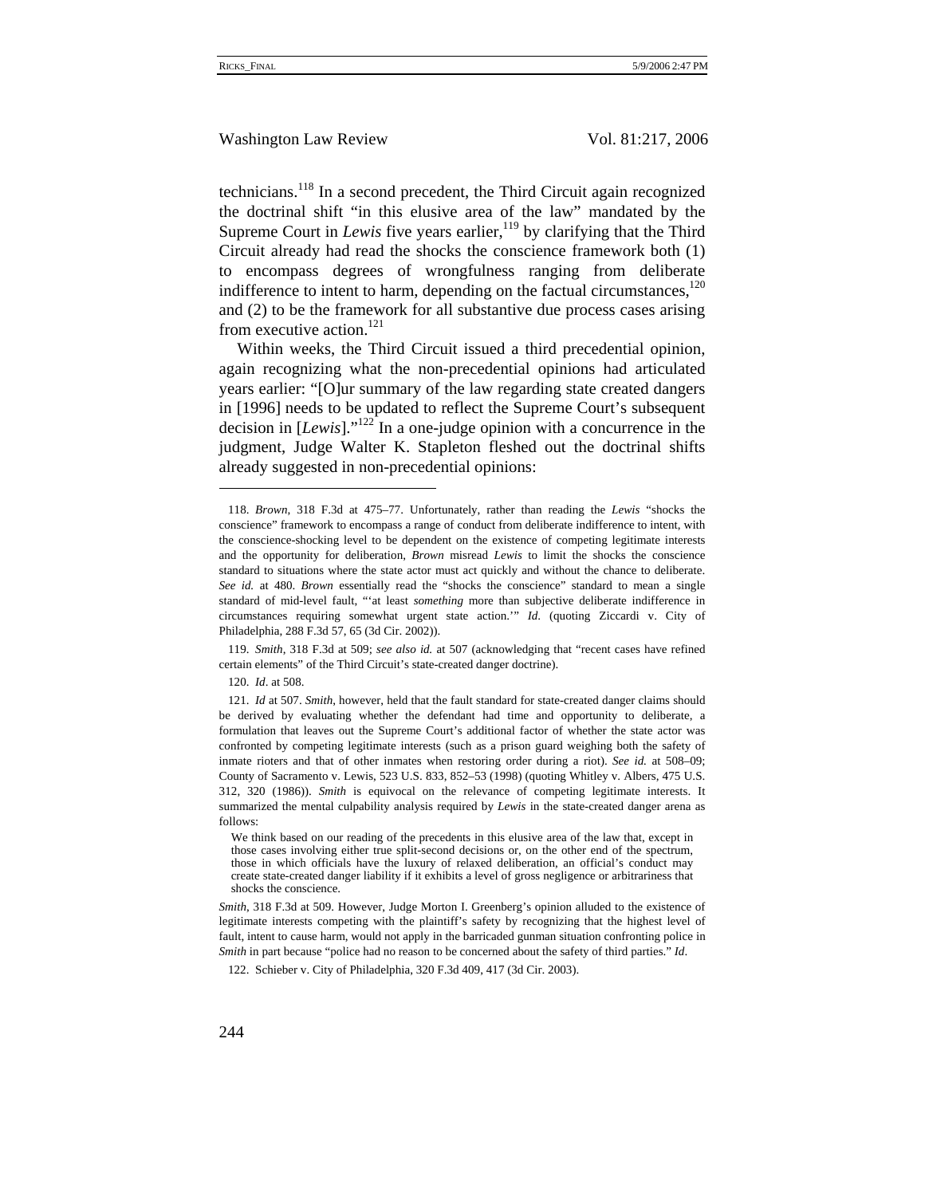technicians.<sup>118</sup> In a second precedent, the Third Circuit again recognized the doctrinal shift "in this elusive area of the law" mandated by the Supreme Court in *Lewis* five years earlier,<sup>119</sup> by clarifying that the Third Circuit already had read the shocks the conscience framework both (1) to encompass degrees of wrongfulness ranging from deliberate indifference to intent to harm, depending on the factual circumstances, $120$ and (2) to be the framework for all substantive due process cases arising from executive action.<sup>121</sup>

Within weeks, the Third Circuit issued a third precedential opinion, again recognizing what the non-precedential opinions had articulated years earlier: "[O]ur summary of the law regarding state created dangers in [1996] needs to be updated to reflect the Supreme Court's subsequent decision in [*Lewis*]."122 In a one-judge opinion with a concurrence in the judgment, Judge Walter K. Stapleton fleshed out the doctrinal shifts already suggested in non-precedential opinions:

<sup>118.</sup> *Brown*, 318 F.3d at 475–77. Unfortunately, rather than reading the *Lewis* "shocks the conscience" framework to encompass a range of conduct from deliberate indifference to intent, with the conscience-shocking level to be dependent on the existence of competing legitimate interests and the opportunity for deliberation, *Brown* misread *Lewis* to limit the shocks the conscience standard to situations where the state actor must act quickly and without the chance to deliberate. *See id.* at 480. *Brown* essentially read the "shocks the conscience" standard to mean a single standard of mid-level fault, "'at least *something* more than subjective deliberate indifference in circumstances requiring somewhat urgent state action.'" *Id*. (quoting Ziccardi v. City of Philadelphia, 288 F.3d 57, 65 (3d Cir. 2002)).

<sup>119.</sup> *Smith*, 318 F.3d at 509; *see also id.* at 507 (acknowledging that "recent cases have refined certain elements" of the Third Circuit's state-created danger doctrine).

<sup>120.</sup> *Id*. at 508.

<sup>121.</sup> *Id* at 507. *Smith*, however, held that the fault standard for state-created danger claims should be derived by evaluating whether the defendant had time and opportunity to deliberate, a formulation that leaves out the Supreme Court's additional factor of whether the state actor was confronted by competing legitimate interests (such as a prison guard weighing both the safety of inmate rioters and that of other inmates when restoring order during a riot). *See id.* at 508–09; County of Sacramento v. Lewis, 523 U.S. 833, 852–53 (1998) (quoting Whitley v. Albers, 475 U.S. 312, 320 (1986)). *Smith* is equivocal on the relevance of competing legitimate interests. It summarized the mental culpability analysis required by *Lewis* in the state-created danger arena as follows:

We think based on our reading of the precedents in this elusive area of the law that, except in those cases involving either true split-second decisions or, on the other end of the spectrum, those in which officials have the luxury of relaxed deliberation, an official's conduct may create state-created danger liability if it exhibits a level of gross negligence or arbitrariness that shocks the conscience.

*Smith*, 318 F.3d at 509. However, Judge Morton I. Greenberg's opinion alluded to the existence of legitimate interests competing with the plaintiff's safety by recognizing that the highest level of fault, intent to cause harm, would not apply in the barricaded gunman situation confronting police in *Smith* in part because "police had no reason to be concerned about the safety of third parties." *Id*.

<sup>122.</sup> Schieber v. City of Philadelphia, 320 F.3d 409, 417 (3d Cir. 2003).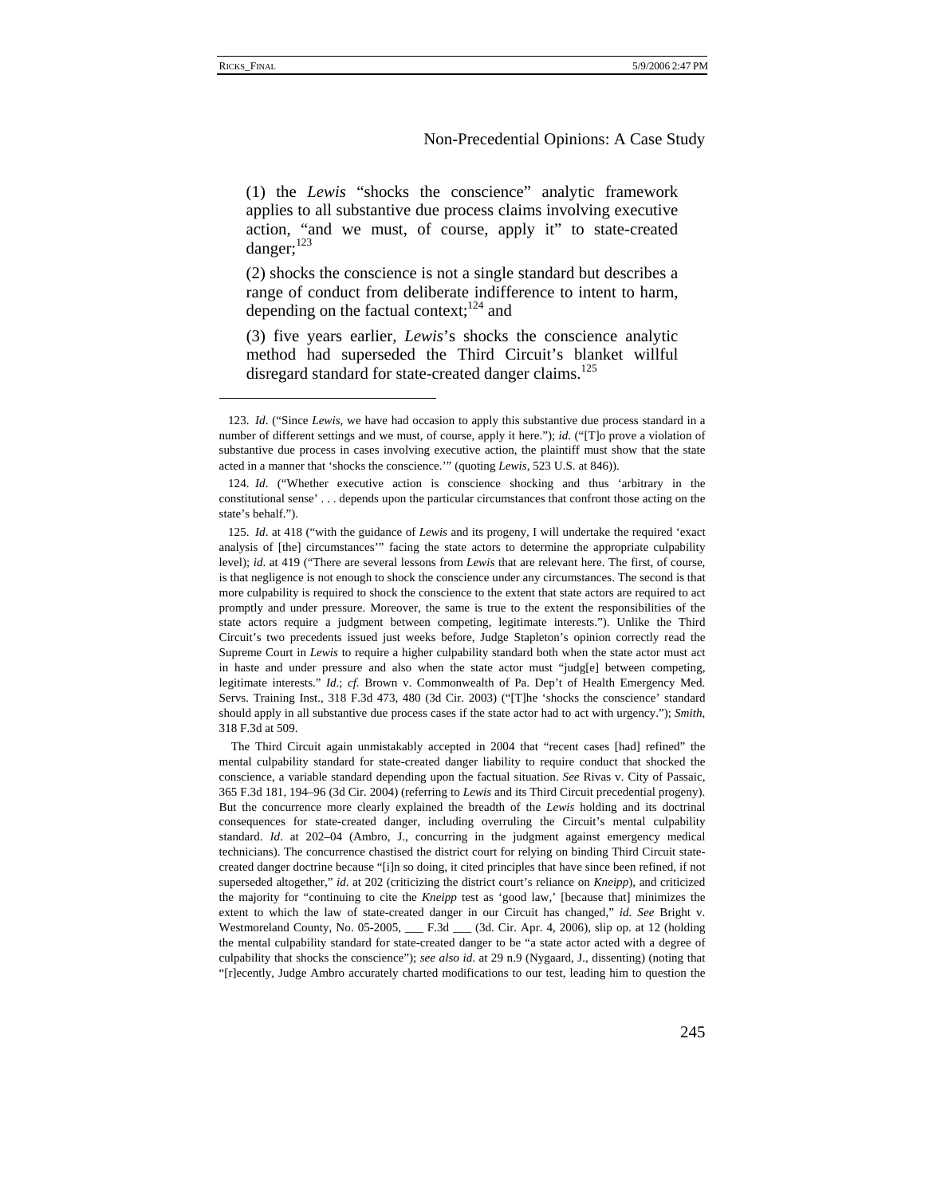# Non-Precedential Opinions: A Case Study

(1) the *Lewis* "shocks the conscience" analytic framework applies to all substantive due process claims involving executive action, "and we must, of course, apply it" to state-created danger;<sup>123</sup>

(2) shocks the conscience is not a single standard but describes a range of conduct from deliberate indifference to intent to harm, depending on the factual context; $^{124}$  and

(3) five years earlier, *Lewis*'s shocks the conscience analytic method had superseded the Third Circuit's blanket willful disregard standard for state-created danger claims.<sup>125</sup>

<sup>123.</sup> *Id*. ("Since *Lewis*, we have had occasion to apply this substantive due process standard in a number of different settings and we must, of course, apply it here."); *id.* ("[T]o prove a violation of substantive due process in cases involving executive action, the plaintiff must show that the state acted in a manner that 'shocks the conscience.'" (quoting *Lewis*, 523 U.S. at 846)).

<sup>124.</sup> *Id*. ("Whether executive action is conscience shocking and thus 'arbitrary in the constitutional sense' . . . depends upon the particular circumstances that confront those acting on the state's behalf.")

<sup>125.</sup> *Id*. at 418 ("with the guidance of *Lewis* and its progeny, I will undertake the required 'exact analysis of [the] circumstances'" facing the state actors to determine the appropriate culpability level); *id*. at 419 ("There are several lessons from *Lewis* that are relevant here. The first, of course, is that negligence is not enough to shock the conscience under any circumstances. The second is that more culpability is required to shock the conscience to the extent that state actors are required to act promptly and under pressure. Moreover, the same is true to the extent the responsibilities of the state actors require a judgment between competing, legitimate interests."). Unlike the Third Circuit's two precedents issued just weeks before, Judge Stapleton's opinion correctly read the Supreme Court in *Lewis* to require a higher culpability standard both when the state actor must act in haste and under pressure and also when the state actor must "judg[e] between competing, legitimate interests." *Id*.; *cf.* Brown v. Commonwealth of Pa. Dep't of Health Emergency Med. Servs. Training Inst., 318 F.3d 473, 480 (3d Cir. 2003) ("[T]he 'shocks the conscience' standard should apply in all substantive due process cases if the state actor had to act with urgency."); *Smith*, 318 F.3d at 509.

The Third Circuit again unmistakably accepted in 2004 that "recent cases [had] refined" the mental culpability standard for state-created danger liability to require conduct that shocked the conscience, a variable standard depending upon the factual situation. *See* Rivas v. City of Passaic, 365 F.3d 181, 194–96 (3d Cir. 2004) (referring to *Lewis* and its Third Circuit precedential progeny). But the concurrence more clearly explained the breadth of the *Lewis* holding and its doctrinal consequences for state-created danger, including overruling the Circuit's mental culpability standard. *Id*. at 202–04 (Ambro, J., concurring in the judgment against emergency medical technicians). The concurrence chastised the district court for relying on binding Third Circuit statecreated danger doctrine because "[i]n so doing, it cited principles that have since been refined, if not superseded altogether," *id*. at 202 (criticizing the district court's reliance on *Kneipp*), and criticized the majority for "continuing to cite the *Kneipp* test as 'good law,' [because that] minimizes the extent to which the law of state-created danger in our Circuit has changed," *id. See* Bright v. Westmoreland County, No. 05-2005, \_\_\_ F.3d \_\_\_ (3d. Cir. Apr. 4, 2006), slip op. at 12 (holding the mental culpability standard for state-created danger to be "a state actor acted with a degree of culpability that shocks the conscience"); *see also id*. at 29 n.9 (Nygaard, J., dissenting) (noting that "[r]ecently, Judge Ambro accurately charted modifications to our test, leading him to question the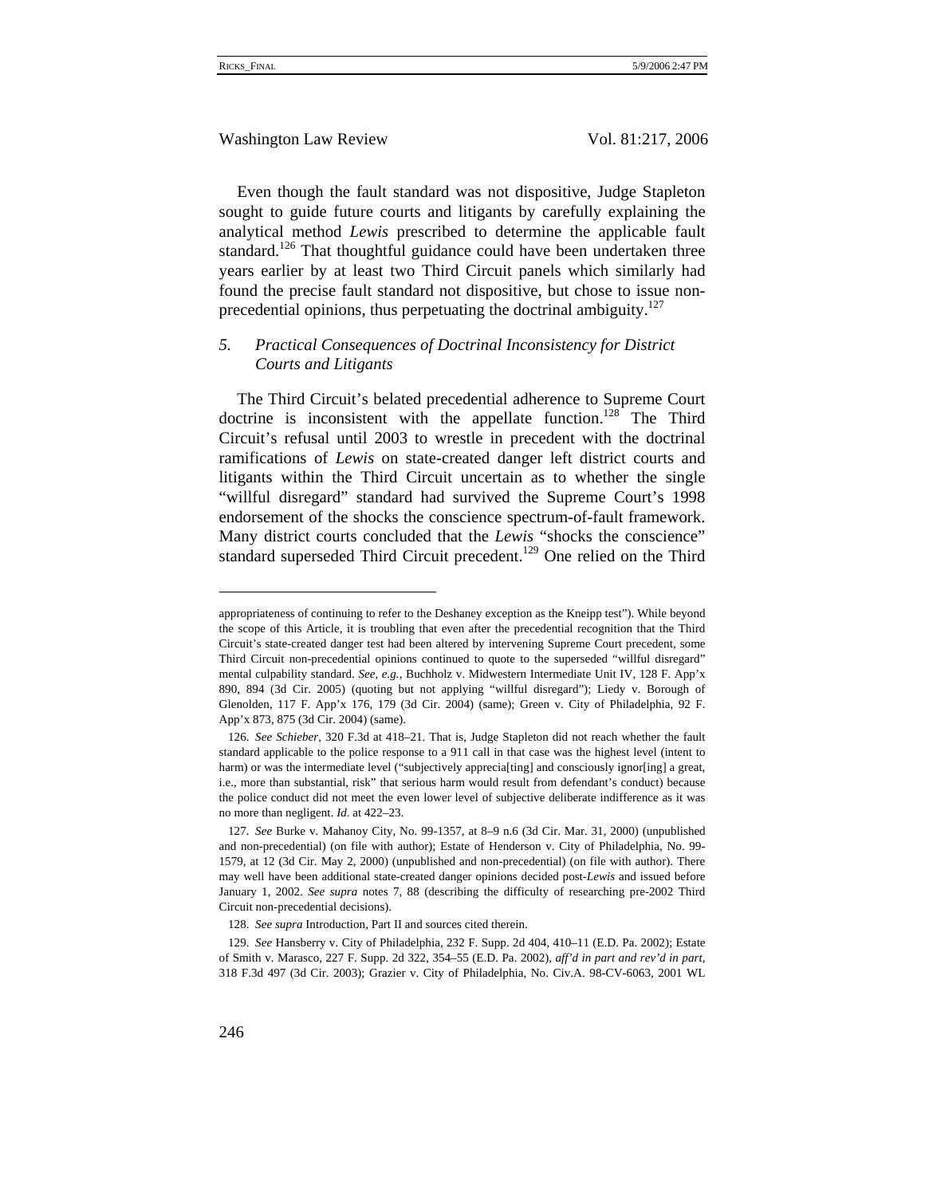Even though the fault standard was not dispositive, Judge Stapleton sought to guide future courts and litigants by carefully explaining the analytical method *Lewis* prescribed to determine the applicable fault standard.<sup>126</sup> That thoughtful guidance could have been undertaken three years earlier by at least two Third Circuit panels which similarly had found the precise fault standard not dispositive, but chose to issue nonprecedential opinions, thus perpetuating the doctrinal ambiguity. $127$ 

# *5. Practical Consequences of Doctrinal Inconsistency for District Courts and Litigants*

The Third Circuit's belated precedential adherence to Supreme Court doctrine is inconsistent with the appellate function.<sup>128</sup> The Third Circuit's refusal until 2003 to wrestle in precedent with the doctrinal ramifications of *Lewis* on state-created danger left district courts and litigants within the Third Circuit uncertain as to whether the single "willful disregard" standard had survived the Supreme Court's 1998 endorsement of the shocks the conscience spectrum-of-fault framework. Many district courts concluded that the *Lewis* "shocks the conscience" standard superseded Third Circuit precedent.<sup>129</sup> One relied on the Third

appropriateness of continuing to refer to the Deshaney exception as the Kneipp test"). While beyond the scope of this Article, it is troubling that even after the precedential recognition that the Third Circuit's state-created danger test had been altered by intervening Supreme Court precedent, some Third Circuit non-precedential opinions continued to quote to the superseded "willful disregard" mental culpability standard. *See, e.g.*, Buchholz v. Midwestern Intermediate Unit IV, 128 F. App'x 890, 894 (3d Cir. 2005) (quoting but not applying "willful disregard"); Liedy v. Borough of Glenolden, 117 F. App'x 176, 179 (3d Cir. 2004) (same); Green v. City of Philadelphia, 92 F. App'x 873, 875 (3d Cir. 2004) (same).

<sup>126.</sup> *See Schieber*, 320 F.3d at 418–21. That is, Judge Stapleton did not reach whether the fault standard applicable to the police response to a 911 call in that case was the highest level (intent to harm) or was the intermediate level ("subjectively apprecialting] and consciously ignor[ing] a great, i.e., more than substantial, risk" that serious harm would result from defendant's conduct) because the police conduct did not meet the even lower level of subjective deliberate indifference as it was no more than negligent. *Id*. at 422–23.

<sup>127.</sup> *See* Burke v. Mahanoy City, No. 99-1357, at 8–9 n.6 (3d Cir. Mar. 31, 2000) (unpublished and non-precedential) (on file with author); Estate of Henderson v. City of Philadelphia, No. 99- 1579, at 12 (3d Cir. May 2, 2000) (unpublished and non-precedential) (on file with author). There may well have been additional state-created danger opinions decided post-*Lewis* and issued before January 1, 2002. *See supra* notes 7, 88 (describing the difficulty of researching pre-2002 Third Circuit non-precedential decisions).

<sup>128.</sup> *See supra* Introduction, Part II and sources cited therein.

<sup>129.</sup> *See* Hansberry v. City of Philadelphia, 232 F. Supp. 2d 404, 410–11 (E.D. Pa. 2002); Estate of Smith v. Marasco, 227 F. Supp. 2d 322, 354–55 (E.D. Pa. 2002), *aff'd in part and rev'd in part*, 318 F.3d 497 (3d Cir. 2003); Grazier v. City of Philadelphia, No. Civ.A. 98-CV-6063, 2001 WL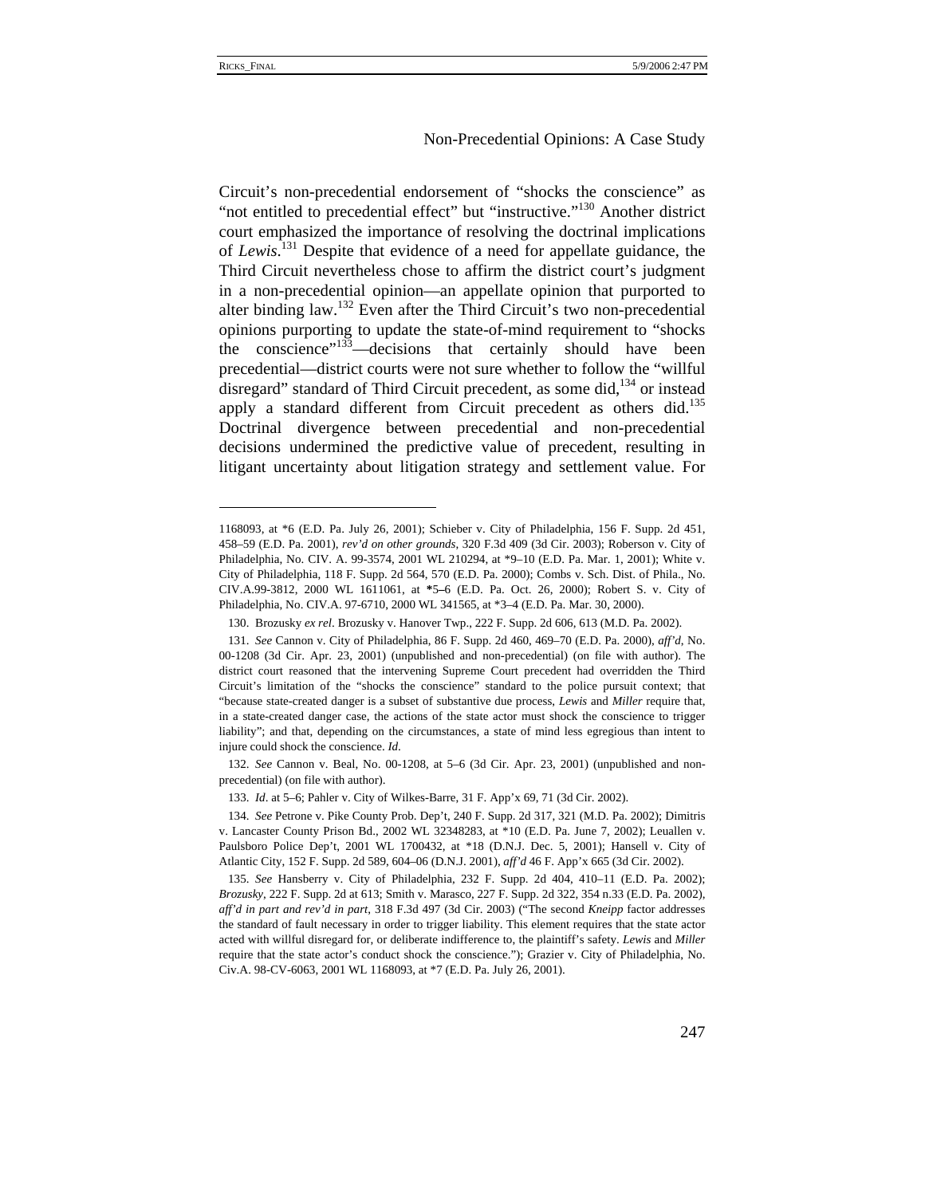## Non-Precedential Opinions: A Case Study

Circuit's non-precedential endorsement of "shocks the conscience" as "not entitled to precedential effect" but "instructive."130 Another district court emphasized the importance of resolving the doctrinal implications of *Lewis*. 131 Despite that evidence of a need for appellate guidance, the Third Circuit nevertheless chose to affirm the district court's judgment in a non-precedential opinion—an appellate opinion that purported to alter binding law.132 Even after the Third Circuit's two non-precedential opinions purporting to update the state-of-mind requirement to "shocks the conscience"<sup>133</sup>—decisions that certainly should have been precedential—district courts were not sure whether to follow the "willful disregard" standard of Third Circuit precedent, as some did, $^{134}$  or instead apply a standard different from Circuit precedent as others did.<sup>135</sup> Doctrinal divergence between precedential and non-precedential decisions undermined the predictive value of precedent, resulting in litigant uncertainty about litigation strategy and settlement value. For

132. *See* Cannon v. Beal, No. 00-1208, at 5–6 (3d Cir. Apr. 23, 2001) (unpublished and nonprecedential) (on file with author).

133. *Id*. at 5–6; Pahler v. City of Wilkes-Barre, 31 F. App'x 69, 71 (3d Cir. 2002).

<sup>1168093,</sup> at \*6 (E.D. Pa. July 26, 2001); Schieber v. City of Philadelphia, 156 F. Supp. 2d 451, 458–59 (E.D. Pa. 2001), *rev'd on other grounds*, 320 F.3d 409 (3d Cir. 2003); Roberson v. City of Philadelphia, No. CIV. A. 99-3574, 2001 WL 210294, at \*9–10 (E.D. Pa. Mar. 1, 2001); White v. City of Philadelphia, 118 F. Supp. 2d 564, 570 (E.D. Pa. 2000); Combs v. Sch. Dist. of Phila., No. CIV.A.99-3812, 2000 WL 1611061, at **\***5**–**6 (E.D. Pa. Oct. 26, 2000); Robert S. v. City of Philadelphia, No. CIV.A. 97-6710, 2000 WL 341565, at \*3–4 (E.D. Pa. Mar. 30, 2000).

<sup>130.</sup> Brozusky *ex rel*. Brozusky v. Hanover Twp., 222 F. Supp. 2d 606, 613 (M.D. Pa. 2002).

<sup>131.</sup> *See* Cannon v. City of Philadelphia, 86 F. Supp. 2d 460, 469–70 (E.D. Pa. 2000), *aff'd*, No. 00-1208 (3d Cir. Apr. 23, 2001) (unpublished and non-precedential) (on file with author). The district court reasoned that the intervening Supreme Court precedent had overridden the Third Circuit's limitation of the "shocks the conscience" standard to the police pursuit context; that "because state-created danger is a subset of substantive due process, *Lewis* and *Miller* require that, in a state-created danger case, the actions of the state actor must shock the conscience to trigger liability"; and that, depending on the circumstances, a state of mind less egregious than intent to injure could shock the conscience. *Id*.

<sup>134.</sup> *See* Petrone v. Pike County Prob. Dep't, 240 F. Supp. 2d 317, 321 (M.D. Pa. 2002); Dimitris v. Lancaster County Prison Bd., 2002 WL 32348283, at \*10 (E.D. Pa. June 7, 2002); Leuallen v. Paulsboro Police Dep't, 2001 WL 1700432, at \*18 (D.N.J. Dec. 5, 2001); Hansell v. City of Atlantic City, 152 F. Supp. 2d 589, 604–06 (D.N.J. 2001), *aff'd* 46 F. App'x 665 (3d Cir. 2002).

<sup>135.</sup> *See* Hansberry v. City of Philadelphia, 232 F. Supp. 2d 404, 410–11 (E.D. Pa. 2002); *Brozusky*, 222 F. Supp. 2d at 613; Smith v. Marasco, 227 F. Supp. 2d 322, 354 n.33 (E.D. Pa. 2002), *aff'd in part and rev'd in part*, 318 F.3d 497 (3d Cir. 2003) ("The second *Kneipp* factor addresses the standard of fault necessary in order to trigger liability. This element requires that the state actor acted with willful disregard for, or deliberate indifference to, the plaintiff's safety. *Lewis* and *Miller* require that the state actor's conduct shock the conscience."); Grazier v. City of Philadelphia, No. Civ.A. 98-CV-6063, 2001 WL 1168093, at \*7 (E.D. Pa. July 26, 2001).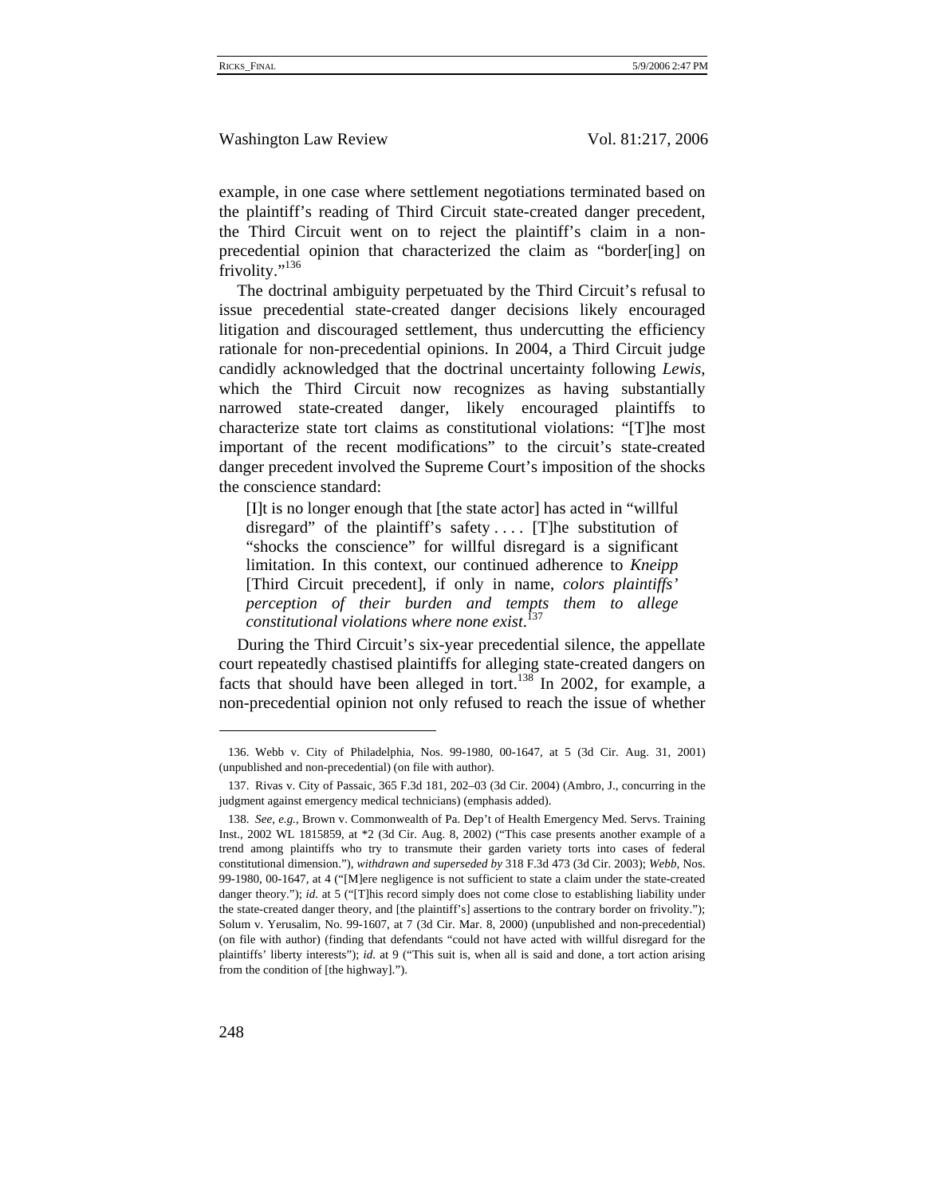example, in one case where settlement negotiations terminated based on the plaintiff's reading of Third Circuit state-created danger precedent, the Third Circuit went on to reject the plaintiff's claim in a nonprecedential opinion that characterized the claim as "border[ing] on frivolity."<sup>136</sup>

The doctrinal ambiguity perpetuated by the Third Circuit's refusal to issue precedential state-created danger decisions likely encouraged litigation and discouraged settlement, thus undercutting the efficiency rationale for non-precedential opinions. In 2004, a Third Circuit judge candidly acknowledged that the doctrinal uncertainty following *Lewis*, which the Third Circuit now recognizes as having substantially narrowed state-created danger, likely encouraged plaintiffs to characterize state tort claims as constitutional violations: "[T]he most important of the recent modifications" to the circuit's state-created danger precedent involved the Supreme Court's imposition of the shocks the conscience standard:

[I]t is no longer enough that [the state actor] has acted in "willful disregard" of the plaintiff's safety.... [T]he substitution of "shocks the conscience" for willful disregard is a significant limitation. In this context, our continued adherence to *Kneipp* [Third Circuit precedent], if only in name, *colors plaintiffs' perception of their burden and tempts them to allege constitutional violations where none exist*. 137

During the Third Circuit's six-year precedential silence, the appellate court repeatedly chastised plaintiffs for alleging state-created dangers on facts that should have been alleged in tort.<sup>138</sup> In 2002, for example, a non-precedential opinion not only refused to reach the issue of whether

<sup>136.</sup> Webb v. City of Philadelphia, Nos. 99-1980, 00-1647, at 5 (3d Cir. Aug. 31, 2001) (unpublished and non-precedential) (on file with author).

<sup>137.</sup> Rivas v. City of Passaic, 365 F.3d 181, 202–03 (3d Cir. 2004) (Ambro, J., concurring in the judgment against emergency medical technicians) (emphasis added).

<sup>138.</sup> *See, e.g.*, Brown v. Commonwealth of Pa. Dep't of Health Emergency Med. Servs. Training Inst., 2002 WL 1815859, at \*2 (3d Cir. Aug. 8, 2002) ("This case presents another example of a trend among plaintiffs who try to transmute their garden variety torts into cases of federal constitutional dimension."), *withdrawn and superseded by* 318 F.3d 473 (3d Cir. 2003); *Webb*, Nos. 99-1980, 00-1647, at 4 ("[M]ere negligence is not sufficient to state a claim under the state-created danger theory."); *id.* at 5 ("[T]his record simply does not come close to establishing liability under the state-created danger theory, and [the plaintiff's] assertions to the contrary border on frivolity."); Solum v. Yerusalim, No. 99-1607, at 7 (3d Cir. Mar. 8, 2000) (unpublished and non-precedential) (on file with author) (finding that defendants "could not have acted with willful disregard for the plaintiffs' liberty interests"); *id.* at 9 ("This suit is, when all is said and done, a tort action arising from the condition of [the highway].").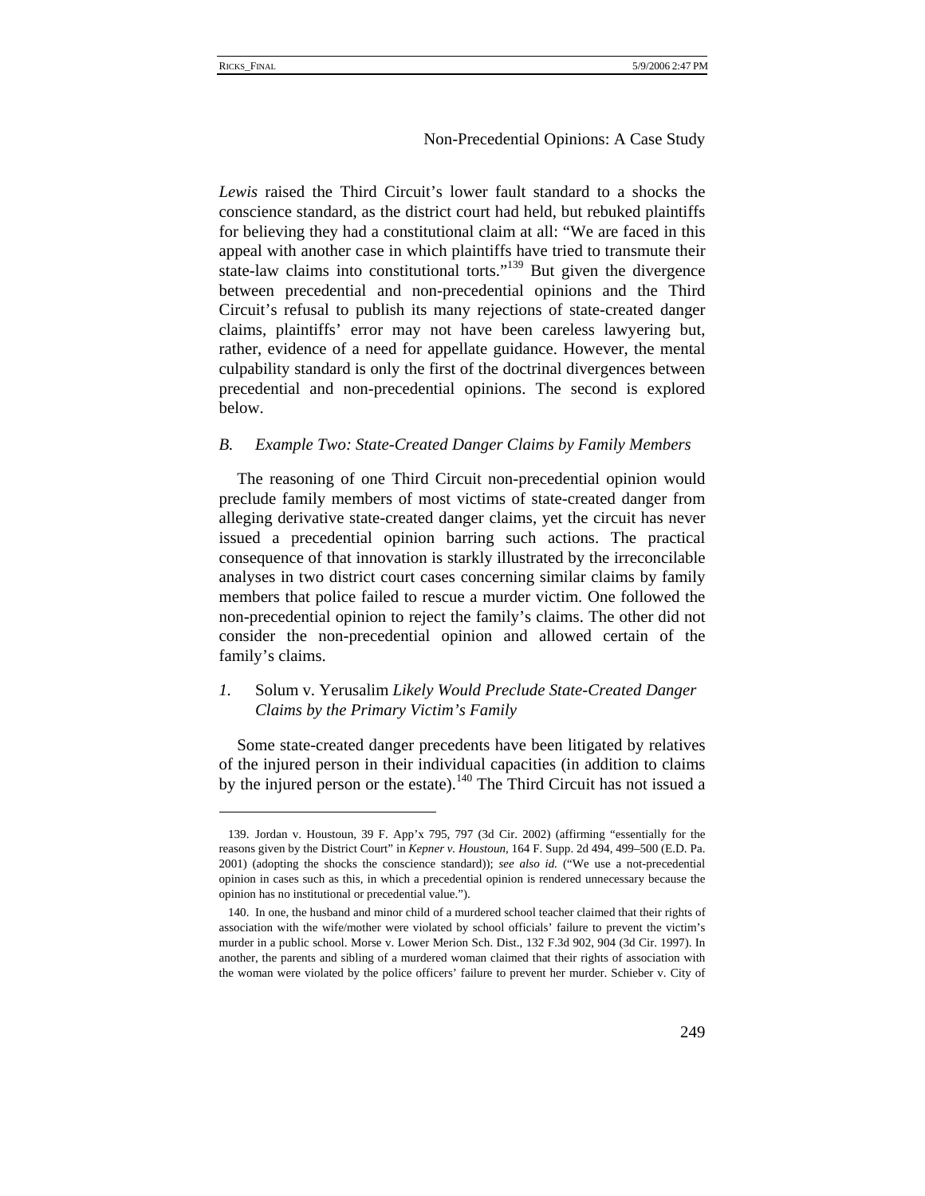#### Non-Precedential Opinions: A Case Study

*Lewis* raised the Third Circuit's lower fault standard to a shocks the conscience standard, as the district court had held, but rebuked plaintiffs for believing they had a constitutional claim at all: "We are faced in this appeal with another case in which plaintiffs have tried to transmute their state-law claims into constitutional torts."<sup>139</sup> But given the divergence between precedential and non-precedential opinions and the Third Circuit's refusal to publish its many rejections of state-created danger claims, plaintiffs' error may not have been careless lawyering but, rather, evidence of a need for appellate guidance. However, the mental culpability standard is only the first of the doctrinal divergences between precedential and non-precedential opinions. The second is explored below.

#### *B. Example Two: State-Created Danger Claims by Family Members*

The reasoning of one Third Circuit non-precedential opinion would preclude family members of most victims of state-created danger from alleging derivative state-created danger claims, yet the circuit has never issued a precedential opinion barring such actions. The practical consequence of that innovation is starkly illustrated by the irreconcilable analyses in two district court cases concerning similar claims by family members that police failed to rescue a murder victim. One followed the non-precedential opinion to reject the family's claims. The other did not consider the non-precedential opinion and allowed certain of the family's claims.

# *1.* Solum v. Yerusalim *Likely Would Preclude State-Created Danger Claims by the Primary Victim's Family*

Some state-created danger precedents have been litigated by relatives of the injured person in their individual capacities (in addition to claims by the injured person or the estate).<sup>140</sup> The Third Circuit has not issued a

<sup>139.</sup> Jordan v. Houstoun, 39 F. App'x 795, 797 (3d Cir. 2002) (affirming "essentially for the reasons given by the District Court" in *Kepner v. Houstoun*, 164 F. Supp. 2d 494, 499–500 (E.D. Pa. 2001) (adopting the shocks the conscience standard)); *see also id.* ("We use a not-precedential opinion in cases such as this, in which a precedential opinion is rendered unnecessary because the opinion has no institutional or precedential value.").

<sup>140.</sup> In one, the husband and minor child of a murdered school teacher claimed that their rights of association with the wife/mother were violated by school officials' failure to prevent the victim's murder in a public school. Morse v. Lower Merion Sch. Dist., 132 F.3d 902, 904 (3d Cir. 1997). In another, the parents and sibling of a murdered woman claimed that their rights of association with the woman were violated by the police officers' failure to prevent her murder. Schieber v. City of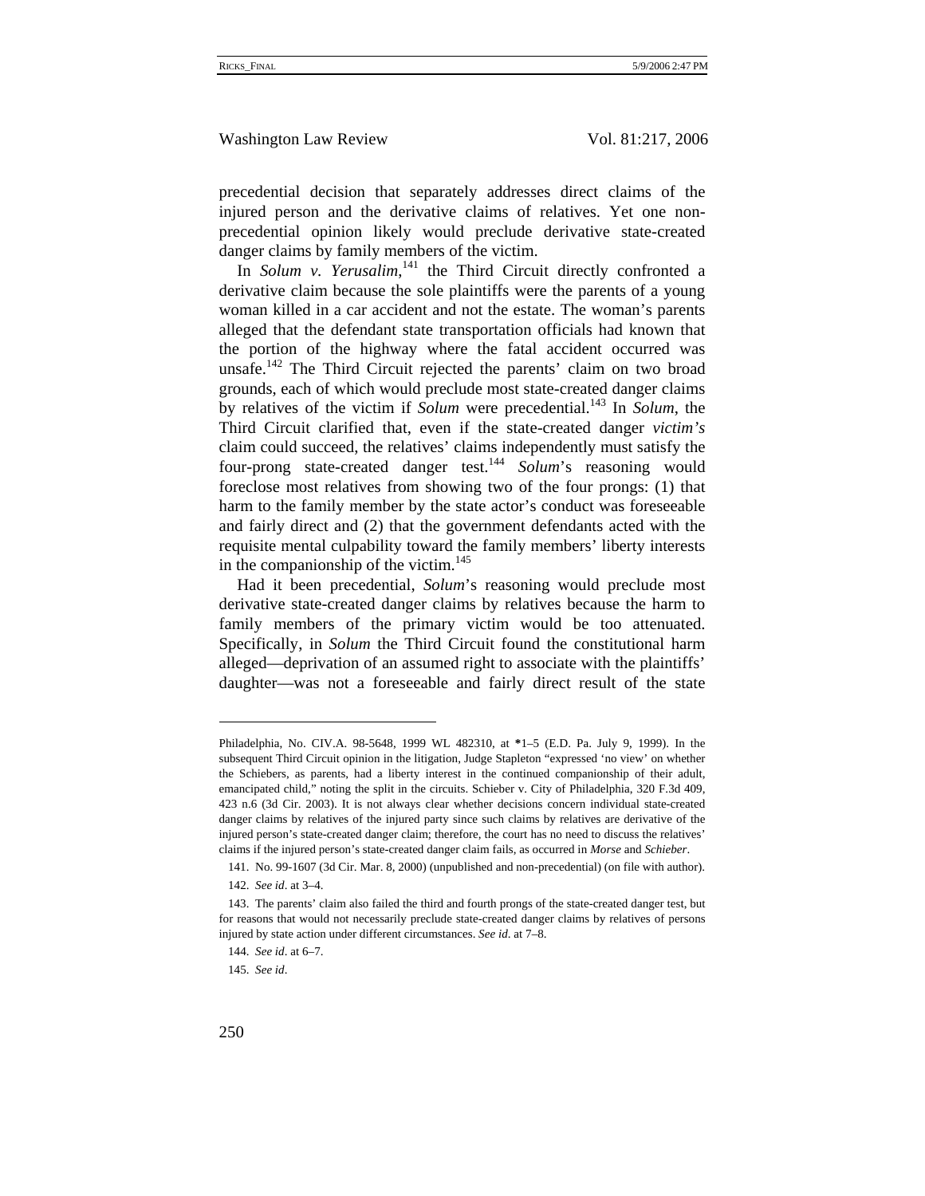precedential decision that separately addresses direct claims of the injured person and the derivative claims of relatives. Yet one nonprecedential opinion likely would preclude derivative state-created danger claims by family members of the victim.

In *Solum v. Yerusalim*,<sup>141</sup> the Third Circuit directly confronted a derivative claim because the sole plaintiffs were the parents of a young woman killed in a car accident and not the estate. The woman's parents alleged that the defendant state transportation officials had known that the portion of the highway where the fatal accident occurred was unsafe.<sup>142</sup> The Third Circuit rejected the parents' claim on two broad grounds, each of which would preclude most state-created danger claims by relatives of the victim if *Solum* were precedential.<sup>143</sup> In *Solum*, the Third Circuit clarified that, even if the state-created danger *victim's* claim could succeed, the relatives' claims independently must satisfy the four-prong state-created danger test.<sup>144</sup> Solum's reasoning would foreclose most relatives from showing two of the four prongs: (1) that harm to the family member by the state actor's conduct was foreseeable and fairly direct and (2) that the government defendants acted with the requisite mental culpability toward the family members' liberty interests in the companionship of the victim. $145$ 

Had it been precedential, *Solum*'s reasoning would preclude most derivative state-created danger claims by relatives because the harm to family members of the primary victim would be too attenuated. Specifically, in *Solum* the Third Circuit found the constitutional harm alleged—deprivation of an assumed right to associate with the plaintiffs' daughter—was not a foreseeable and fairly direct result of the state

Philadelphia, No. CIV.A. 98-5648, 1999 WL 482310, at **\***1–5 (E.D. Pa. July 9, 1999). In the subsequent Third Circuit opinion in the litigation, Judge Stapleton "expressed 'no view' on whether the Schiebers, as parents, had a liberty interest in the continued companionship of their adult, emancipated child," noting the split in the circuits. Schieber v. City of Philadelphia, 320 F.3d 409, 423 n.6 (3d Cir. 2003). It is not always clear whether decisions concern individual state-created danger claims by relatives of the injured party since such claims by relatives are derivative of the injured person's state-created danger claim; therefore, the court has no need to discuss the relatives' claims if the injured person's state-created danger claim fails, as occurred in *Morse* and *Schieber*.

<sup>141.</sup> No. 99-1607 (3d Cir. Mar. 8, 2000) (unpublished and non-precedential) (on file with author). 142. *See id*. at 3–4.

<sup>143.</sup> The parents' claim also failed the third and fourth prongs of the state-created danger test, but for reasons that would not necessarily preclude state-created danger claims by relatives of persons injured by state action under different circumstances. *See id*. at 7–8.

<sup>144.</sup> *See id*. at 6–7.

<sup>145.</sup> *See id*.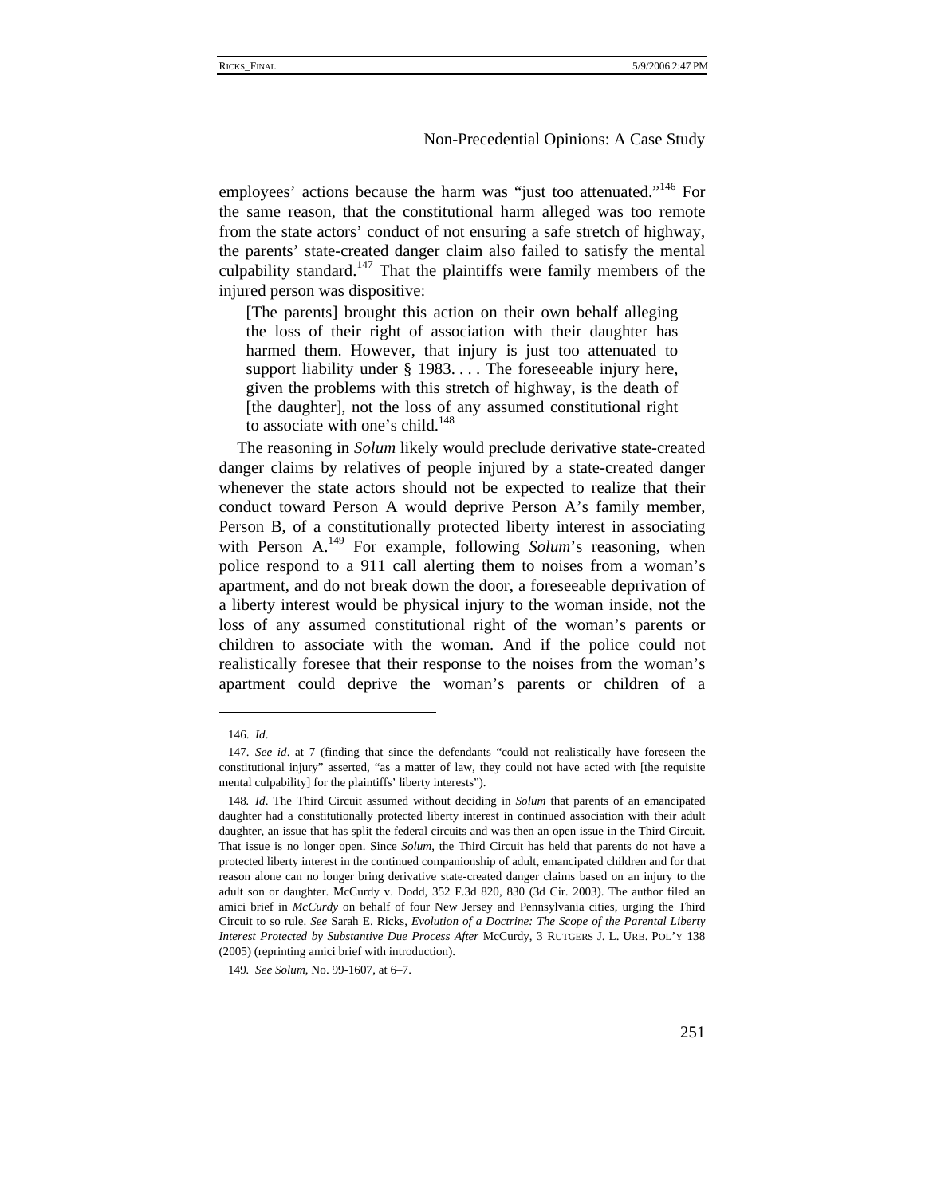employees' actions because the harm was "just too attenuated."<sup>146</sup> For the same reason, that the constitutional harm alleged was too remote from the state actors' conduct of not ensuring a safe stretch of highway, the parents' state-created danger claim also failed to satisfy the mental culpability standard.<sup>147</sup> That the plaintiffs were family members of the injured person was dispositive:

[The parents] brought this action on their own behalf alleging the loss of their right of association with their daughter has harmed them. However, that injury is just too attenuated to support liability under § 1983. . . . The foreseeable injury here, given the problems with this stretch of highway, is the death of [the daughter], not the loss of any assumed constitutional right to associate with one's child.<sup>148</sup>

The reasoning in *Solum* likely would preclude derivative state-created danger claims by relatives of people injured by a state-created danger whenever the state actors should not be expected to realize that their conduct toward Person A would deprive Person A's family member, Person B, of a constitutionally protected liberty interest in associating with Person A.<sup>149</sup> For example, following *Solum's* reasoning, when police respond to a 911 call alerting them to noises from a woman's apartment, and do not break down the door, a foreseeable deprivation of a liberty interest would be physical injury to the woman inside, not the loss of any assumed constitutional right of the woman's parents or children to associate with the woman. And if the police could not realistically foresee that their response to the noises from the woman's apartment could deprive the woman's parents or children of a

<sup>146.</sup> *Id*.

<sup>147.</sup> *See id*. at 7 (finding that since the defendants "could not realistically have foreseen the constitutional injury" asserted, "as a matter of law, they could not have acted with [the requisite mental culpability] for the plaintiffs' liberty interests").

<sup>148</sup>*. Id*. The Third Circuit assumed without deciding in *Solum* that parents of an emancipated daughter had a constitutionally protected liberty interest in continued association with their adult daughter, an issue that has split the federal circuits and was then an open issue in the Third Circuit. That issue is no longer open. Since *Solum*, the Third Circuit has held that parents do not have a protected liberty interest in the continued companionship of adult, emancipated children and for that reason alone can no longer bring derivative state-created danger claims based on an injury to the adult son or daughter. McCurdy v. Dodd, 352 F.3d 820, 830 (3d Cir. 2003). The author filed an amici brief in *McCurdy* on behalf of four New Jersey and Pennsylvania cities, urging the Third Circuit to so rule. *See* Sarah E. Ricks, *Evolution of a Doctrine: The Scope of the Parental Liberty Interest Protected by Substantive Due Process After* McCurdy, 3 RUTGERS J. L. URB. POL'Y 138 (2005) (reprinting amici brief with introduction).

<sup>149</sup>*. See Solum*, No. 99-1607, at 6–7.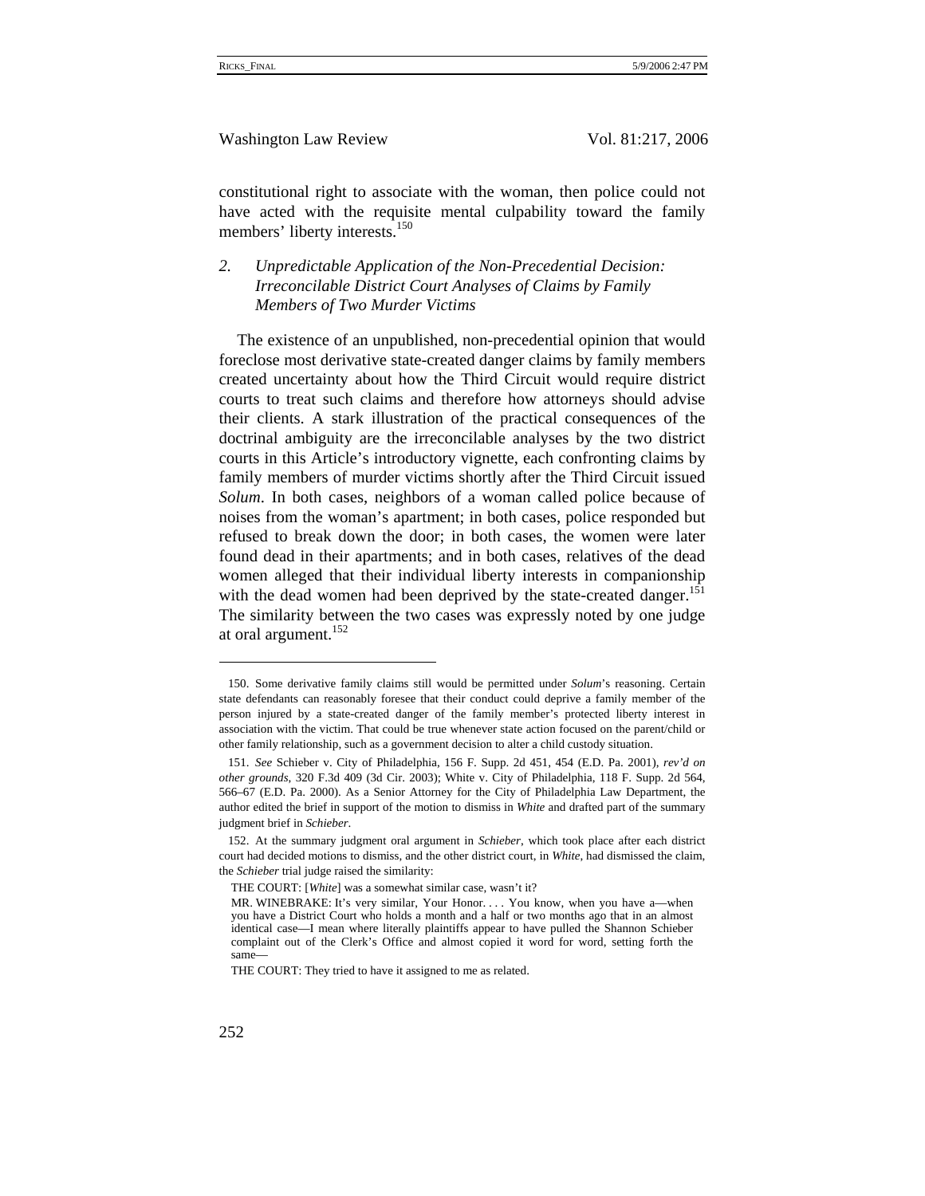constitutional right to associate with the woman, then police could not have acted with the requisite mental culpability toward the family members' liberty interests.<sup>150</sup>

*2. Unpredictable Application of the Non-Precedential Decision: Irreconcilable District Court Analyses of Claims by Family Members of Two Murder Victims* 

The existence of an unpublished, non-precedential opinion that would foreclose most derivative state-created danger claims by family members created uncertainty about how the Third Circuit would require district courts to treat such claims and therefore how attorneys should advise their clients. A stark illustration of the practical consequences of the doctrinal ambiguity are the irreconcilable analyses by the two district courts in this Article's introductory vignette, each confronting claims by family members of murder victims shortly after the Third Circuit issued *Solum*. In both cases, neighbors of a woman called police because of noises from the woman's apartment; in both cases, police responded but refused to break down the door; in both cases, the women were later found dead in their apartments; and in both cases, relatives of the dead women alleged that their individual liberty interests in companionship with the dead women had been deprived by the state-created danger.<sup>151</sup> The similarity between the two cases was expressly noted by one judge at oral argument. $152$ 

<sup>150.</sup> Some derivative family claims still would be permitted under *Solum*'s reasoning. Certain state defendants can reasonably foresee that their conduct could deprive a family member of the person injured by a state-created danger of the family member's protected liberty interest in association with the victim. That could be true whenever state action focused on the parent/child or other family relationship, such as a government decision to alter a child custody situation.

<sup>151.</sup> *See* Schieber v. City of Philadelphia, 156 F. Supp. 2d 451, 454 (E.D. Pa. 2001), *rev'd on other grounds*, 320 F.3d 409 (3d Cir. 2003); White v. City of Philadelphia, 118 F. Supp. 2d 564, 566–67 (E.D. Pa. 2000). As a Senior Attorney for the City of Philadelphia Law Department, the author edited the brief in support of the motion to dismiss in *White* and drafted part of the summary judgment brief in *Schieber*.

<sup>152.</sup> At the summary judgment oral argument in *Schieber*, which took place after each district court had decided motions to dismiss, and the other district court, in *White*, had dismissed the claim, the *Schieber* trial judge raised the similarity:

THE COURT: [*White*] was a somewhat similar case, wasn't it?

MR. WINEBRAKE: It's very similar, Your Honor. . . . You know, when you have a—when you have a District Court who holds a month and a half or two months ago that in an almost identical case—I mean where literally plaintiffs appear to have pulled the Shannon Schieber complaint out of the Clerk's Office and almost copied it word for word, setting forth the same—

THE COURT: They tried to have it assigned to me as related.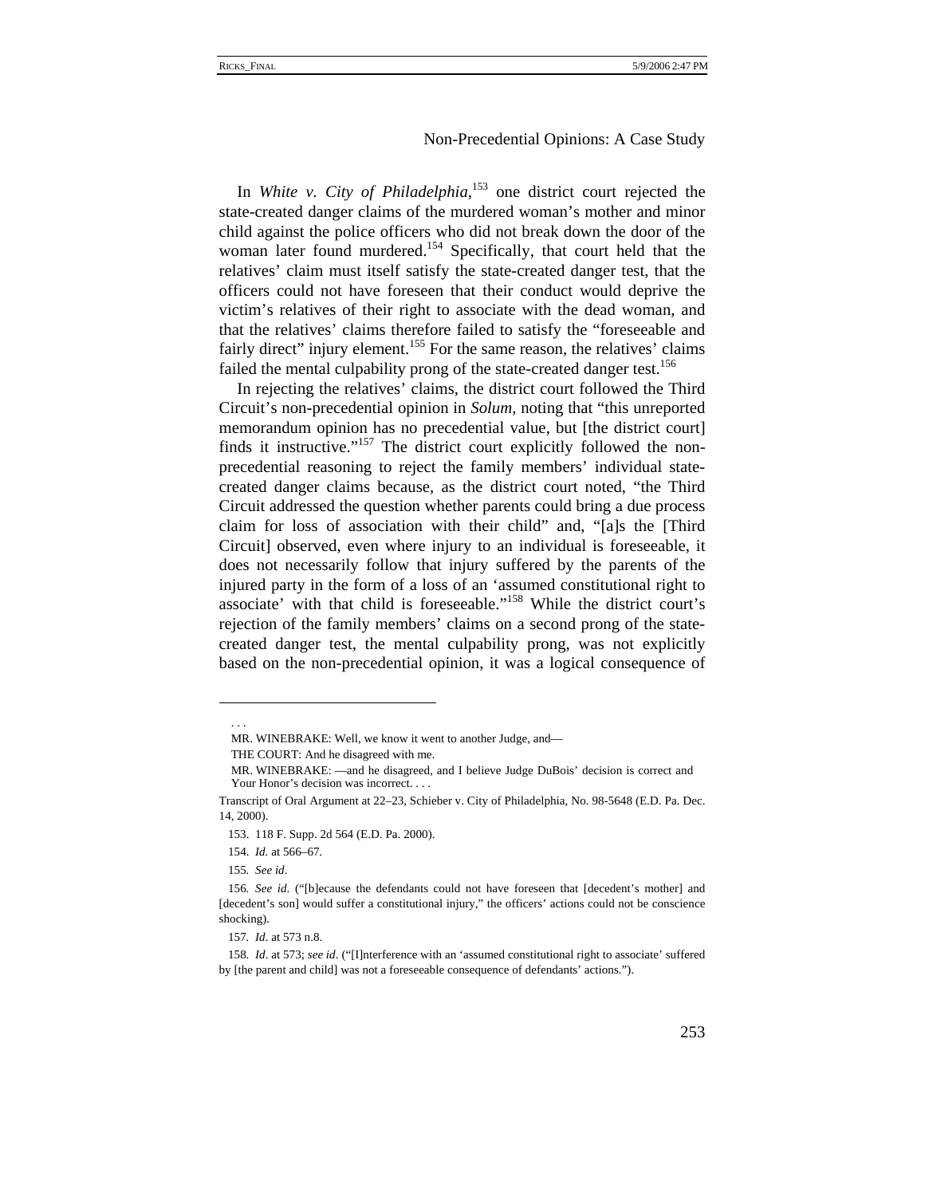In *White v. City of Philadelphia*, 153 one district court rejected the state-created danger claims of the murdered woman's mother and minor child against the police officers who did not break down the door of the woman later found murdered.<sup>154</sup> Specifically, that court held that the relatives' claim must itself satisfy the state-created danger test, that the officers could not have foreseen that their conduct would deprive the victim's relatives of their right to associate with the dead woman, and that the relatives' claims therefore failed to satisfy the "foreseeable and fairly direct" injury element.<sup>155</sup> For the same reason, the relatives' claims failed the mental culpability prong of the state-created danger test.<sup>156</sup>

In rejecting the relatives' claims, the district court followed the Third Circuit's non-precedential opinion in *Solum*, noting that "this unreported memorandum opinion has no precedential value, but [the district court] finds it instructive."<sup>157</sup> The district court explicitly followed the nonprecedential reasoning to reject the family members' individual statecreated danger claims because, as the district court noted, "the Third Circuit addressed the question whether parents could bring a due process claim for loss of association with their child" and, "[a]s the [Third Circuit] observed, even where injury to an individual is foreseeable, it does not necessarily follow that injury suffered by the parents of the injured party in the form of a loss of an 'assumed constitutional right to associate' with that child is foreseeable."158 While the district court's rejection of the family members' claims on a second prong of the statecreated danger test, the mental culpability prong, was not explicitly based on the non-precedential opinion, it was a logical consequence of

 . . .

MR. WINEBRAKE: Well, we know it went to another Judge, and—

THE COURT: And he disagreed with me.

MR. WINEBRAKE: —and he disagreed, and I believe Judge DuBois' decision is correct and Your Honor's decision was incorrect. . . .

Transcript of Oral Argument at 22–23, Schieber v. City of Philadelphia, No. 98-5648 (E.D. Pa. Dec. 14, 2000).

<sup>153. 118</sup> F. Supp. 2d 564 (E.D. Pa. 2000).

<sup>154.</sup> *Id.* at 566–67*.*

<sup>155</sup>*. See id*.

<sup>156</sup>*. See id*. ("[b]ecause the defendants could not have foreseen that [decedent's mother] and [decedent's son] would suffer a constitutional injury," the officers' actions could not be conscience shocking).

<sup>157</sup>*. Id*. at 573 n.8.

<sup>158</sup>*. Id*. at 573; *see id*. ("[I]nterference with an 'assumed constitutional right to associate' suffered by [the parent and child] was not a foreseeable consequence of defendants' actions.").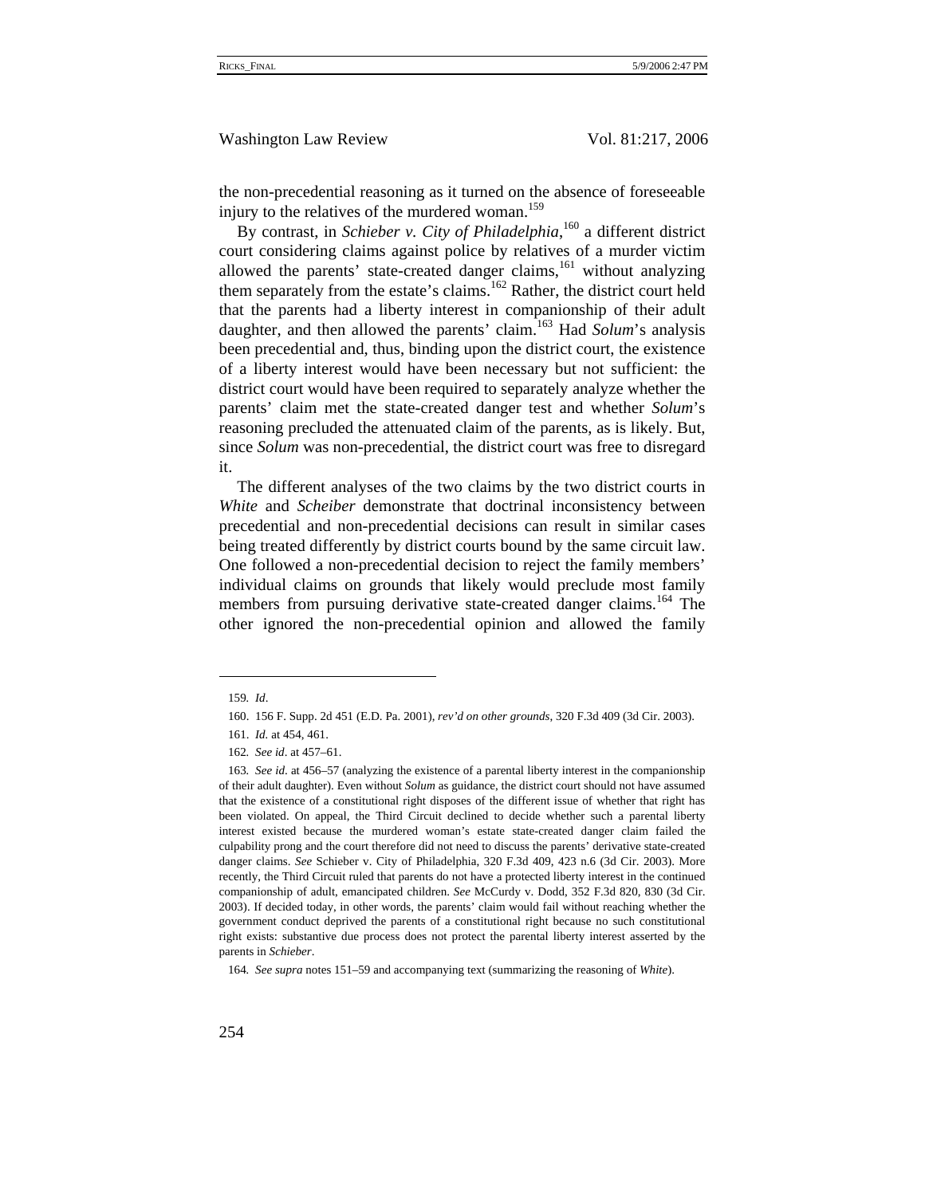the non-precedential reasoning as it turned on the absence of foreseeable injury to the relatives of the murdered woman.<sup>159</sup>

By contrast, in *Schieber v. City of Philadelphia*, <sup>160</sup> a different district court considering claims against police by relatives of a murder victim allowed the parents' state-created danger claims, $161$  without analyzing them separately from the estate's claims.<sup>162</sup> Rather, the district court held that the parents had a liberty interest in companionship of their adult daughter, and then allowed the parents' claim.<sup>163</sup> Had *Solum*'s analysis been precedential and, thus, binding upon the district court, the existence of a liberty interest would have been necessary but not sufficient: the district court would have been required to separately analyze whether the parents' claim met the state-created danger test and whether *Solum*'s reasoning precluded the attenuated claim of the parents, as is likely. But, since *Solum* was non-precedential, the district court was free to disregard it.

The different analyses of the two claims by the two district courts in *White* and *Scheiber* demonstrate that doctrinal inconsistency between precedential and non-precedential decisions can result in similar cases being treated differently by district courts bound by the same circuit law. One followed a non-precedential decision to reject the family members' individual claims on grounds that likely would preclude most family members from pursuing derivative state-created danger claims.<sup>164</sup> The other ignored the non-precedential opinion and allowed the family

<sup>159</sup>*. Id*.

<sup>160. 156</sup> F. Supp. 2d 451 (E.D. Pa. 2001), *rev'd on other grounds*, 320 F.3d 409 (3d Cir. 2003).

<sup>161.</sup> *Id.* at 454, 461.

<sup>162</sup>*. See id*. at 457–61.

<sup>163</sup>*. See id*. at 456–57 (analyzing the existence of a parental liberty interest in the companionship of their adult daughter). Even without *Solum* as guidance, the district court should not have assumed that the existence of a constitutional right disposes of the different issue of whether that right has been violated. On appeal, the Third Circuit declined to decide whether such a parental liberty interest existed because the murdered woman's estate state-created danger claim failed the culpability prong and the court therefore did not need to discuss the parents' derivative state-created danger claims. *See* Schieber v. City of Philadelphia, 320 F.3d 409, 423 n.6 (3d Cir. 2003). More recently, the Third Circuit ruled that parents do not have a protected liberty interest in the continued companionship of adult, emancipated children. *See* McCurdy v. Dodd, 352 F.3d 820, 830 (3d Cir. 2003). If decided today, in other words, the parents' claim would fail without reaching whether the government conduct deprived the parents of a constitutional right because no such constitutional right exists: substantive due process does not protect the parental liberty interest asserted by the parents in *Schieber*.

<sup>164</sup>*. See supra* notes 151–59 and accompanying text (summarizing the reasoning of *White*).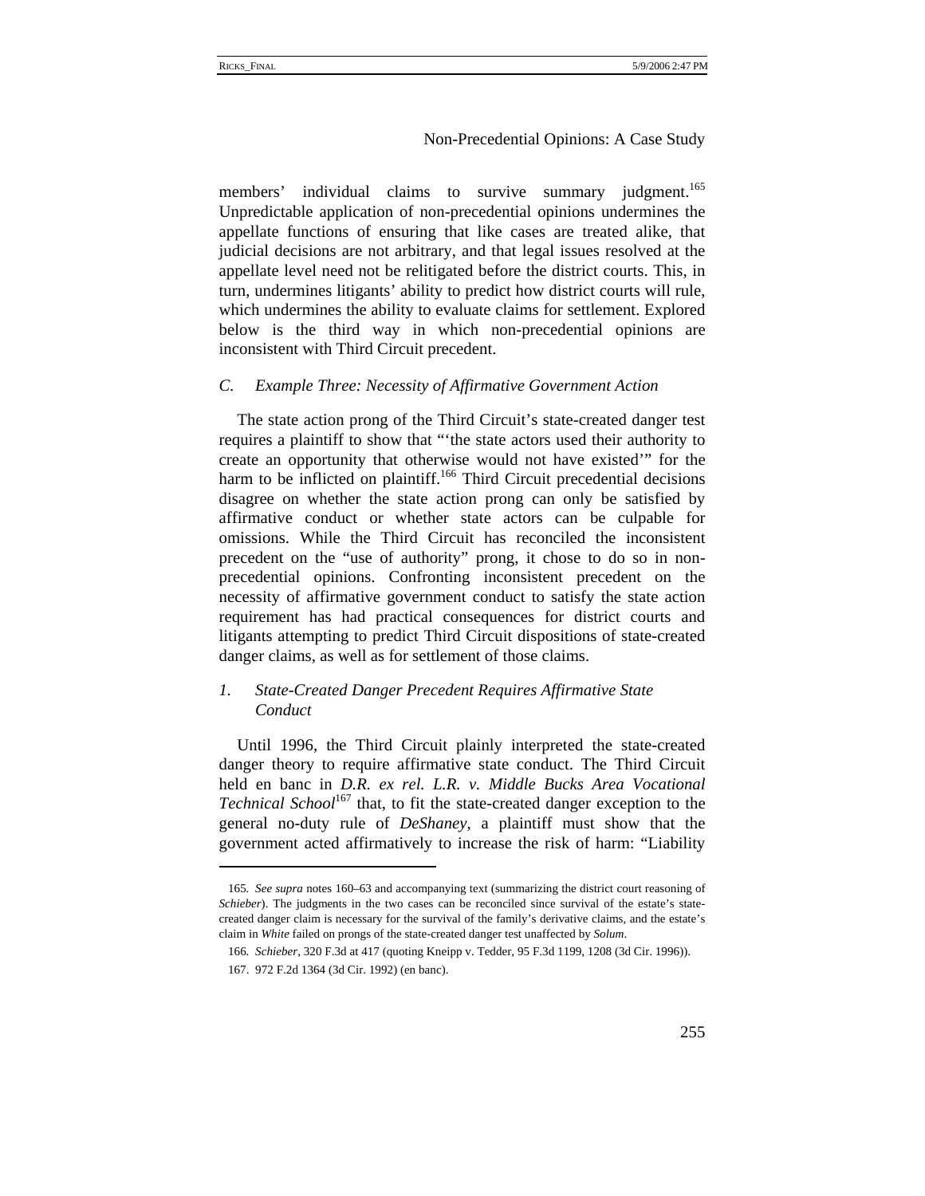members' individual claims to survive summary judgment.<sup>165</sup> Unpredictable application of non-precedential opinions undermines the appellate functions of ensuring that like cases are treated alike, that judicial decisions are not arbitrary, and that legal issues resolved at the appellate level need not be relitigated before the district courts. This, in turn, undermines litigants' ability to predict how district courts will rule, which undermines the ability to evaluate claims for settlement. Explored below is the third way in which non-precedential opinions are inconsistent with Third Circuit precedent.

#### *C. Example Three: Necessity of Affirmative Government Action*

The state action prong of the Third Circuit's state-created danger test requires a plaintiff to show that "'the state actors used their authority to create an opportunity that otherwise would not have existed'" for the harm to be inflicted on plaintiff.<sup>166</sup> Third Circuit precedential decisions disagree on whether the state action prong can only be satisfied by affirmative conduct or whether state actors can be culpable for omissions. While the Third Circuit has reconciled the inconsistent precedent on the "use of authority" prong, it chose to do so in nonprecedential opinions. Confronting inconsistent precedent on the necessity of affirmative government conduct to satisfy the state action requirement has had practical consequences for district courts and litigants attempting to predict Third Circuit dispositions of state-created danger claims, as well as for settlement of those claims.

# *1. State-Created Danger Precedent Requires Affirmative State Conduct*

Until 1996, the Third Circuit plainly interpreted the state-created danger theory to require affirmative state conduct. The Third Circuit held en banc in *D.R. ex rel. L.R. v. Middle Bucks Area Vocational Technical School*167 that, to fit the state-created danger exception to the general no-duty rule of *DeShaney*, a plaintiff must show that the government acted affirmatively to increase the risk of harm: "Liability

<sup>165</sup>*. See supra* notes 160–63 and accompanying text (summarizing the district court reasoning of *Schieber*). The judgments in the two cases can be reconciled since survival of the estate's statecreated danger claim is necessary for the survival of the family's derivative claims, and the estate's claim in *White* failed on prongs of the state-created danger test unaffected by *Solum*.

<sup>166</sup>*. Schieber*, 320 F.3d at 417 (quoting Kneipp v. Tedder, 95 F.3d 1199, 1208 (3d Cir. 1996)).

<sup>167. 972</sup> F.2d 1364 (3d Cir. 1992) (en banc).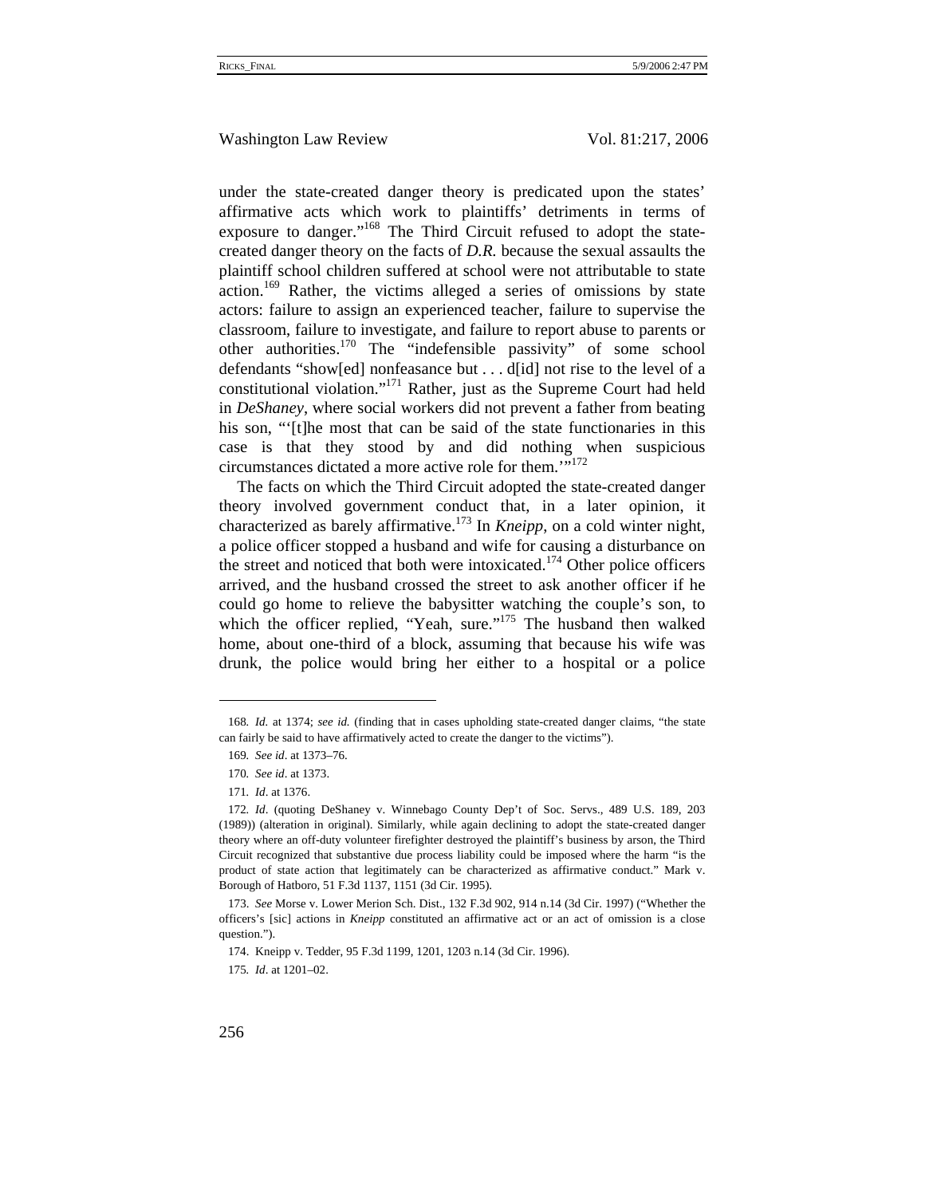under the state-created danger theory is predicated upon the states' affirmative acts which work to plaintiffs' detriments in terms of exposure to danger."<sup>168</sup> The Third Circuit refused to adopt the statecreated danger theory on the facts of *D.R.* because the sexual assaults the plaintiff school children suffered at school were not attributable to state action.<sup>169</sup> Rather, the victims alleged a series of omissions by state actors: failure to assign an experienced teacher, failure to supervise the classroom, failure to investigate, and failure to report abuse to parents or other authorities.170 The "indefensible passivity" of some school defendants "show[ed] nonfeasance but . . . d[id] not rise to the level of a constitutional violation."171 Rather, just as the Supreme Court had held in *DeShaney*, where social workers did not prevent a father from beating his son, "'[t]he most that can be said of the state functionaries in this case is that they stood by and did nothing when suspicious circumstances dictated a more active role for them."<sup>172</sup>

The facts on which the Third Circuit adopted the state-created danger theory involved government conduct that, in a later opinion, it characterized as barely affirmative.173 In *Kneipp*, on a cold winter night, a police officer stopped a husband and wife for causing a disturbance on the street and noticed that both were intoxicated.<sup>174</sup> Other police officers arrived, and the husband crossed the street to ask another officer if he could go home to relieve the babysitter watching the couple's son, to which the officer replied, "Yeah, sure."<sup>175</sup> The husband then walked home, about one-third of a block, assuming that because his wife was drunk, the police would bring her either to a hospital or a police

<sup>168</sup>*. Id.* at 1374; *see id.* (finding that in cases upholding state-created danger claims, "the state can fairly be said to have affirmatively acted to create the danger to the victims").

<sup>169</sup>*. See id*. at 1373–76.

<sup>170</sup>*. See id*. at 1373.

<sup>171</sup>*. Id*. at 1376.

<sup>172</sup>*. Id*. (quoting DeShaney v. Winnebago County Dep't of Soc. Servs., 489 U.S. 189, 203 (1989)) (alteration in original). Similarly, while again declining to adopt the state-created danger theory where an off-duty volunteer firefighter destroyed the plaintiff's business by arson, the Third Circuit recognized that substantive due process liability could be imposed where the harm "is the product of state action that legitimately can be characterized as affirmative conduct." Mark v. Borough of Hatboro, 51 F.3d 1137, 1151 (3d Cir. 1995).

<sup>173.</sup> *See* Morse v. Lower Merion Sch. Dist., 132 F.3d 902, 914 n.14 (3d Cir. 1997) ("Whether the officers's [sic] actions in *Kneipp* constituted an affirmative act or an act of omission is a close question.").

<sup>174.</sup> Kneipp v. Tedder, 95 F.3d 1199, 1201, 1203 n.14 (3d Cir. 1996).

<sup>175</sup>*. Id*. at 1201–02.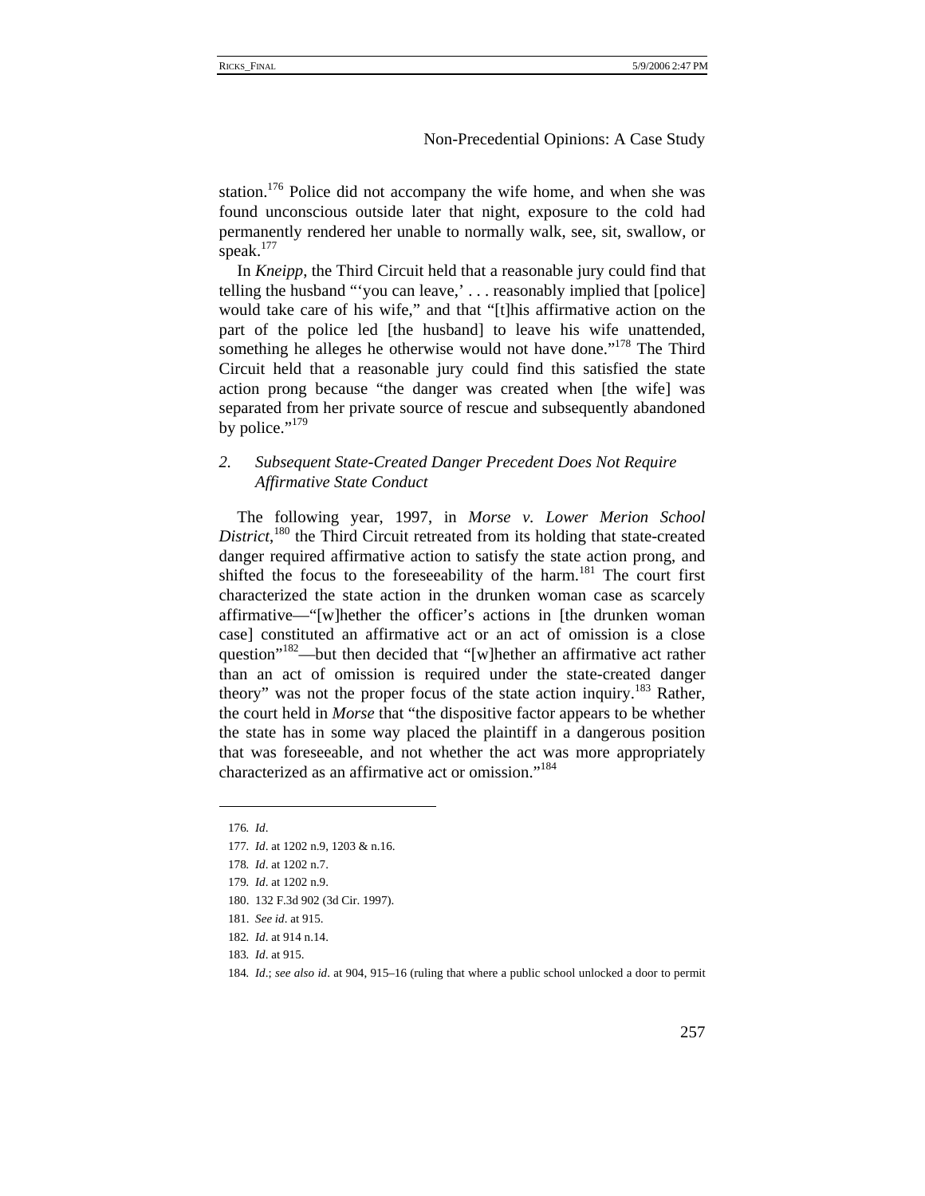station.<sup>176</sup> Police did not accompany the wife home, and when she was found unconscious outside later that night, exposure to the cold had permanently rendered her unable to normally walk, see, sit, swallow, or speak.<sup>177</sup>

In *Kneipp*, the Third Circuit held that a reasonable jury could find that telling the husband "'you can leave,' . . . reasonably implied that [police] would take care of his wife," and that "[t]his affirmative action on the part of the police led [the husband] to leave his wife unattended, something he alleges he otherwise would not have done."<sup>178</sup> The Third Circuit held that a reasonable jury could find this satisfied the state action prong because "the danger was created when [the wife] was separated from her private source of rescue and subsequently abandoned by police."<sup>179</sup>

# *2. Subsequent State-Created Danger Precedent Does Not Require Affirmative State Conduct*

The following year, 1997, in *Morse v. Lower Merion School*  District,<sup>180</sup> the Third Circuit retreated from its holding that state-created danger required affirmative action to satisfy the state action prong, and shifted the focus to the foreseeability of the harm.<sup>181</sup> The court first characterized the state action in the drunken woman case as scarcely affirmative—"[w]hether the officer's actions in [the drunken woman case] constituted an affirmative act or an act of omission is a close question"<sup>182</sup>—but then decided that "[w]hether an affirmative act rather than an act of omission is required under the state-created danger theory" was not the proper focus of the state action inquiry.<sup>183</sup> Rather, the court held in *Morse* that "the dispositive factor appears to be whether the state has in some way placed the plaintiff in a dangerous position that was foreseeable, and not whether the act was more appropriately characterized as an affirmative act or omission."<sup>184</sup>

<sup>176</sup>*. Id*.

<sup>177</sup>*. Id*. at 1202 n.9, 1203 & n.16.

<sup>178</sup>*. Id*. at 1202 n.7.

<sup>179</sup>*. Id*. at 1202 n.9.

<sup>180. 132</sup> F.3d 902 (3d Cir. 1997).

<sup>181.</sup> *See id*. at 915.

<sup>182</sup>*. Id*. at 914 n.14.

<sup>183</sup>*. Id*. at 915.

<sup>184</sup>*. Id*.; *see also id*. at 904, 915–16 (ruling that where a public school unlocked a door to permit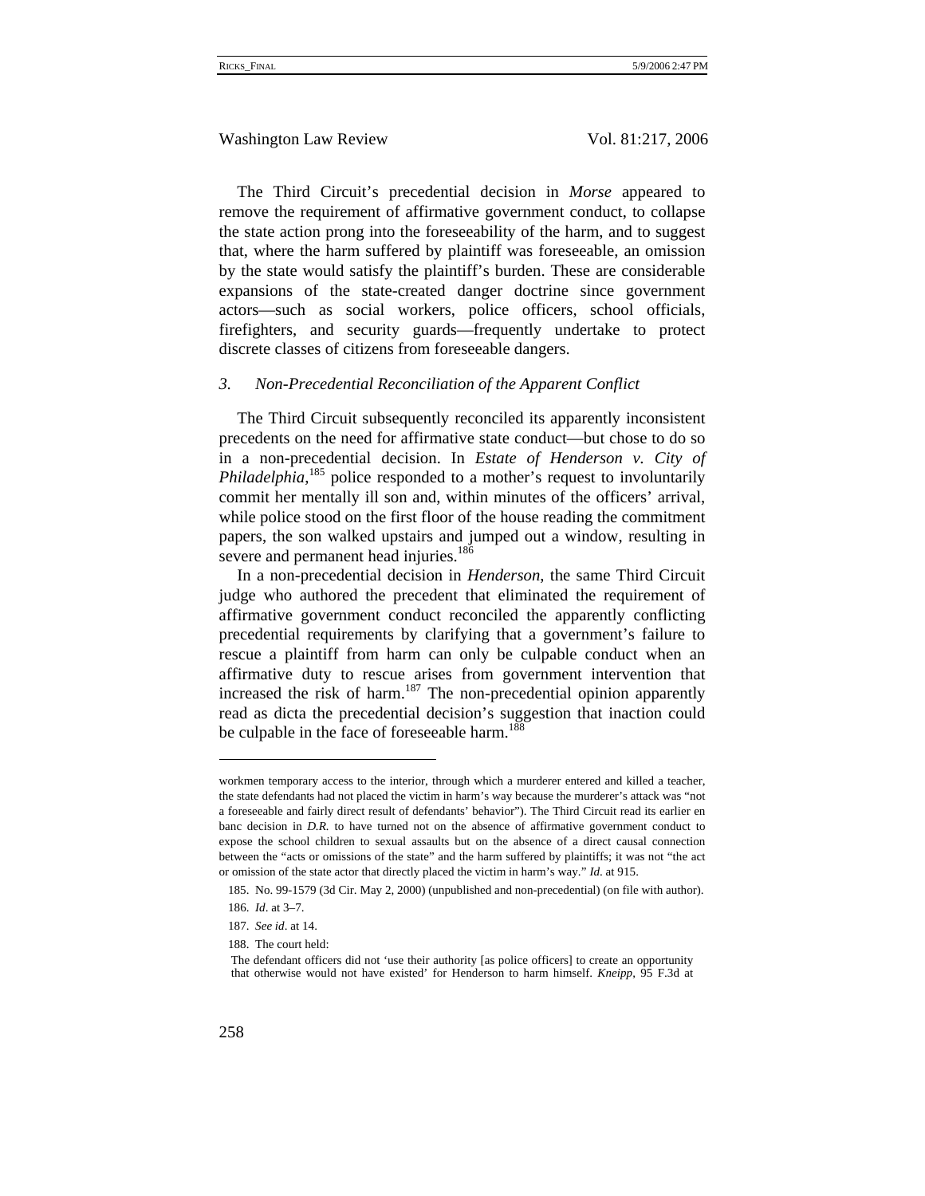The Third Circuit's precedential decision in *Morse* appeared to remove the requirement of affirmative government conduct, to collapse the state action prong into the foreseeability of the harm, and to suggest that, where the harm suffered by plaintiff was foreseeable, an omission by the state would satisfy the plaintiff's burden. These are considerable expansions of the state-created danger doctrine since government actors—such as social workers, police officers, school officials, firefighters, and security guards—frequently undertake to protect discrete classes of citizens from foreseeable dangers.

#### *3. Non-Precedential Reconciliation of the Apparent Conflict*

The Third Circuit subsequently reconciled its apparently inconsistent precedents on the need for affirmative state conduct—but chose to do so in a non-precedential decision. In *Estate of Henderson v. City of*  Philadelphia,<sup>185</sup> police responded to a mother's request to involuntarily commit her mentally ill son and, within minutes of the officers' arrival, while police stood on the first floor of the house reading the commitment papers, the son walked upstairs and jumped out a window, resulting in severe and permanent head injuries.<sup>186</sup>

In a non-precedential decision in *Henderson*, the same Third Circuit judge who authored the precedent that eliminated the requirement of affirmative government conduct reconciled the apparently conflicting precedential requirements by clarifying that a government's failure to rescue a plaintiff from harm can only be culpable conduct when an affirmative duty to rescue arises from government intervention that increased the risk of harm. $187$  The non-precedential opinion apparently read as dicta the precedential decision's suggestion that inaction could be culpable in the face of foreseeable harm.<sup>188</sup>

188. The court held:

workmen temporary access to the interior, through which a murderer entered and killed a teacher, the state defendants had not placed the victim in harm's way because the murderer's attack was "not a foreseeable and fairly direct result of defendants' behavior"). The Third Circuit read its earlier en banc decision in *D.R.* to have turned not on the absence of affirmative government conduct to expose the school children to sexual assaults but on the absence of a direct causal connection between the "acts or omissions of the state" and the harm suffered by plaintiffs; it was not "the act or omission of the state actor that directly placed the victim in harm's way." *Id*. at 915.

<sup>185.</sup> No. 99-1579 (3d Cir. May 2, 2000) (unpublished and non-precedential) (on file with author).

<sup>186.</sup> *Id*. at 3–7.

<sup>187.</sup> *See id*. at 14.

The defendant officers did not 'use their authority [as police officers] to create an opportunity that otherwise would not have existed' for Henderson to harm himself. *Kneipp*, 95 F.3d at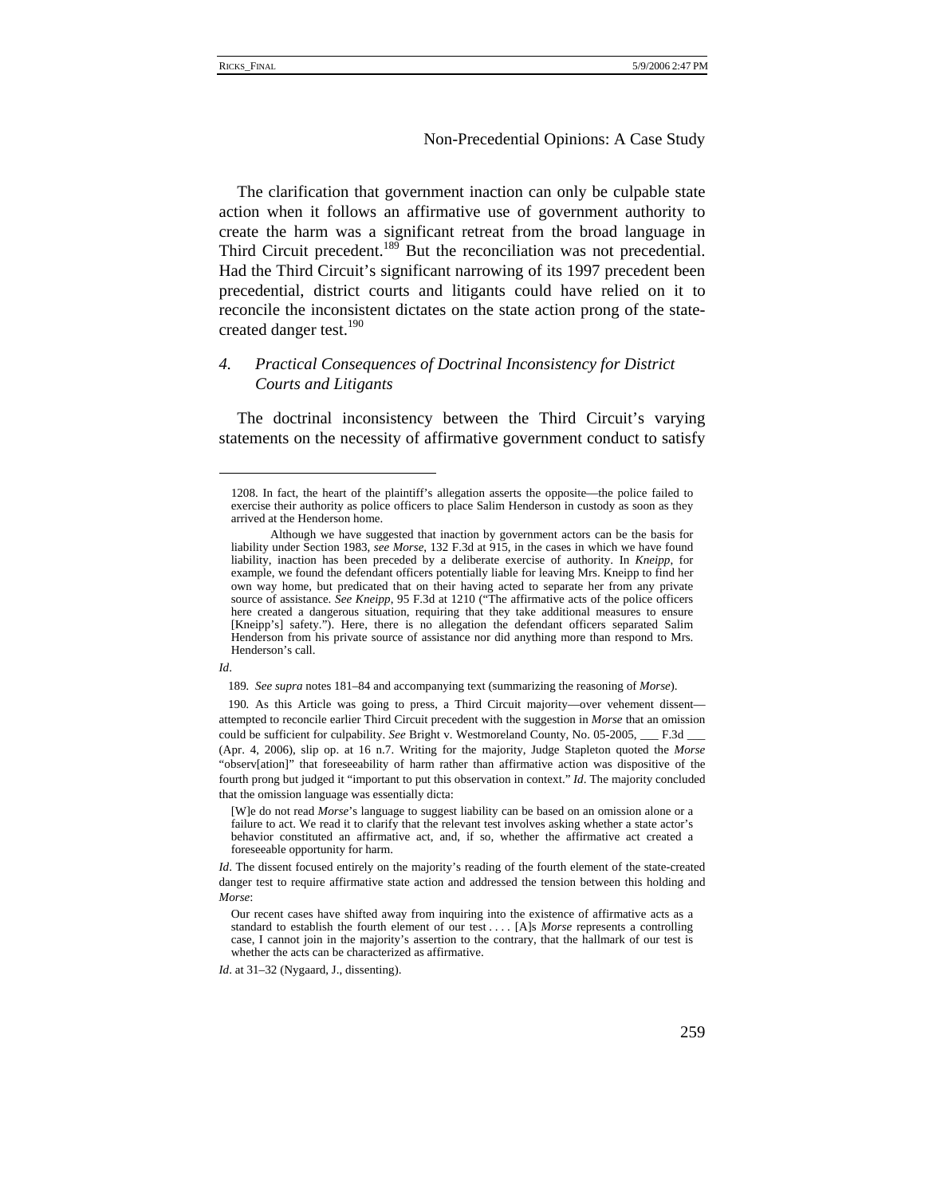The clarification that government inaction can only be culpable state action when it follows an affirmative use of government authority to create the harm was a significant retreat from the broad language in Third Circuit precedent.<sup>189</sup> But the reconciliation was not precedential. Had the Third Circuit's significant narrowing of its 1997 precedent been precedential, district courts and litigants could have relied on it to reconcile the inconsistent dictates on the state action prong of the statecreated danger test.<sup>190</sup>

# *4. Practical Consequences of Doctrinal Inconsistency for District Courts and Litigants*

The doctrinal inconsistency between the Third Circuit's varying statements on the necessity of affirmative government conduct to satisfy

*Id*.

189*. See supra* notes 181–84 and accompanying text (summarizing the reasoning of *Morse*).

190*.* As this Article was going to press, a Third Circuit majority—over vehement dissent attempted to reconcile earlier Third Circuit precedent with the suggestion in *Morse* that an omission could be sufficient for culpability. *See* Bright v. Westmoreland County, No. 05-2005, \_\_\_ F.3d (Apr. 4, 2006), slip op. at 16 n.7. Writing for the majority, Judge Stapleton quoted the *Morse* "observ[ation]" that foreseeability of harm rather than affirmative action was dispositive of the fourth prong but judged it "important to put this observation in context." *Id*. The majority concluded that the omission language was essentially dicta:

[W]e do not read *Morse*'s language to suggest liability can be based on an omission alone or a failure to act. We read it to clarify that the relevant test involves asking whether a state actor's behavior constituted an affirmative act, and, if so, whether the affirmative act created a foreseeable opportunity for harm.

*Id*. The dissent focused entirely on the majority's reading of the fourth element of the state-created danger test to require affirmative state action and addressed the tension between this holding and *Morse*:

Our recent cases have shifted away from inquiring into the existence of affirmative acts as a standard to establish the fourth element of our test . . . . [A]s *Morse* represents a controlling case, I cannot join in the majority's assertion to the contrary, that the hallmark of our test is whether the acts can be characterized as affirmative.

*Id*. at 31–32 (Nygaard, J., dissenting).

<sup>1208.</sup> In fact, the heart of the plaintiff's allegation asserts the opposite—the police failed to exercise their authority as police officers to place Salim Henderson in custody as soon as they arrived at the Henderson home.

Although we have suggested that inaction by government actors can be the basis for liability under Section 1983, *see Morse*, 132 F.3d at 915, in the cases in which we have found liability, inaction has been preceded by a deliberate exercise of authority. In *Kneipp*, for example, we found the defendant officers potentially liable for leaving Mrs. Kneipp to find her own way home, but predicated that on their having acted to separate her from any private source of assistance. *See Kneipp*, 95 F.3d at 1210 ("The affirmative acts of the police officers here created a dangerous situation, requiring that they take additional measures to ensure [Kneipp's] safety."). Here, there is no allegation the defendant officers separated Salim Henderson from his private source of assistance nor did anything more than respond to Mrs. Henderson's call.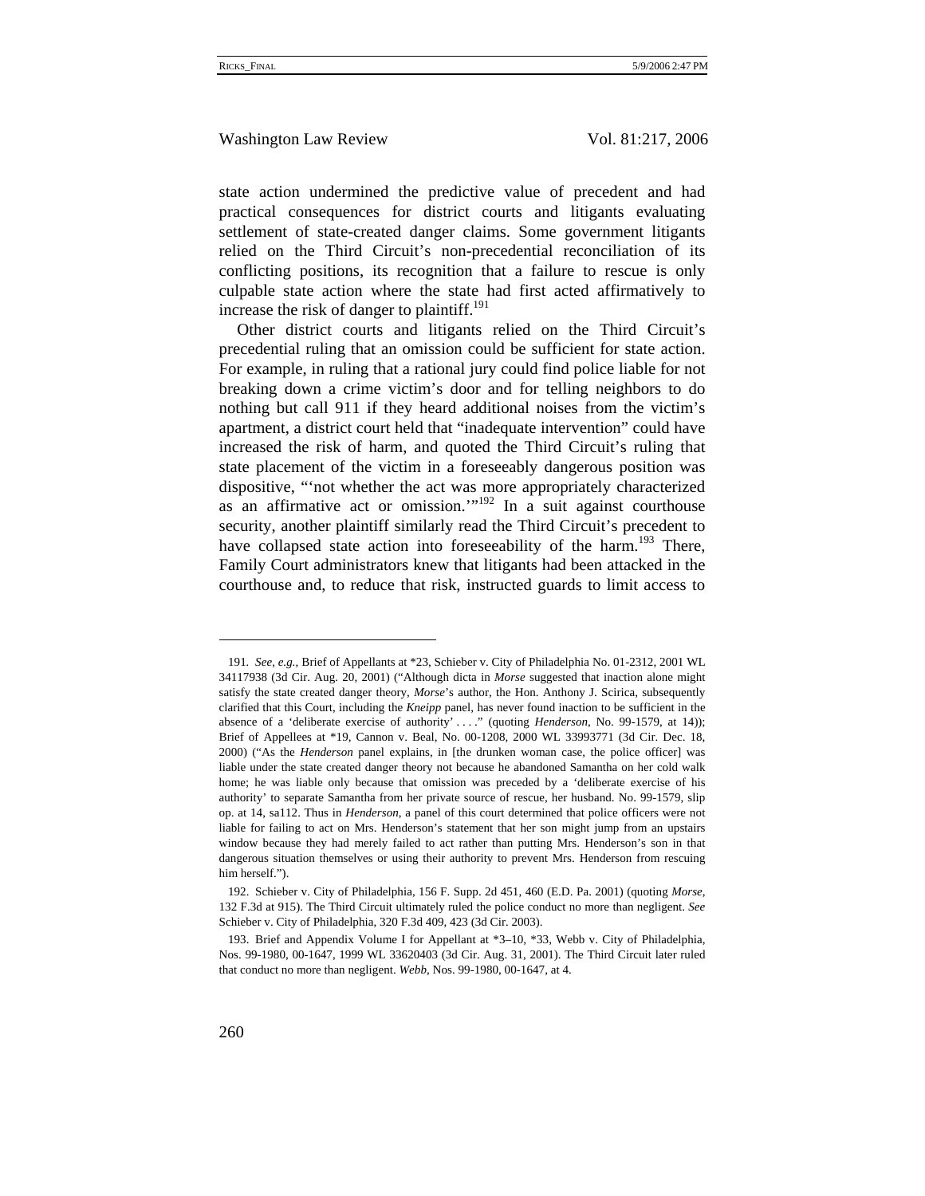state action undermined the predictive value of precedent and had practical consequences for district courts and litigants evaluating settlement of state-created danger claims. Some government litigants relied on the Third Circuit's non-precedential reconciliation of its conflicting positions, its recognition that a failure to rescue is only culpable state action where the state had first acted affirmatively to increase the risk of danger to plaintiff.<sup>191</sup>

Other district courts and litigants relied on the Third Circuit's precedential ruling that an omission could be sufficient for state action. For example, in ruling that a rational jury could find police liable for not breaking down a crime victim's door and for telling neighbors to do nothing but call 911 if they heard additional noises from the victim's apartment, a district court held that "inadequate intervention" could have increased the risk of harm, and quoted the Third Circuit's ruling that state placement of the victim in a foreseeably dangerous position was dispositive, "'not whether the act was more appropriately characterized as an affirmative act or omission." $192$  In a suit against courthouse security, another plaintiff similarly read the Third Circuit's precedent to have collapsed state action into foreseeability of the harm.<sup>193</sup> There, Family Court administrators knew that litigants had been attacked in the courthouse and, to reduce that risk, instructed guards to limit access to

<sup>191</sup>*. See, e.g.*, Brief of Appellants at \*23, Schieber v. City of Philadelphia No. 01-2312, 2001 WL 34117938 (3d Cir. Aug. 20, 2001) ("Although dicta in *Morse* suggested that inaction alone might satisfy the state created danger theory, *Morse*'s author, the Hon. Anthony J. Scirica, subsequently clarified that this Court, including the *Kneipp* panel, has never found inaction to be sufficient in the absence of a 'deliberate exercise of authority' . . . ." (quoting *Henderson*, No. 99-1579, at 14)); Brief of Appellees at \*19, Cannon v. Beal, No. 00-1208, 2000 WL 33993771 (3d Cir. Dec. 18, 2000) ("As the *Henderson* panel explains, in [the drunken woman case, the police officer] was liable under the state created danger theory not because he abandoned Samantha on her cold walk home; he was liable only because that omission was preceded by a 'deliberate exercise of his authority' to separate Samantha from her private source of rescue, her husband. No. 99-1579, slip op. at 14, sa112. Thus in *Henderson*, a panel of this court determined that police officers were not liable for failing to act on Mrs. Henderson's statement that her son might jump from an upstairs window because they had merely failed to act rather than putting Mrs. Henderson's son in that dangerous situation themselves or using their authority to prevent Mrs. Henderson from rescuing him herself.").

<sup>192.</sup> Schieber v. City of Philadelphia, 156 F. Supp. 2d 451, 460 (E.D. Pa. 2001) (quoting *Morse*, 132 F.3d at 915). The Third Circuit ultimately ruled the police conduct no more than negligent. *See* Schieber v. City of Philadelphia, 320 F.3d 409, 423 (3d Cir. 2003).

<sup>193.</sup> Brief and Appendix Volume I for Appellant at \*3–10, \*33, Webb v. City of Philadelphia, Nos. 99-1980, 00-1647, 1999 WL 33620403 (3d Cir. Aug. 31, 2001). The Third Circuit later ruled that conduct no more than negligent. *Webb*, Nos. 99-1980, 00-1647, at 4.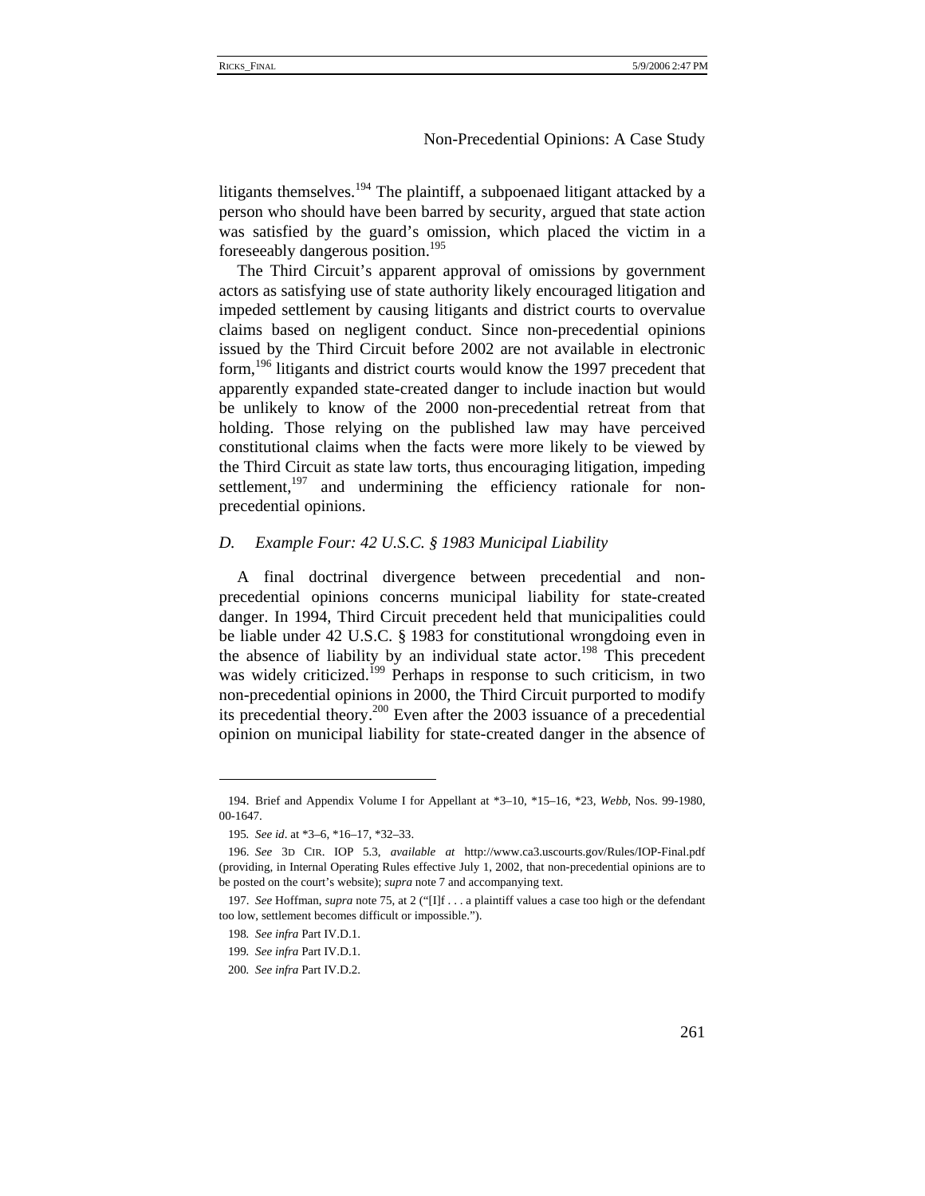litigants themselves.<sup>194</sup> The plaintiff, a subpoenaed litigant attacked by a person who should have been barred by security, argued that state action was satisfied by the guard's omission, which placed the victim in a foreseeably dangerous position.<sup>195</sup>

The Third Circuit's apparent approval of omissions by government actors as satisfying use of state authority likely encouraged litigation and impeded settlement by causing litigants and district courts to overvalue claims based on negligent conduct. Since non-precedential opinions issued by the Third Circuit before 2002 are not available in electronic form,<sup>196</sup> litigants and district courts would know the 1997 precedent that apparently expanded state-created danger to include inaction but would be unlikely to know of the 2000 non-precedential retreat from that holding. Those relying on the published law may have perceived constitutional claims when the facts were more likely to be viewed by the Third Circuit as state law torts, thus encouraging litigation, impeding settlement, $197$  and undermining the efficiency rationale for nonprecedential opinions.

## *D. Example Four: 42 U.S.C. § 1983 Municipal Liability*

A final doctrinal divergence between precedential and nonprecedential opinions concerns municipal liability for state-created danger. In 1994, Third Circuit precedent held that municipalities could be liable under 42 U.S.C. § 1983 for constitutional wrongdoing even in the absence of liability by an individual state actor.<sup>198</sup> This precedent was widely criticized.<sup>199</sup> Perhaps in response to such criticism, in two non-precedential opinions in 2000, the Third Circuit purported to modify its precedential theory.<sup>200</sup> Even after the 2003 issuance of a precedential opinion on municipal liability for state-created danger in the absence of

<sup>194.</sup> Brief and Appendix Volume I for Appellant at \*3–10, \*15–16, \*23, *Webb*, Nos. 99-1980, 00-1647.

<sup>195</sup>*. See id*. at \*3–6, \*16–17, \*32–33.

<sup>196.</sup> *See* 3D CIR. IOP 5.3, *available at* http://www.ca3.uscourts.gov/Rules/IOP-Final.pdf (providing, in Internal Operating Rules effective July 1, 2002, that non-precedential opinions are to be posted on the court's website); *supra* note 7 and accompanying text.

<sup>197.</sup> *See* Hoffman, *supra* note 75, at 2 ("[I]f . . . a plaintiff values a case too high or the defendant too low, settlement becomes difficult or impossible.").

<sup>198</sup>*. See infra* Part IV.D.1.

<sup>199</sup>*. See infra* Part IV.D.1.

<sup>200</sup>*. See infra* Part IV.D.2.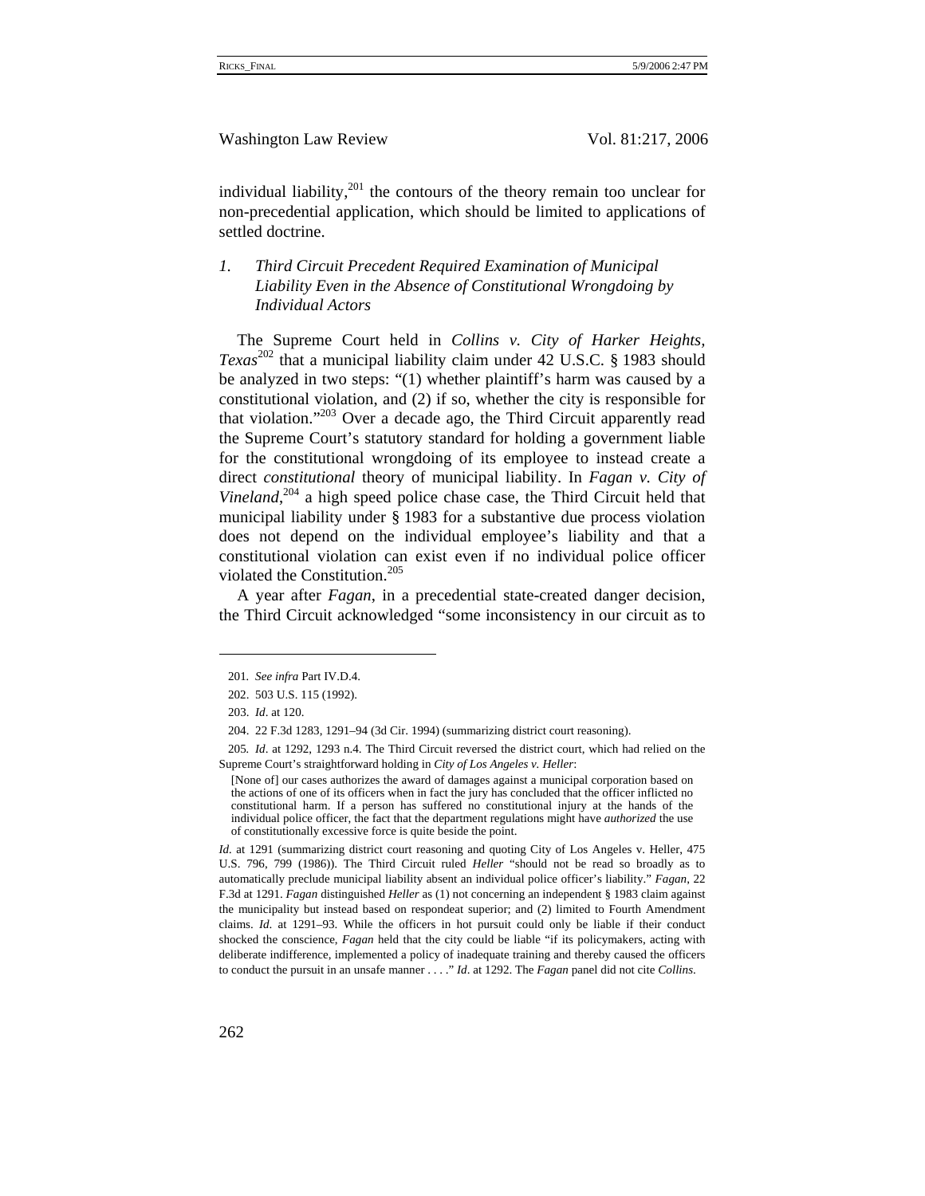individual liability, $^{201}$  the contours of the theory remain too unclear for non-precedential application, which should be limited to applications of settled doctrine.

# *1. Third Circuit Precedent Required Examination of Municipal Liability Even in the Absence of Constitutional Wrongdoing by Individual Actors*

The Supreme Court held in *Collins v. City of Harker Heights, Texas*<sup>202</sup> that a municipal liability claim under 42 U.S.C. § 1983 should be analyzed in two steps: "(1) whether plaintiff's harm was caused by a constitutional violation, and (2) if so, whether the city is responsible for that violation."<sup>203</sup> Over a decade ago, the Third Circuit apparently read the Supreme Court's statutory standard for holding a government liable for the constitutional wrongdoing of its employee to instead create a direct *constitutional* theory of municipal liability. In *Fagan v. City of*  Vineland,<sup>204</sup> a high speed police chase case, the Third Circuit held that municipal liability under § 1983 for a substantive due process violation does not depend on the individual employee's liability and that a constitutional violation can exist even if no individual police officer violated the Constitution.<sup>205</sup>

A year after *Fagan*, in a precedential state-created danger decision, the Third Circuit acknowledged "some inconsistency in our circuit as to

<sup>201</sup>*. See infra* Part IV.D.4.

<sup>202. 503</sup> U.S. 115 (1992).

<sup>203.</sup> *Id*. at 120.

<sup>204. 22</sup> F.3d 1283, 1291–94 (3d Cir. 1994) (summarizing district court reasoning).

<sup>205</sup>*. Id*. at 1292, 1293 n.4. The Third Circuit reversed the district court, which had relied on the Supreme Court's straightforward holding in *City of Los Angeles v. Heller*:

<sup>[</sup>None of] our cases authorizes the award of damages against a municipal corporation based on the actions of one of its officers when in fact the jury has concluded that the officer inflicted no constitutional harm. If a person has suffered no constitutional injury at the hands of the individual police officer, the fact that the department regulations might have *authorized* the use of constitutionally excessive force is quite beside the point.

*Id.* at 1291 (summarizing district court reasoning and quoting City of Los Angeles v. Heller, 475 U.S. 796, 799 (1986)). The Third Circuit ruled *Heller* "should not be read so broadly as to automatically preclude municipal liability absent an individual police officer's liability." *Fagan*, 22 F.3d at 1291. *Fagan* distinguished *Heller* as (1) not concerning an independent § 1983 claim against the municipality but instead based on respondeat superior; and (2) limited to Fourth Amendment claims. *Id*. at 1291–93. While the officers in hot pursuit could only be liable if their conduct shocked the conscience, *Fagan* held that the city could be liable "if its policymakers, acting with deliberate indifference, implemented a policy of inadequate training and thereby caused the officers to conduct the pursuit in an unsafe manner . . . ." *Id*. at 1292. The *Fagan* panel did not cite *Collins*.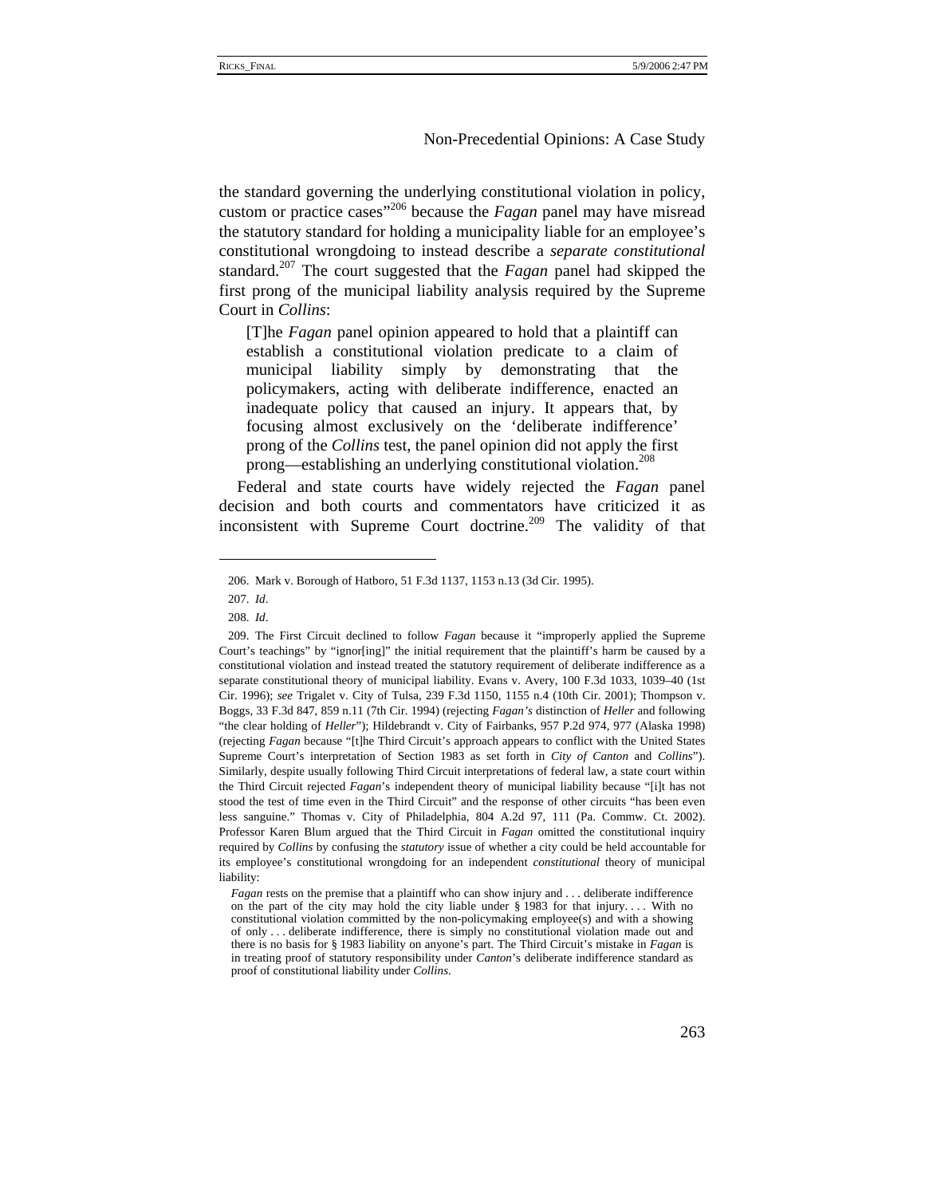the standard governing the underlying constitutional violation in policy, custom or practice cases"206 because the *Fagan* panel may have misread the statutory standard for holding a municipality liable for an employee's constitutional wrongdoing to instead describe a *separate constitutional* standard.207 The court suggested that the *Fagan* panel had skipped the first prong of the municipal liability analysis required by the Supreme Court in *Collins*:

[T]he *Fagan* panel opinion appeared to hold that a plaintiff can establish a constitutional violation predicate to a claim of municipal liability simply by demonstrating that the policymakers, acting with deliberate indifference, enacted an inadequate policy that caused an injury. It appears that, by focusing almost exclusively on the 'deliberate indifference' prong of the *Collins* test, the panel opinion did not apply the first prong—establishing an underlying constitutional violation.<sup>208</sup>

Federal and state courts have widely rejected the *Fagan* panel decision and both courts and commentators have criticized it as inconsistent with Supreme Court doctrine.<sup>209</sup> The validity of that

<sup>206.</sup> Mark v. Borough of Hatboro, 51 F.3d 1137, 1153 n.13 (3d Cir. 1995).

<sup>207.</sup> *Id*.

<sup>208.</sup> *Id*.

<sup>209.</sup> The First Circuit declined to follow *Fagan* because it "improperly applied the Supreme Court's teachings" by "ignor[ing]" the initial requirement that the plaintiff's harm be caused by a constitutional violation and instead treated the statutory requirement of deliberate indifference as a separate constitutional theory of municipal liability. Evans v. Avery, 100 F.3d 1033, 1039–40 (1st Cir. 1996); *see* Trigalet v. City of Tulsa, 239 F.3d 1150, 1155 n.4 (10th Cir. 2001); Thompson v. Boggs, 33 F.3d 847, 859 n.11 (7th Cir. 1994) (rejecting *Fagan's* distinction of *Heller* and following "the clear holding of *Heller*"); Hildebrandt v. City of Fairbanks, 957 P.2d 974, 977 (Alaska 1998) (rejecting *Fagan* because "[t]he Third Circuit's approach appears to conflict with the United States Supreme Court's interpretation of Section 1983 as set forth in *City of Canton* and *Collins*"). Similarly, despite usually following Third Circuit interpretations of federal law, a state court within the Third Circuit rejected *Fagan*'s independent theory of municipal liability because "[i]t has not stood the test of time even in the Third Circuit" and the response of other circuits "has been even less sanguine." Thomas v. City of Philadelphia, 804 A.2d 97, 111 (Pa. Commw. Ct. 2002). Professor Karen Blum argued that the Third Circuit in *Fagan* omitted the constitutional inquiry required by *Collins* by confusing the *statutory* issue of whether a city could be held accountable for its employee's constitutional wrongdoing for an independent *constitutional* theory of municipal liability:

*Fagan* rests on the premise that a plaintiff who can show injury and . . . deliberate indifference on the part of the city may hold the city liable under § 1983 for that injury. . . . With no constitutional violation committed by the non-policymaking employee(s) and with a showing of only . . . deliberate indifference, there is simply no constitutional violation made out and there is no basis for § 1983 liability on anyone's part. The Third Circuit's mistake in *Fagan* is in treating proof of statutory responsibility under *Canton*'s deliberate indifference standard as proof of constitutional liability under *Collins*.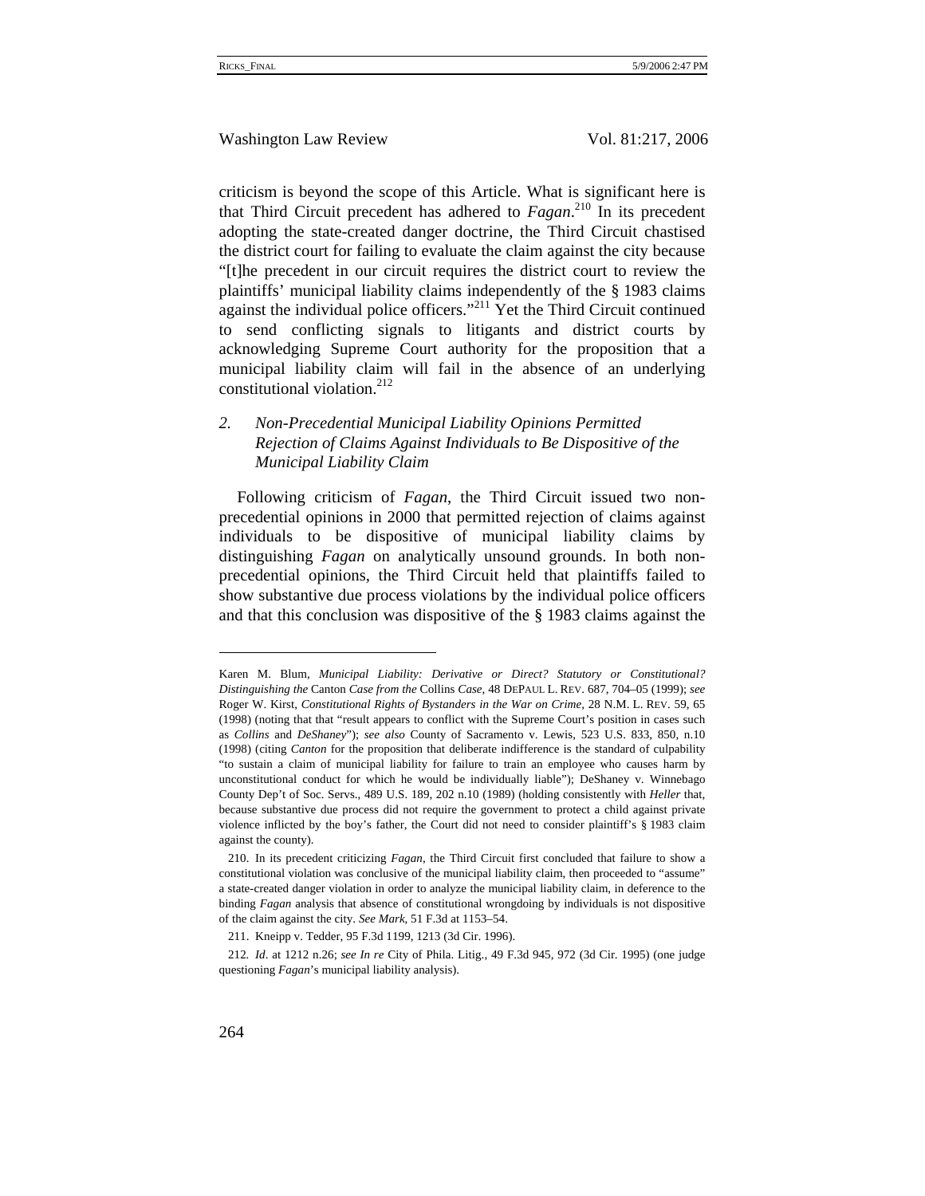criticism is beyond the scope of this Article. What is significant here is that Third Circuit precedent has adhered to *Fagan*. 210 In its precedent adopting the state-created danger doctrine, the Third Circuit chastised the district court for failing to evaluate the claim against the city because "[t]he precedent in our circuit requires the district court to review the plaintiffs' municipal liability claims independently of the § 1983 claims against the individual police officers."<sup>211</sup> Yet the Third Circuit continued to send conflicting signals to litigants and district courts by acknowledging Supreme Court authority for the proposition that a municipal liability claim will fail in the absence of an underlying constitutional violation.<sup>212</sup>

# *2. Non-Precedential Municipal Liability Opinions Permitted Rejection of Claims Against Individuals to Be Dispositive of the Municipal Liability Claim*

Following criticism of *Fagan*, the Third Circuit issued two nonprecedential opinions in 2000 that permitted rejection of claims against individuals to be dispositive of municipal liability claims by distinguishing *Fagan* on analytically unsound grounds. In both nonprecedential opinions, the Third Circuit held that plaintiffs failed to show substantive due process violations by the individual police officers and that this conclusion was dispositive of the § 1983 claims against the

Karen M. Blum, *Municipal Liability: Derivative or Direct? Statutory or Constitutional? Distinguishing the* Canton *Case from the* Collins *Case*, 48 DEPAUL L. REV. 687, 704–05 (1999); *see*  Roger W. Kirst, *Constitutional Rights of Bystanders in the War on Crime*, 28 N.M. L. REV. 59, 65 (1998) (noting that that "result appears to conflict with the Supreme Court's position in cases such as *Collins* and *DeShaney*"); *see also* County of Sacramento v. Lewis, 523 U.S. 833, 850, n.10 (1998) (citing *Canton* for the proposition that deliberate indifference is the standard of culpability "to sustain a claim of municipal liability for failure to train an employee who causes harm by unconstitutional conduct for which he would be individually liable"); DeShaney v. Winnebago County Dep't of Soc. Servs., 489 U.S. 189, 202 n.10 (1989) (holding consistently with *Heller* that, because substantive due process did not require the government to protect a child against private violence inflicted by the boy's father, the Court did not need to consider plaintiff's § 1983 claim against the county).

<sup>210.</sup> In its precedent criticizing *Fagan*, the Third Circuit first concluded that failure to show a constitutional violation was conclusive of the municipal liability claim, then proceeded to "assume" a state-created danger violation in order to analyze the municipal liability claim, in deference to the binding *Fagan* analysis that absence of constitutional wrongdoing by individuals is not dispositive of the claim against the city. *See Mark*, 51 F.3d at 1153–54.

<sup>211.</sup> Kneipp v. Tedder, 95 F.3d 1199, 1213 (3d Cir. 1996).

<sup>212</sup>*. Id*. at 1212 n.26; *see In re* City of Phila. Litig., 49 F.3d 945, 972 (3d Cir. 1995) (one judge questioning *Fagan*'s municipal liability analysis).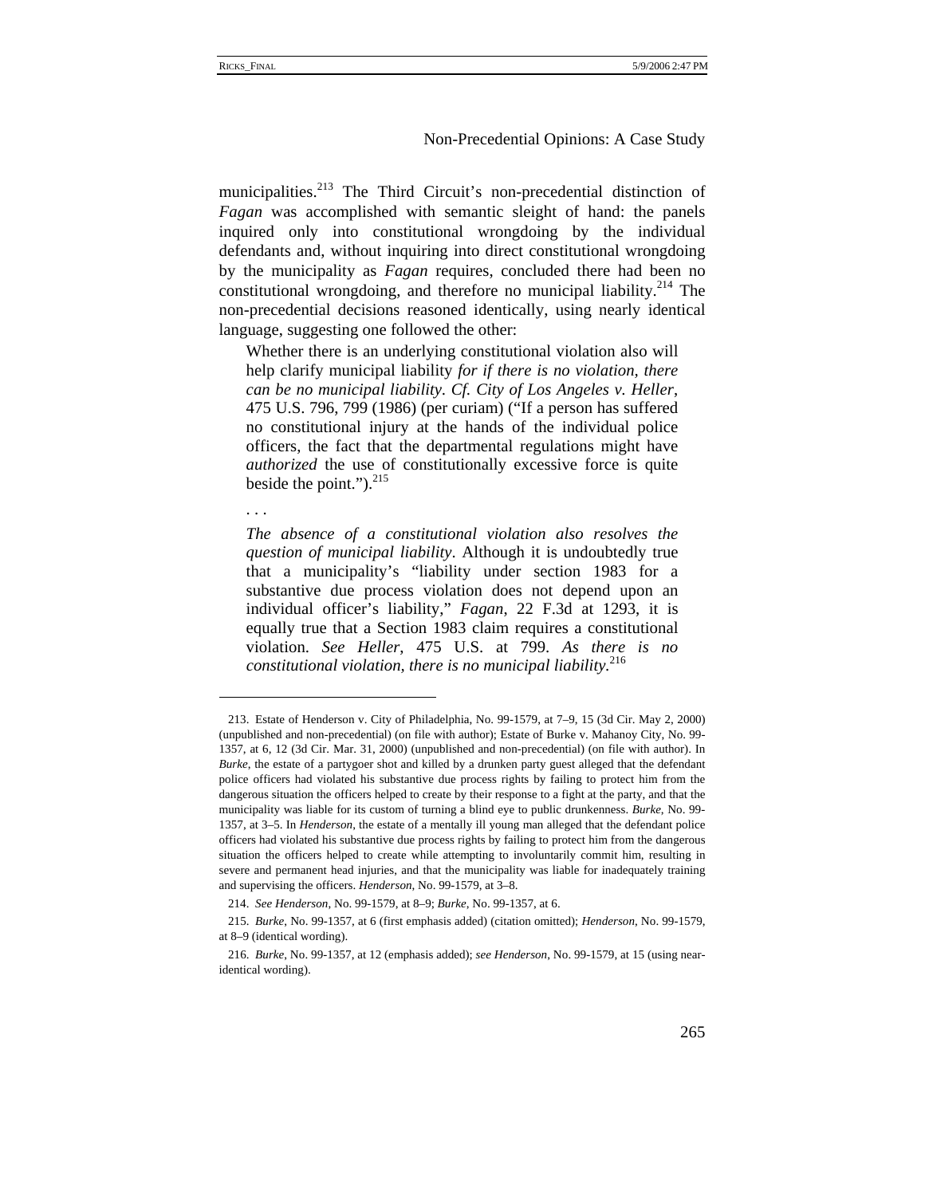municipalities.<sup>213</sup> The Third Circuit's non-precedential distinction of *Fagan* was accomplished with semantic sleight of hand: the panels inquired only into constitutional wrongdoing by the individual defendants and, without inquiring into direct constitutional wrongdoing by the municipality as *Fagan* requires, concluded there had been no constitutional wrongdoing, and therefore no municipal liability.<sup>214</sup> The non-precedential decisions reasoned identically, using nearly identical language, suggesting one followed the other:

Whether there is an underlying constitutional violation also will help clarify municipal liability *for if there is no violation, there can be no municipal liability*. *Cf. City of Los Angeles v. Heller*, 475 U.S. 796, 799 (1986) (per curiam) ("If a person has suffered no constitutional injury at the hands of the individual police officers, the fact that the departmental regulations might have *authorized* the use of constitutionally excessive force is quite beside the point." $)^{215}$ 

. . .

*The absence of a constitutional violation also resolves the question of municipal liability*. Although it is undoubtedly true that a municipality's "liability under section 1983 for a substantive due process violation does not depend upon an individual officer's liability," *Fagan*, 22 F.3d at 1293, it is equally true that a Section 1983 claim requires a constitutional violation. *See Heller*, 475 U.S. at 799. *As there is no constitutional violation, there is no municipal liability.*<sup>216</sup>

<sup>213.</sup> Estate of Henderson v. City of Philadelphia, No. 99-1579, at 7–9, 15 (3d Cir. May 2, 2000) (unpublished and non-precedential) (on file with author); Estate of Burke v. Mahanoy City, No. 99- 1357, at 6, 12 (3d Cir. Mar. 31, 2000) (unpublished and non-precedential) (on file with author). In *Burke*, the estate of a partygoer shot and killed by a drunken party guest alleged that the defendant police officers had violated his substantive due process rights by failing to protect him from the dangerous situation the officers helped to create by their response to a fight at the party, and that the municipality was liable for its custom of turning a blind eye to public drunkenness. *Burke*, No. 99- 1357, at 3–5. In *Henderson*, the estate of a mentally ill young man alleged that the defendant police officers had violated his substantive due process rights by failing to protect him from the dangerous situation the officers helped to create while attempting to involuntarily commit him, resulting in severe and permanent head injuries, and that the municipality was liable for inadequately training and supervising the officers. *Henderson*, No. 99-1579, at 3–8.

<sup>214.</sup> *See Henderson*, No. 99-1579, at 8–9; *Burke*, No. 99-1357, at 6.

<sup>215.</sup> *Burke*, No. 99-1357, at 6 (first emphasis added) (citation omitted); *Henderson*, No. 99-1579, at 8–9 (identical wording).

<sup>216.</sup> *Burke*, No. 99-1357, at 12 (emphasis added); *see Henderson*, No. 99-1579, at 15 (using nearidentical wording).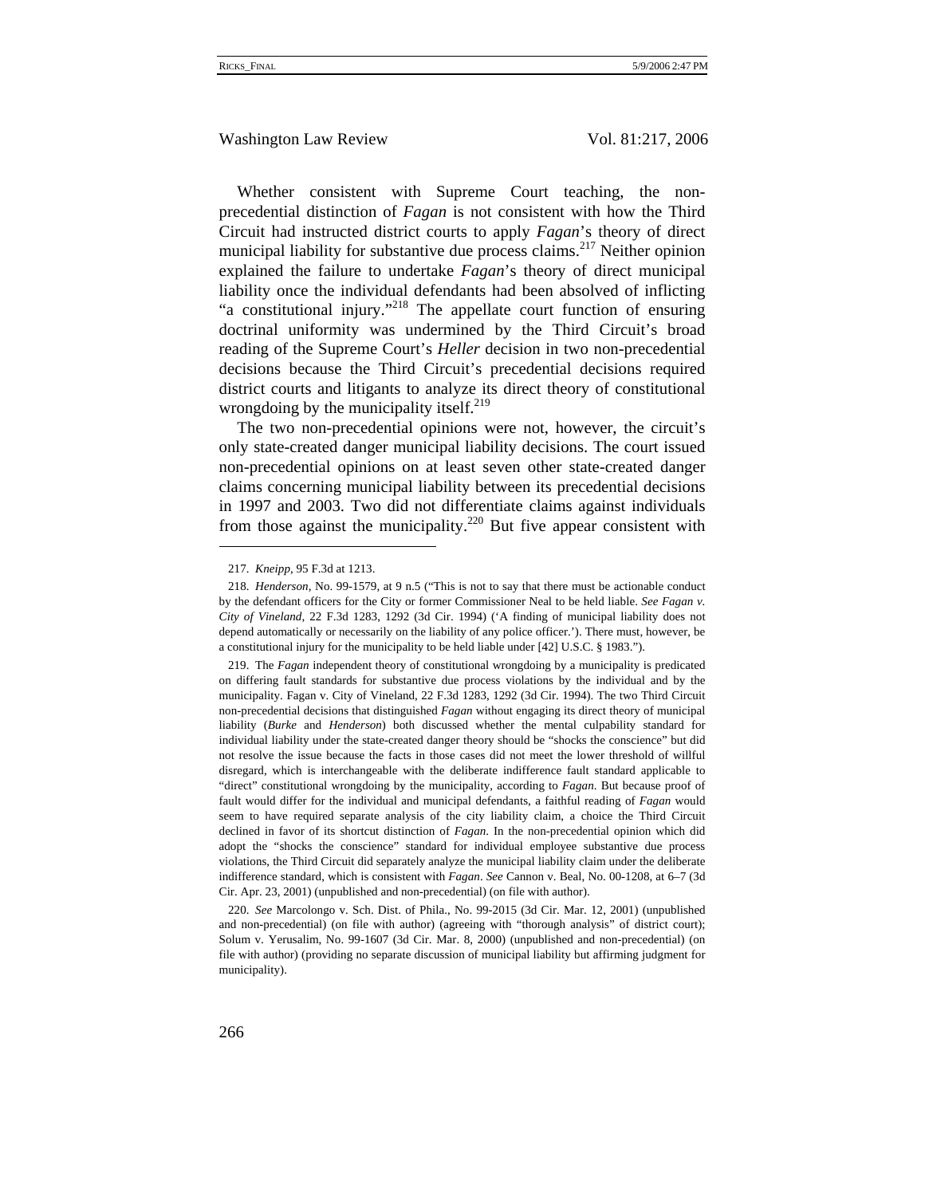Whether consistent with Supreme Court teaching, the nonprecedential distinction of *Fagan* is not consistent with how the Third Circuit had instructed district courts to apply *Fagan*'s theory of direct municipal liability for substantive due process claims.<sup>217</sup> Neither opinion explained the failure to undertake *Fagan*'s theory of direct municipal liability once the individual defendants had been absolved of inflicting "a constitutional injury."218 The appellate court function of ensuring doctrinal uniformity was undermined by the Third Circuit's broad reading of the Supreme Court's *Heller* decision in two non-precedential decisions because the Third Circuit's precedential decisions required district courts and litigants to analyze its direct theory of constitutional wrongdoing by the municipality itself. $2^{19}$ 

The two non-precedential opinions were not, however, the circuit's only state-created danger municipal liability decisions. The court issued non-precedential opinions on at least seven other state-created danger claims concerning municipal liability between its precedential decisions in 1997 and 2003. Two did not differentiate claims against individuals from those against the municipality.<sup>220</sup> But five appear consistent with

 $\overline{a}$ 

<sup>217.</sup> *Kneipp*, 95 F.3d at 1213.

<sup>218.</sup> *Henderson*, No. 99-1579, at 9 n.5 ("This is not to say that there must be actionable conduct by the defendant officers for the City or former Commissioner Neal to be held liable. *See Fagan v. City of Vineland*, 22 F.3d 1283, 1292 (3d Cir. 1994) ('A finding of municipal liability does not depend automatically or necessarily on the liability of any police officer.'). There must, however, be a constitutional injury for the municipality to be held liable under [42] U.S.C. § 1983.").

<sup>219.</sup> The *Fagan* independent theory of constitutional wrongdoing by a municipality is predicated on differing fault standards for substantive due process violations by the individual and by the municipality. Fagan v. City of Vineland, 22 F.3d 1283, 1292 (3d Cir. 1994). The two Third Circuit non-precedential decisions that distinguished *Fagan* without engaging its direct theory of municipal liability (*Burke* and *Henderson*) both discussed whether the mental culpability standard for individual liability under the state-created danger theory should be "shocks the conscience" but did not resolve the issue because the facts in those cases did not meet the lower threshold of willful disregard, which is interchangeable with the deliberate indifference fault standard applicable to "direct" constitutional wrongdoing by the municipality, according to *Fagan*. But because proof of fault would differ for the individual and municipal defendants, a faithful reading of *Fagan* would seem to have required separate analysis of the city liability claim, a choice the Third Circuit declined in favor of its shortcut distinction of *Fagan*. In the non-precedential opinion which did adopt the "shocks the conscience" standard for individual employee substantive due process violations, the Third Circuit did separately analyze the municipal liability claim under the deliberate indifference standard, which is consistent with *Fagan*. *See* Cannon v. Beal, No. 00-1208, at 6–7 (3d Cir. Apr. 23, 2001) (unpublished and non-precedential) (on file with author).

<sup>220.</sup> *See* Marcolongo v. Sch. Dist. of Phila., No. 99-2015 (3d Cir. Mar. 12, 2001) (unpublished and non-precedential) (on file with author) (agreeing with "thorough analysis" of district court); Solum v. Yerusalim, No. 99-1607 (3d Cir. Mar. 8, 2000) (unpublished and non-precedential) (on file with author) (providing no separate discussion of municipal liability but affirming judgment for municipality).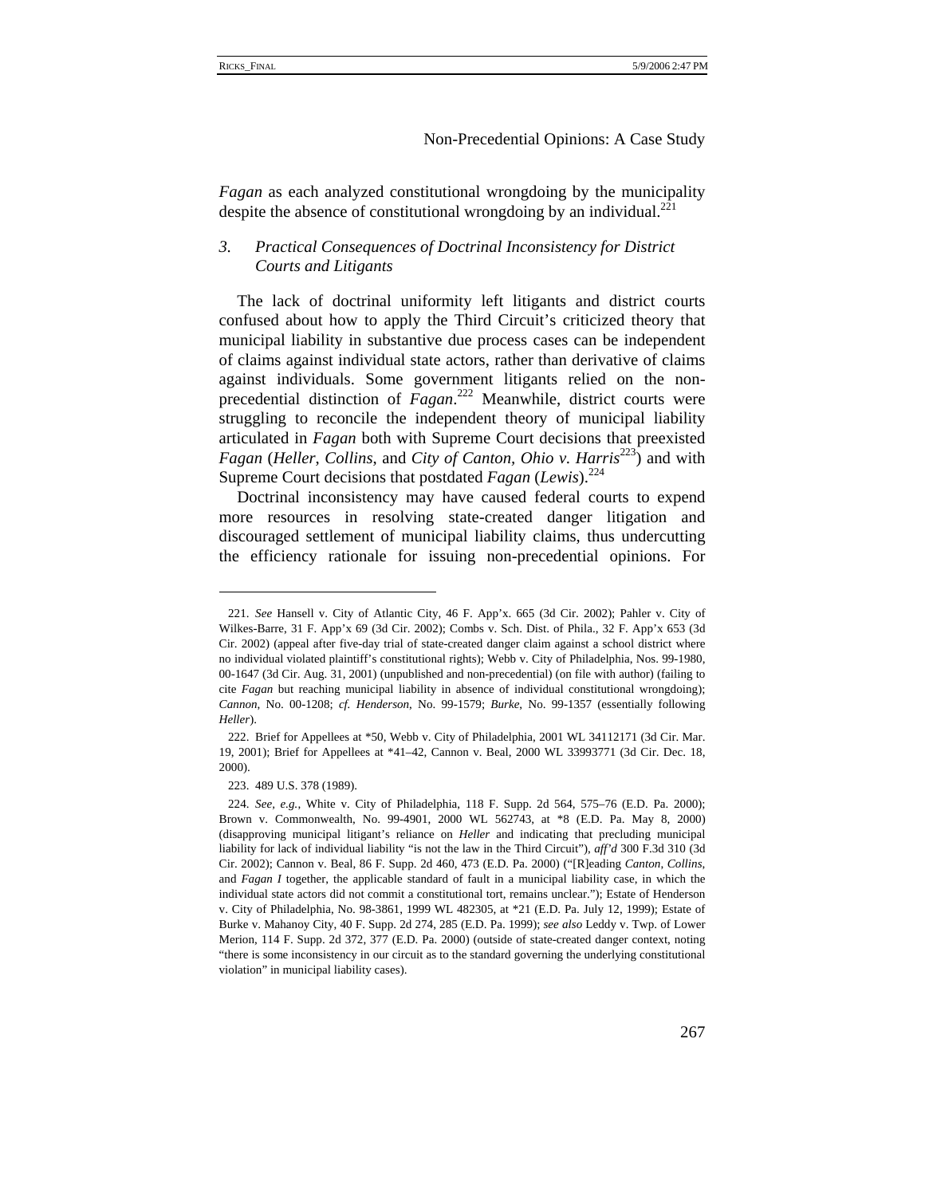*Fagan* as each analyzed constitutional wrongdoing by the municipality despite the absence of constitutional wrongdoing by an individual.<sup>221</sup>

# *3. Practical Consequences of Doctrinal Inconsistency for District Courts and Litigants*

The lack of doctrinal uniformity left litigants and district courts confused about how to apply the Third Circuit's criticized theory that municipal liability in substantive due process cases can be independent of claims against individual state actors, rather than derivative of claims against individuals. Some government litigants relied on the nonprecedential distinction of *Fagan*. 222 Meanwhile, district courts were struggling to reconcile the independent theory of municipal liability articulated in *Fagan* both with Supreme Court decisions that preexisted *Fagan* (*Heller, Collins, and City of Canton, Ohio v. Harris*<sup>223</sup>) and with Supreme Court decisions that postdated *Fagan* (*Lewis*).<sup>224</sup>

Doctrinal inconsistency may have caused federal courts to expend more resources in resolving state-created danger litigation and discouraged settlement of municipal liability claims, thus undercutting the efficiency rationale for issuing non-precedential opinions. For

<sup>221.</sup> *See* Hansell v. City of Atlantic City, 46 F. App'x. 665 (3d Cir. 2002); Pahler v. City of Wilkes-Barre, 31 F. App'x 69 (3d Cir. 2002); Combs v. Sch. Dist. of Phila., 32 F. App'x 653 (3d Cir. 2002) (appeal after five-day trial of state-created danger claim against a school district where no individual violated plaintiff's constitutional rights); Webb v. City of Philadelphia, Nos. 99-1980, 00-1647 (3d Cir. Aug. 31, 2001) (unpublished and non-precedential) (on file with author) (failing to cite *Fagan* but reaching municipal liability in absence of individual constitutional wrongdoing); *Cannon*, No. 00-1208; *cf. Henderson*, No. 99-1579; *Burke*, No. 99-1357 (essentially following *Heller*).

<sup>222.</sup> Brief for Appellees at \*50, Webb v. City of Philadelphia, 2001 WL 34112171 (3d Cir. Mar. 19, 2001); Brief for Appellees at \*41–42, Cannon v. Beal, 2000 WL 33993771 (3d Cir. Dec. 18, 2000).

<sup>223. 489</sup> U.S. 378 (1989).

<sup>224.</sup> *See, e.g.*, White v. City of Philadelphia, 118 F. Supp. 2d 564, 575–76 (E.D. Pa. 2000); Brown v. Commonwealth, No. 99-4901, 2000 WL 562743, at \*8 (E.D. Pa. May 8, 2000) (disapproving municipal litigant's reliance on *Heller* and indicating that precluding municipal liability for lack of individual liability "is not the law in the Third Circuit"), *aff'd* 300 F.3d 310 (3d Cir. 2002); Cannon v. Beal, 86 F. Supp. 2d 460, 473 (E.D. Pa. 2000) ("[R]eading *Canton*, *Collins*, and *Fagan I* together, the applicable standard of fault in a municipal liability case, in which the individual state actors did not commit a constitutional tort, remains unclear."); Estate of Henderson v. City of Philadelphia, No. 98-3861, 1999 WL 482305, at \*21 (E.D. Pa. July 12, 1999); Estate of Burke v. Mahanoy City, 40 F. Supp. 2d 274, 285 (E.D. Pa. 1999); *see also* Leddy v. Twp. of Lower Merion, 114 F. Supp. 2d 372, 377 (E.D. Pa. 2000) (outside of state-created danger context, noting "there is some inconsistency in our circuit as to the standard governing the underlying constitutional violation" in municipal liability cases).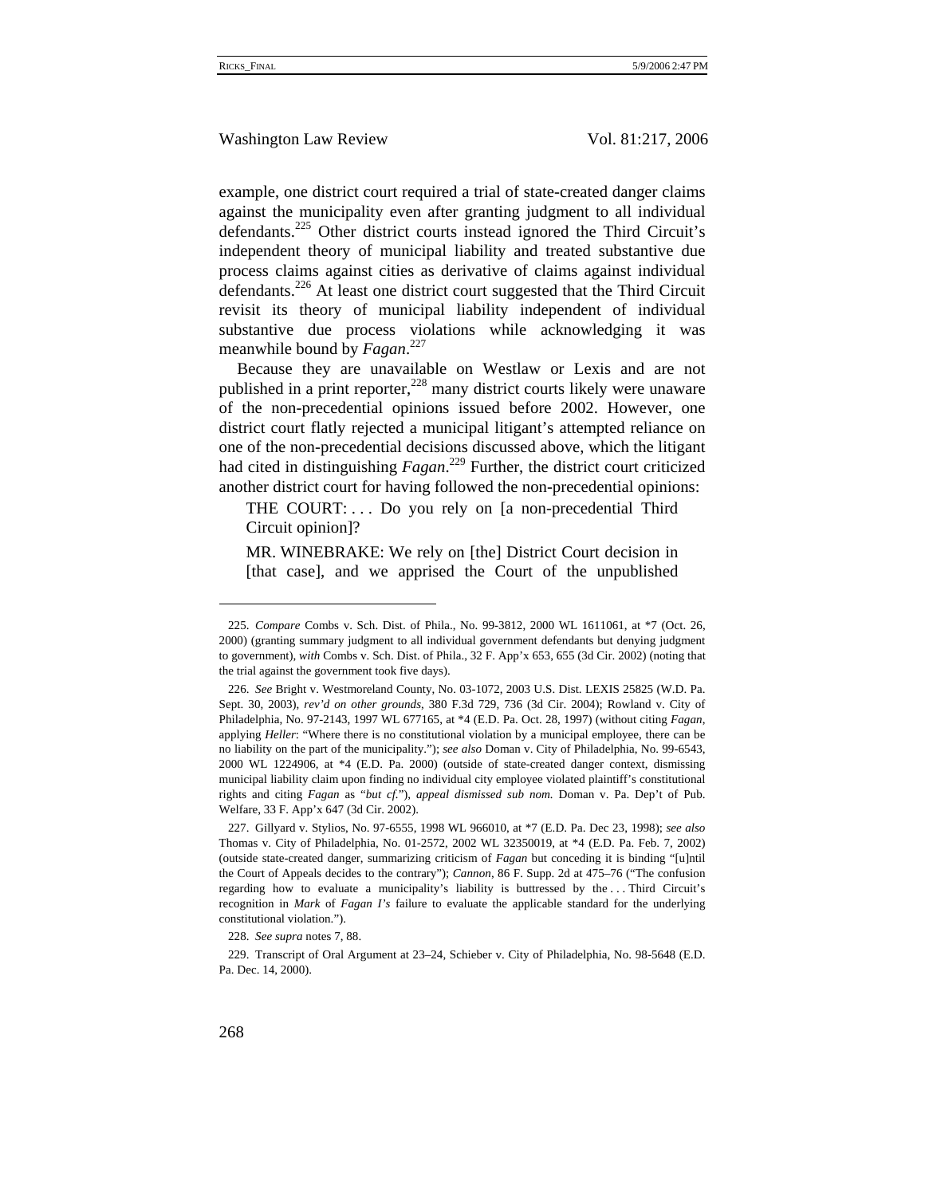example, one district court required a trial of state-created danger claims against the municipality even after granting judgment to all individual defendants.<sup>225</sup> Other district courts instead ignored the Third Circuit's independent theory of municipal liability and treated substantive due process claims against cities as derivative of claims against individual defendants.<sup>226</sup> At least one district court suggested that the Third Circuit revisit its theory of municipal liability independent of individual substantive due process violations while acknowledging it was meanwhile bound by *Fagan*. 227

Because they are unavailable on Westlaw or Lexis and are not published in a print reporter, $228$  many district courts likely were unaware of the non-precedential opinions issued before 2002. However, one district court flatly rejected a municipal litigant's attempted reliance on one of the non-precedential decisions discussed above, which the litigant had cited in distinguishing *Fagan*. 229 Further, the district court criticized another district court for having followed the non-precedential opinions:

THE COURT:... Do you rely on [a non-precedential Third Circuit opinion]?

MR. WINEBRAKE: We rely on [the] District Court decision in [that case], and we apprised the Court of the unpublished

<sup>225.</sup> *Compare* Combs v. Sch. Dist. of Phila., No. 99-3812, 2000 WL 1611061, at \*7 (Oct. 26, 2000) (granting summary judgment to all individual government defendants but denying judgment to government), *with* Combs v. Sch. Dist. of Phila., 32 F. App'x 653, 655 (3d Cir. 2002) (noting that the trial against the government took five days).

<sup>226.</sup> *See* Bright v. Westmoreland County, No. 03-1072, 2003 U.S. Dist. LEXIS 25825 (W.D. Pa. Sept. 30, 2003), *rev'd on other grounds*, 380 F.3d 729, 736 (3d Cir. 2004); Rowland v. City of Philadelphia, No. 97-2143, 1997 WL 677165, at \*4 (E.D. Pa. Oct. 28, 1997) (without citing *Fagan*, applying *Heller*: "Where there is no constitutional violation by a municipal employee, there can be no liability on the part of the municipality."); *see also* Doman v. City of Philadelphia, No. 99-6543, 2000 WL 1224906, at \*4 (E.D. Pa. 2000) (outside of state-created danger context, dismissing municipal liability claim upon finding no individual city employee violated plaintiff's constitutional rights and citing *Fagan* as "*but cf.*"), *appeal dismissed sub nom.* Doman v. Pa. Dep't of Pub. Welfare, 33 F. App'x 647 (3d Cir. 2002).

<sup>227.</sup> Gillyard v. Stylios, No. 97-6555, 1998 WL 966010, at \*7 (E.D. Pa. Dec 23, 1998); *see also*  Thomas v. City of Philadelphia, No. 01-2572, 2002 WL 32350019, at \*4 (E.D. Pa. Feb. 7, 2002) (outside state-created danger, summarizing criticism of *Fagan* but conceding it is binding "[u]ntil the Court of Appeals decides to the contrary"); *Cannon*, 86 F. Supp. 2d at 475–76 ("The confusion regarding how to evaluate a municipality's liability is buttressed by the . . . Third Circuit's recognition in *Mark* of *Fagan I's* failure to evaluate the applicable standard for the underlying constitutional violation.").

<sup>228.</sup> *See supra* notes 7, 88.

<sup>229.</sup> Transcript of Oral Argument at 23–24, Schieber v. City of Philadelphia, No. 98-5648 (E.D. Pa. Dec. 14, 2000).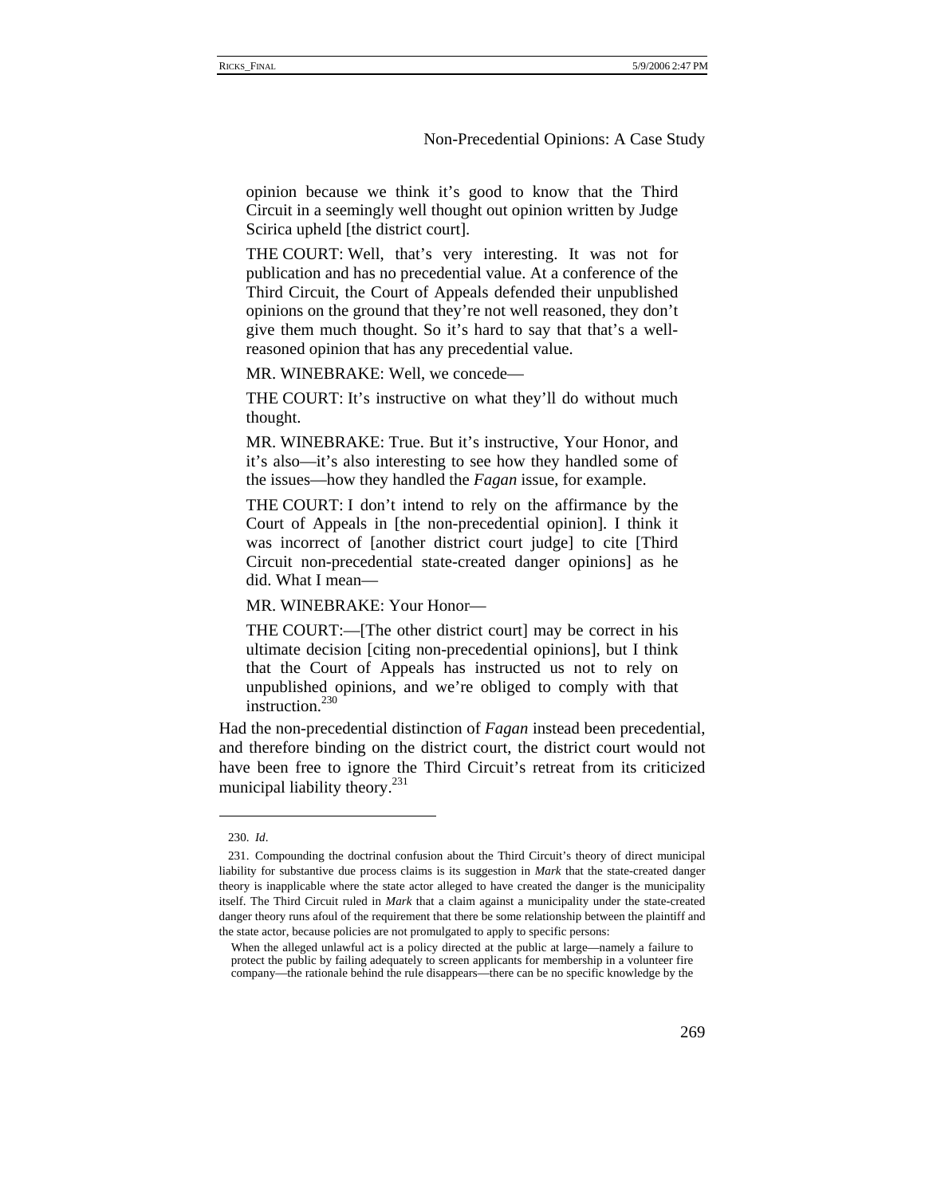opinion because we think it's good to know that the Third Circuit in a seemingly well thought out opinion written by Judge Scirica upheld [the district court].

THE COURT: Well, that's very interesting. It was not for publication and has no precedential value. At a conference of the Third Circuit, the Court of Appeals defended their unpublished opinions on the ground that they're not well reasoned, they don't give them much thought. So it's hard to say that that's a wellreasoned opinion that has any precedential value.

MR. WINEBRAKE: Well, we concede—

THE COURT: It's instructive on what they'll do without much thought.

MR. WINEBRAKE: True. But it's instructive, Your Honor, and it's also—it's also interesting to see how they handled some of the issues—how they handled the *Fagan* issue, for example.

THE COURT: I don't intend to rely on the affirmance by the Court of Appeals in [the non-precedential opinion]. I think it was incorrect of [another district court judge] to cite [Third Circuit non-precedential state-created danger opinions] as he did. What I mean—

MR. WINEBRAKE: Your Honor—

THE COURT:—[The other district court] may be correct in his ultimate decision [citing non-precedential opinions], but I think that the Court of Appeals has instructed us not to rely on unpublished opinions, and we're obliged to comply with that instruction.<sup>230</sup>

Had the non-precedential distinction of *Fagan* instead been precedential, and therefore binding on the district court, the district court would not have been free to ignore the Third Circuit's retreat from its criticized municipal liability theory. $^{231}$ 

<sup>230.</sup> *Id*.

<sup>231.</sup> Compounding the doctrinal confusion about the Third Circuit's theory of direct municipal liability for substantive due process claims is its suggestion in *Mark* that the state-created danger theory is inapplicable where the state actor alleged to have created the danger is the municipality itself. The Third Circuit ruled in *Mark* that a claim against a municipality under the state-created danger theory runs afoul of the requirement that there be some relationship between the plaintiff and the state actor, because policies are not promulgated to apply to specific persons:

When the alleged unlawful act is a policy directed at the public at large—namely a failure to protect the public by failing adequately to screen applicants for membership in a volunteer fire company—the rationale behind the rule disappears—there can be no specific knowledge by the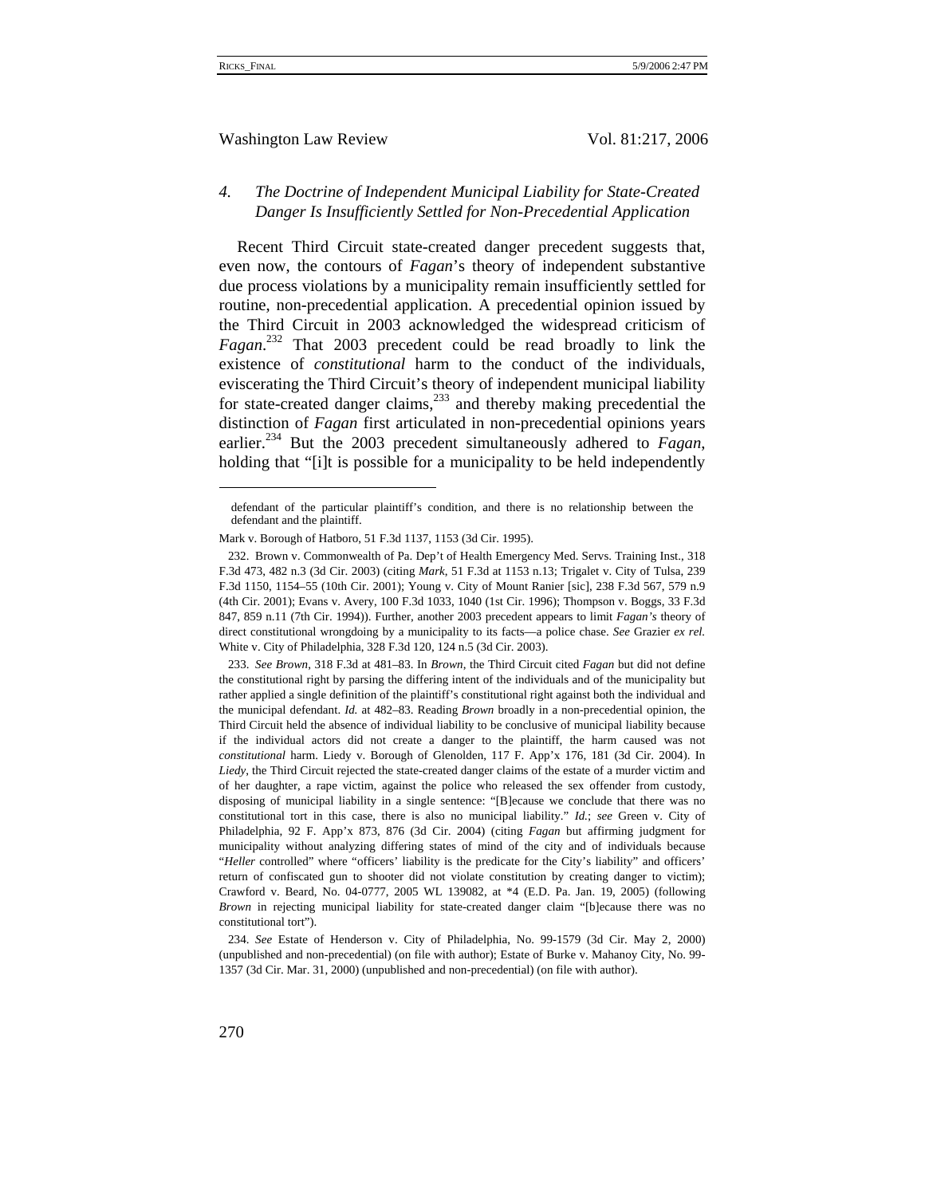Washington Law Review Vol. 81:217, 2006

# *4. The Doctrine of Independent Municipal Liability for State-Created Danger Is Insufficiently Settled for Non-Precedential Application*

Recent Third Circuit state-created danger precedent suggests that, even now, the contours of *Fagan*'s theory of independent substantive due process violations by a municipality remain insufficiently settled for routine, non-precedential application. A precedential opinion issued by the Third Circuit in 2003 acknowledged the widespread criticism of *Fagan*. 232 That 2003 precedent could be read broadly to link the existence of *constitutional* harm to the conduct of the individuals, eviscerating the Third Circuit's theory of independent municipal liability for state-created danger claims, $^{233}$  and thereby making precedential the distinction of *Fagan* first articulated in non-precedential opinions years earlier.<sup>234</sup> But the 2003 precedent simultaneously adhered to *Fagan*, holding that "[i]t is possible for a municipality to be held independently

defendant of the particular plaintiff's condition, and there is no relationship between the defendant and the plaintiff.

Mark v. Borough of Hatboro, 51 F.3d 1137, 1153 (3d Cir. 1995).

<sup>232.</sup> Brown v. Commonwealth of Pa. Dep't of Health Emergency Med. Servs. Training Inst., 318 F.3d 473, 482 n.3 (3d Cir. 2003) (citing *Mark*, 51 F.3d at 1153 n.13; Trigalet v. City of Tulsa, 239 F.3d 1150, 1154–55 (10th Cir. 2001); Young v. City of Mount Ranier [sic], 238 F.3d 567, 579 n.9 (4th Cir. 2001); Evans v. Avery, 100 F.3d 1033, 1040 (1st Cir. 1996); Thompson v. Boggs, 33 F.3d 847, 859 n.11 (7th Cir. 1994)). Further, another 2003 precedent appears to limit *Fagan's* theory of direct constitutional wrongdoing by a municipality to its facts—a police chase. *See* Grazier *ex rel.* White v. City of Philadelphia, 328 F.3d 120, 124 n.5 (3d Cir. 2003).

<sup>233.</sup> *See Brown*, 318 F.3d at 481–83. In *Brown*, the Third Circuit cited *Fagan* but did not define the constitutional right by parsing the differing intent of the individuals and of the municipality but rather applied a single definition of the plaintiff's constitutional right against both the individual and the municipal defendant. *Id.* at 482–83. Reading *Brown* broadly in a non-precedential opinion, the Third Circuit held the absence of individual liability to be conclusive of municipal liability because if the individual actors did not create a danger to the plaintiff, the harm caused was not *constitutional* harm. Liedy v. Borough of Glenolden, 117 F. App'x 176, 181 (3d Cir. 2004). In *Liedy*, the Third Circuit rejected the state-created danger claims of the estate of a murder victim and of her daughter, a rape victim, against the police who released the sex offender from custody, disposing of municipal liability in a single sentence: "[B]ecause we conclude that there was no constitutional tort in this case, there is also no municipal liability." *Id.*; *see* Green v. City of Philadelphia, 92 F. App'x 873, 876 (3d Cir. 2004) (citing *Fagan* but affirming judgment for municipality without analyzing differing states of mind of the city and of individuals because "*Heller* controlled" where "officers' liability is the predicate for the City's liability" and officers' return of confiscated gun to shooter did not violate constitution by creating danger to victim); Crawford v. Beard, No. 04-0777, 2005 WL 139082, at \*4 (E.D. Pa. Jan. 19, 2005) (following *Brown* in rejecting municipal liability for state-created danger claim "[b]ecause there was no constitutional tort").

<sup>234.</sup> *See* Estate of Henderson v. City of Philadelphia, No. 99-1579 (3d Cir. May 2, 2000) (unpublished and non-precedential) (on file with author); Estate of Burke v. Mahanoy City, No. 99- 1357 (3d Cir. Mar. 31, 2000) (unpublished and non-precedential) (on file with author).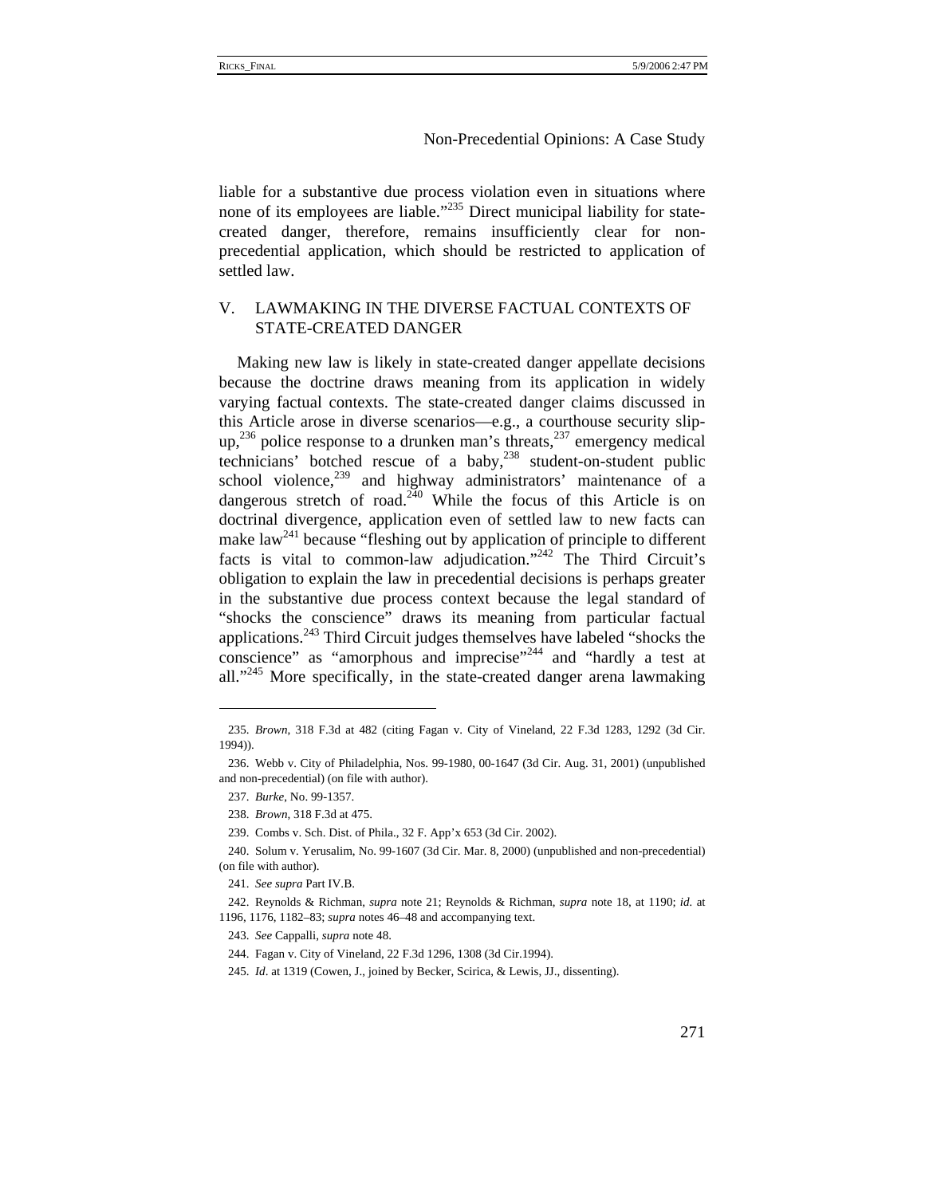liable for a substantive due process violation even in situations where none of its employees are liable."<sup>235</sup> Direct municipal liability for statecreated danger, therefore, remains insufficiently clear for nonprecedential application, which should be restricted to application of settled law.

# V. LAWMAKING IN THE DIVERSE FACTUAL CONTEXTS OF STATE-CREATED DANGER

Making new law is likely in state-created danger appellate decisions because the doctrine draws meaning from its application in widely varying factual contexts. The state-created danger claims discussed in this Article arose in diverse scenarios—e.g., a courthouse security slip $up,^{236}$  police response to a drunken man's threats,  $^{237}$  emergency medical technicians' botched rescue of a baby, $238$  student-on-student public school violence, $239$  and highway administrators' maintenance of a dangerous stretch of road.<sup>240</sup> While the focus of this Article is on doctrinal divergence, application even of settled law to new facts can make law<sup>241</sup> because "fleshing out by application of principle to different facts is vital to common-law adjudication."242 The Third Circuit's obligation to explain the law in precedential decisions is perhaps greater in the substantive due process context because the legal standard of "shocks the conscience" draws its meaning from particular factual applications. $243$  Third Circuit judges themselves have labeled "shocks the conscience" as "amorphous and imprecise"<sup>244</sup> and "hardly a test at all. $1245$  More specifically, in the state-created danger arena lawmaking

<sup>235.</sup> *Brown*, 318 F.3d at 482 (citing Fagan v. City of Vineland, 22 F.3d 1283, 1292 (3d Cir. 1994)).

<sup>236.</sup> Webb v. City of Philadelphia, Nos. 99-1980, 00-1647 (3d Cir. Aug. 31, 2001) (unpublished and non-precedential) (on file with author).

<sup>237.</sup> *Burke*, No. 99-1357.

<sup>238.</sup> *Brown*, 318 F.3d at 475.

<sup>239.</sup> Combs v. Sch. Dist. of Phila., 32 F. App'x 653 (3d Cir. 2002).

<sup>240.</sup> Solum v. Yerusalim, No. 99-1607 (3d Cir. Mar. 8, 2000) (unpublished and non-precedential) (on file with author).

<sup>241.</sup> *See supra* Part IV.B.

<sup>242.</sup> Reynolds & Richman, *supra* note 21; Reynolds & Richman, *supra* note 18, at 1190; *id.* at 1196, 1176, 1182–83; *supra* notes 46–48 and accompanying text.

<sup>243.</sup> *See* Cappalli, *supra* note 48.

<sup>244.</sup> Fagan v. City of Vineland, 22 F.3d 1296, 1308 (3d Cir.1994).

<sup>245.</sup> *Id*. at 1319 (Cowen, J., joined by Becker, Scirica, & Lewis, JJ., dissenting).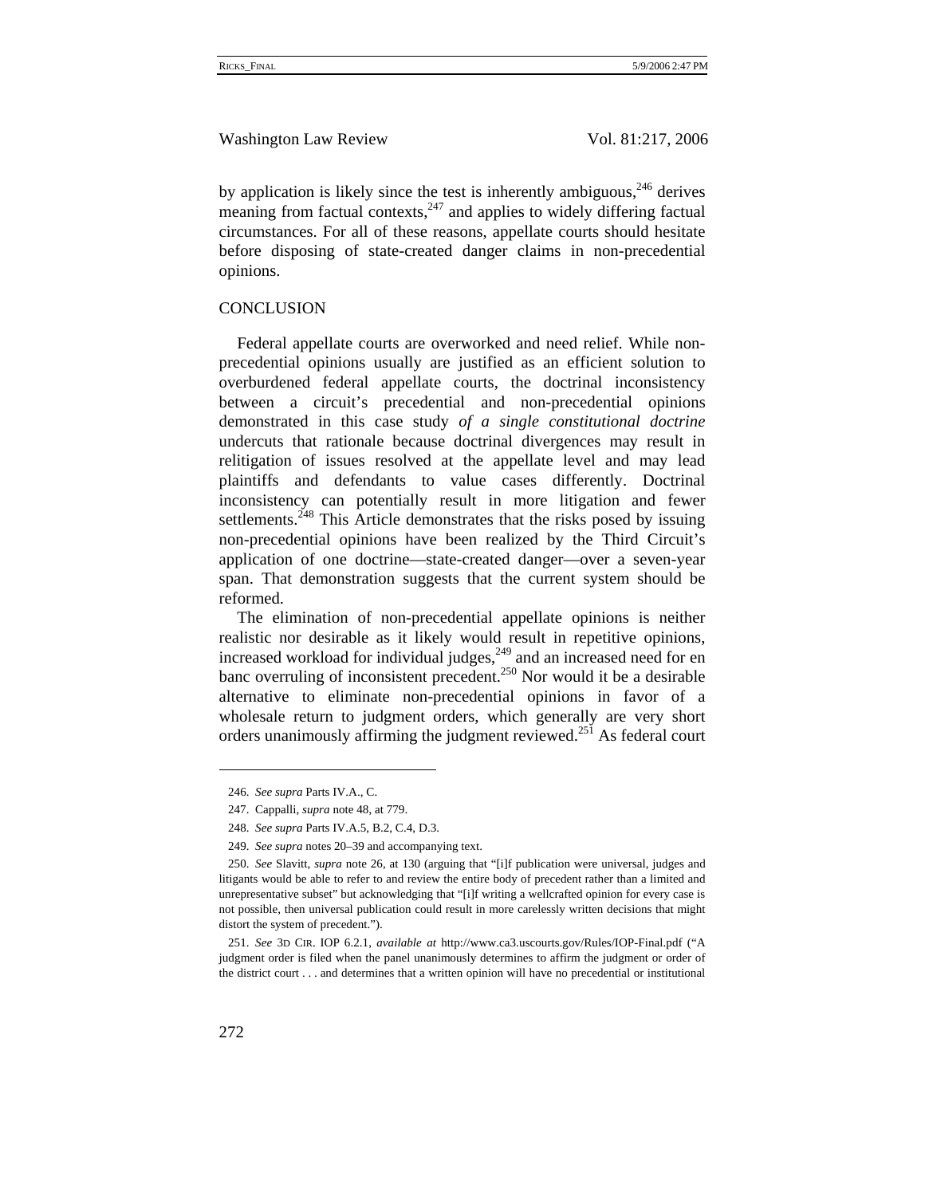by application is likely since the test is inherently ambiguous,  $246$  derives meaning from factual contexts, $247$  and applies to widely differing factual circumstances. For all of these reasons, appellate courts should hesitate before disposing of state-created danger claims in non-precedential opinions.

# **CONCLUSION**

Federal appellate courts are overworked and need relief. While nonprecedential opinions usually are justified as an efficient solution to overburdened federal appellate courts, the doctrinal inconsistency between a circuit's precedential and non-precedential opinions demonstrated in this case study *of a single constitutional doctrine* undercuts that rationale because doctrinal divergences may result in relitigation of issues resolved at the appellate level and may lead plaintiffs and defendants to value cases differently. Doctrinal inconsistency can potentially result in more litigation and fewer settlements.<sup>248</sup> This Article demonstrates that the risks posed by issuing non-precedential opinions have been realized by the Third Circuit's application of one doctrine—state-created danger—over a seven-year span. That demonstration suggests that the current system should be reformed.

The elimination of non-precedential appellate opinions is neither realistic nor desirable as it likely would result in repetitive opinions, increased workload for individual judges,<sup>249</sup> and an increased need for en banc overruling of inconsistent precedent.<sup>250</sup> Nor would it be a desirable alternative to eliminate non-precedential opinions in favor of a wholesale return to judgment orders, which generally are very short orders unanimously affirming the judgment reviewed.<sup>251</sup> As federal court

<sup>246.</sup> *See supra* Parts IV.A., C.

<sup>247.</sup> Cappalli, *supra* note 48, at 779.

<sup>248.</sup> *See supra* Parts IV.A.5, B.2, C.4, D.3.

<sup>249.</sup> *See supra* notes 20–39 and accompanying text.

<sup>250.</sup> *See* Slavitt, *supra* note 26, at 130 (arguing that "[i]f publication were universal, judges and litigants would be able to refer to and review the entire body of precedent rather than a limited and unrepresentative subset" but acknowledging that "[i]f writing a wellcrafted opinion for every case is not possible, then universal publication could result in more carelessly written decisions that might distort the system of precedent.").

<sup>251.</sup> *See* 3D CIR. IOP 6.2.1, *available at* http://www.ca3.uscourts.gov/Rules/IOP-Final.pdf ("A judgment order is filed when the panel unanimously determines to affirm the judgment or order of the district court . . . and determines that a written opinion will have no precedential or institutional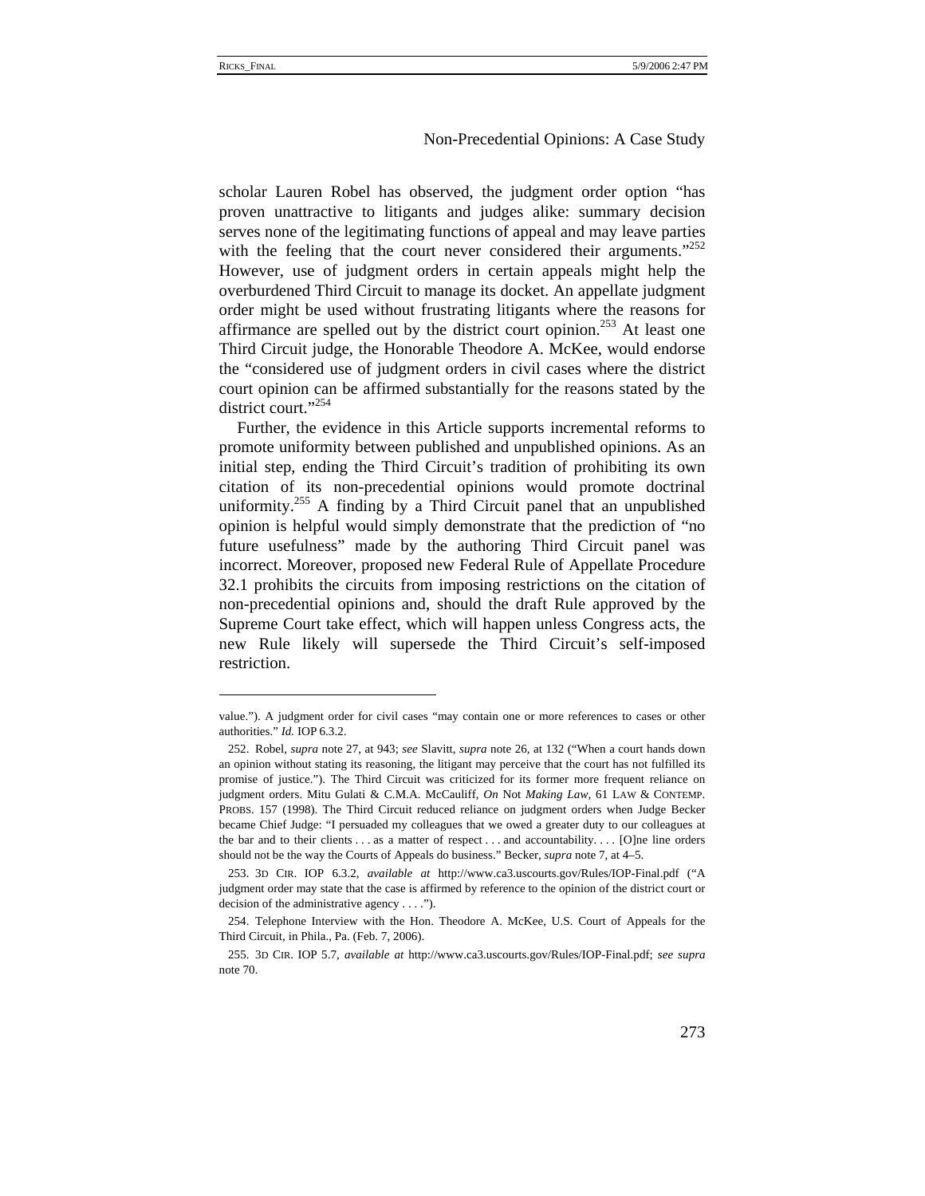#### Non-Precedential Opinions: A Case Study

scholar Lauren Robel has observed, the judgment order option "has proven unattractive to litigants and judges alike: summary decision serves none of the legitimating functions of appeal and may leave parties with the feeling that the court never considered their arguments."<sup>252</sup> However, use of judgment orders in certain appeals might help the overburdened Third Circuit to manage its docket. An appellate judgment order might be used without frustrating litigants where the reasons for affirmance are spelled out by the district court opinion.<sup>253</sup> At least one Third Circuit judge, the Honorable Theodore A. McKee, would endorse the "considered use of judgment orders in civil cases where the district court opinion can be affirmed substantially for the reasons stated by the district court."<sup>254</sup>

Further, the evidence in this Article supports incremental reforms to promote uniformity between published and unpublished opinions. As an initial step, ending the Third Circuit's tradition of prohibiting its own citation of its non-precedential opinions would promote doctrinal uniformity.<sup>255</sup> A finding by a Third Circuit panel that an unpublished opinion is helpful would simply demonstrate that the prediction of "no future usefulness" made by the authoring Third Circuit panel was incorrect. Moreover, proposed new Federal Rule of Appellate Procedure 32.1 prohibits the circuits from imposing restrictions on the citation of non-precedential opinions and, should the draft Rule approved by the Supreme Court take effect, which will happen unless Congress acts, the new Rule likely will supersede the Third Circuit's self-imposed restriction.

value."). A judgment order for civil cases "may contain one or more references to cases or other authorities." *Id.* IOP 6.3.2.

<sup>252.</sup> Robel, *supra* note 27, at 943; *see* Slavitt, *supra* note 26, at 132 ("When a court hands down an opinion without stating its reasoning, the litigant may perceive that the court has not fulfilled its promise of justice."). The Third Circuit was criticized for its former more frequent reliance on judgment orders. Mitu Gulati & C.M.A. McCauliff, *On* Not *Making Law*, 61 LAW & CONTEMP. PROBS. 157 (1998). The Third Circuit reduced reliance on judgment orders when Judge Becker became Chief Judge: "I persuaded my colleagues that we owed a greater duty to our colleagues at the bar and to their clients . . . as a matter of respect . . . and accountability. . . . [O]ne line orders should not be the way the Courts of Appeals do business." Becker, *supra* note 7, at 4–5.

<sup>253. 3</sup>D CIR. IOP 6.3.2, *available at* http://www.ca3.uscourts.gov/Rules/IOP-Final.pdf ("A judgment order may state that the case is affirmed by reference to the opinion of the district court or decision of the administrative agency . . . .").

<sup>254.</sup> Telephone Interview with the Hon. Theodore A. McKee, U.S. Court of Appeals for the Third Circuit, in Phila., Pa. (Feb. 7, 2006).

<sup>255. 3</sup>D CIR. IOP 5.7, *available at* http://www.ca3.uscourts.gov/Rules/IOP-Final.pdf; *see supra* note 70.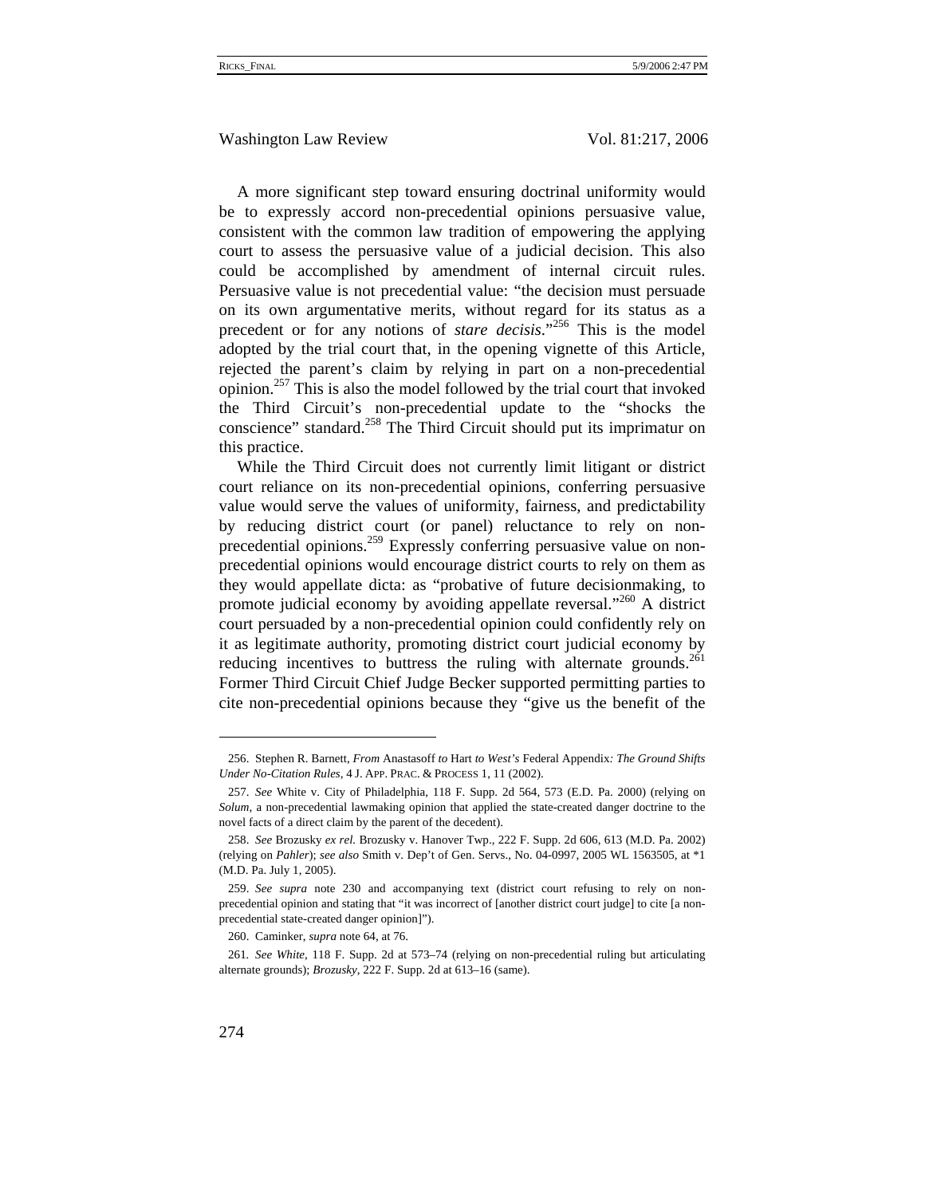A more significant step toward ensuring doctrinal uniformity would be to expressly accord non-precedential opinions persuasive value, consistent with the common law tradition of empowering the applying court to assess the persuasive value of a judicial decision. This also could be accomplished by amendment of internal circuit rules. Persuasive value is not precedential value: "the decision must persuade on its own argumentative merits, without regard for its status as a precedent or for any notions of *stare decisis*."256 This is the model adopted by the trial court that, in the opening vignette of this Article, rejected the parent's claim by relying in part on a non-precedential opinion.<sup>257</sup> This is also the model followed by the trial court that invoked the Third Circuit's non-precedential update to the "shocks the conscience" standard.<sup>258</sup> The Third Circuit should put its imprimatur on this practice.

While the Third Circuit does not currently limit litigant or district court reliance on its non-precedential opinions, conferring persuasive value would serve the values of uniformity, fairness, and predictability by reducing district court (or panel) reluctance to rely on nonprecedential opinions.<sup>259</sup> Expressly conferring persuasive value on nonprecedential opinions would encourage district courts to rely on them as they would appellate dicta: as "probative of future decisionmaking, to promote judicial economy by avoiding appellate reversal."<sup>260</sup> A district court persuaded by a non-precedential opinion could confidently rely on it as legitimate authority, promoting district court judicial economy by reducing incentives to buttress the ruling with alternate grounds. $^{261}$ Former Third Circuit Chief Judge Becker supported permitting parties to cite non-precedential opinions because they "give us the benefit of the

<sup>256.</sup> Stephen R. Barnett, *From* Anastasoff *to* Hart *to West's* Federal Appendix*: The Ground Shifts Under No-Citation Rules*, 4 J. APP. PRAC. & PROCESS 1, 11 (2002).

<sup>257.</sup> *See* White v. City of Philadelphia, 118 F. Supp. 2d 564, 573 (E.D. Pa. 2000) (relying on *Solum*, a non-precedential lawmaking opinion that applied the state-created danger doctrine to the novel facts of a direct claim by the parent of the decedent).

<sup>258.</sup> *See* Brozusky *ex rel.* Brozusky v. Hanover Twp., 222 F. Supp. 2d 606, 613 (M.D. Pa. 2002) (relying on *Pahler*); *see also* Smith v. Dep't of Gen. Servs., No. 04-0997, 2005 WL 1563505, at \*1 (M.D. Pa. July 1, 2005).

<sup>259.</sup> *See supra* note 230 and accompanying text (district court refusing to rely on nonprecedential opinion and stating that "it was incorrect of [another district court judge] to cite [a nonprecedential state-created danger opinion]").

<sup>260.</sup> Caminker, *supra* note 64, at 76.

<sup>261</sup>*. See White*, 118 F. Supp. 2d at 573–74 (relying on non-precedential ruling but articulating alternate grounds); *Brozusky*, 222 F. Supp. 2d at 613–16 (same).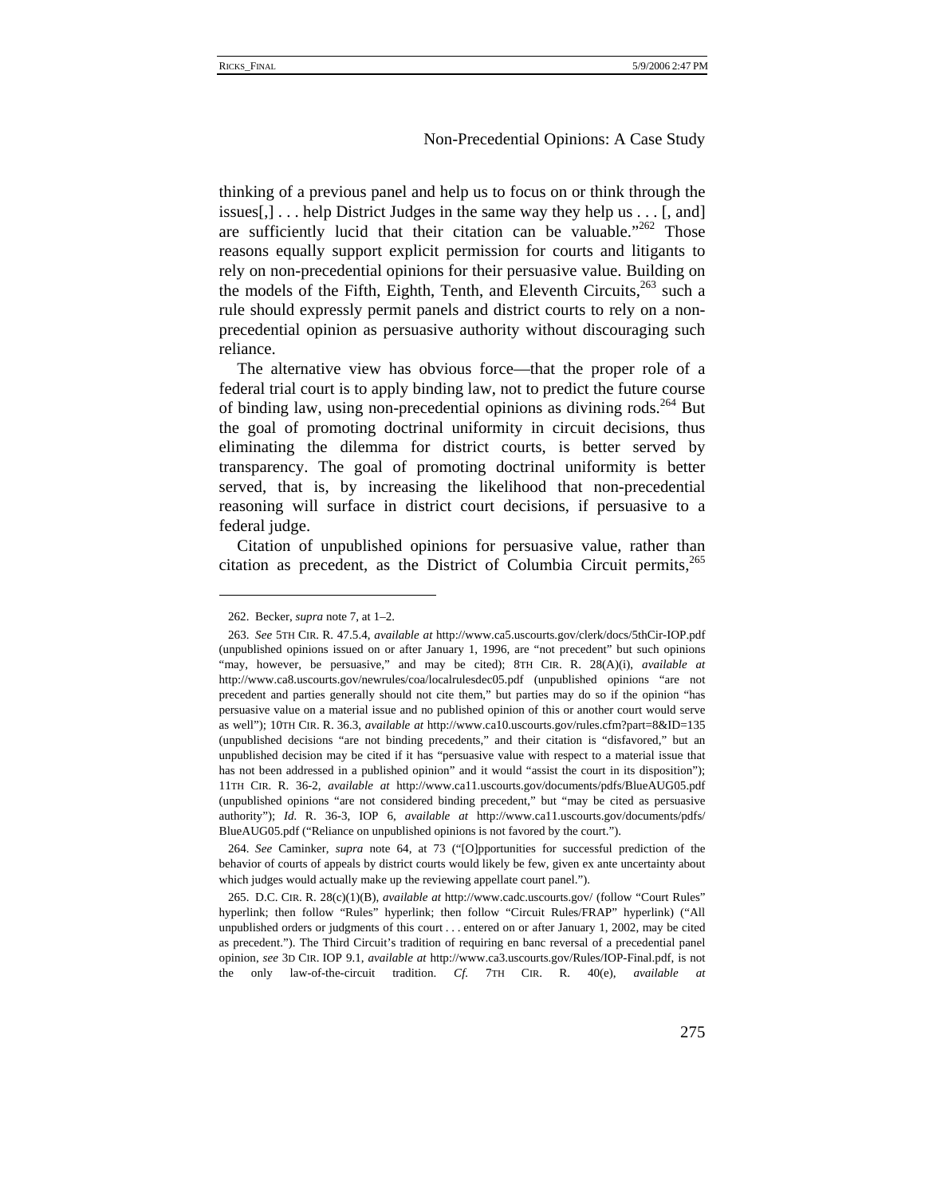thinking of a previous panel and help us to focus on or think through the issues $[$ , $]$ ... help District Judges in the same way they help us ...  $[$ , and  $]$ are sufficiently lucid that their citation can be valuable." $262$  Those reasons equally support explicit permission for courts and litigants to rely on non-precedential opinions for their persuasive value. Building on the models of the Fifth, Eighth, Tenth, and Eleventh Circuits, $^{263}$  such a rule should expressly permit panels and district courts to rely on a nonprecedential opinion as persuasive authority without discouraging such reliance.

The alternative view has obvious force—that the proper role of a federal trial court is to apply binding law, not to predict the future course of binding law, using non-precedential opinions as divining rods.<sup>264</sup> But the goal of promoting doctrinal uniformity in circuit decisions, thus eliminating the dilemma for district courts, is better served by transparency. The goal of promoting doctrinal uniformity is better served, that is, by increasing the likelihood that non-precedential reasoning will surface in district court decisions, if persuasive to a federal judge.

Citation of unpublished opinions for persuasive value, rather than citation as precedent, as the District of Columbia Circuit permits, $^{265}$ 

<sup>262.</sup> Becker, *supra* note 7, at 1–2.

<sup>263.</sup> *See* 5TH CIR. R. 47.5.4, *available at* http://www.ca5.uscourts.gov/clerk/docs/5thCir-IOP.pdf (unpublished opinions issued on or after January 1, 1996, are "not precedent" but such opinions "may, however, be persuasive," and may be cited); 8TH CIR. R. 28(A)(i), *available at* http://www.ca8.uscourts.gov/newrules/coa/localrulesdec05.pdf (unpublished opinions "are not precedent and parties generally should not cite them," but parties may do so if the opinion "has persuasive value on a material issue and no published opinion of this or another court would serve as well"); 10TH CIR. R. 36.3, *available at* http://www.ca10.uscourts.gov/rules.cfm?part=8&ID=135 (unpublished decisions "are not binding precedents," and their citation is "disfavored," but an unpublished decision may be cited if it has "persuasive value with respect to a material issue that has not been addressed in a published opinion" and it would "assist the court in its disposition"); 11TH CIR. R. 36-2, *available at* http://www.ca11.uscourts.gov/documents/pdfs/BlueAUG05.pdf (unpublished opinions "are not considered binding precedent," but "may be cited as persuasive authority"); *Id.* R. 36-3, IOP 6, *available at* http://www.ca11.uscourts.gov/documents/pdfs/ BlueAUG05.pdf ("Reliance on unpublished opinions is not favored by the court.").

<sup>264.</sup> *See* Caminker, *supra* note 64, at 73 ("[O]pportunities for successful prediction of the behavior of courts of appeals by district courts would likely be few, given ex ante uncertainty about which judges would actually make up the reviewing appellate court panel.").

<sup>265.</sup> D.C. CIR. R. 28(c)(1)(B), *available at* http://www.cadc.uscourts.gov/ (follow "Court Rules" hyperlink; then follow "Rules" hyperlink; then follow "Circuit Rules/FRAP" hyperlink) ("All unpublished orders or judgments of this court . . . entered on or after January 1, 2002, may be cited as precedent."). The Third Circuit's tradition of requiring en banc reversal of a precedential panel opinion, *see* 3D CIR. IOP 9.1, *available at* http://www.ca3.uscourts.gov/Rules/IOP-Final.pdf, is not the only law-of-the-circuit tradition. *Cf.* 7TH CIR. R. 40(e), *available at*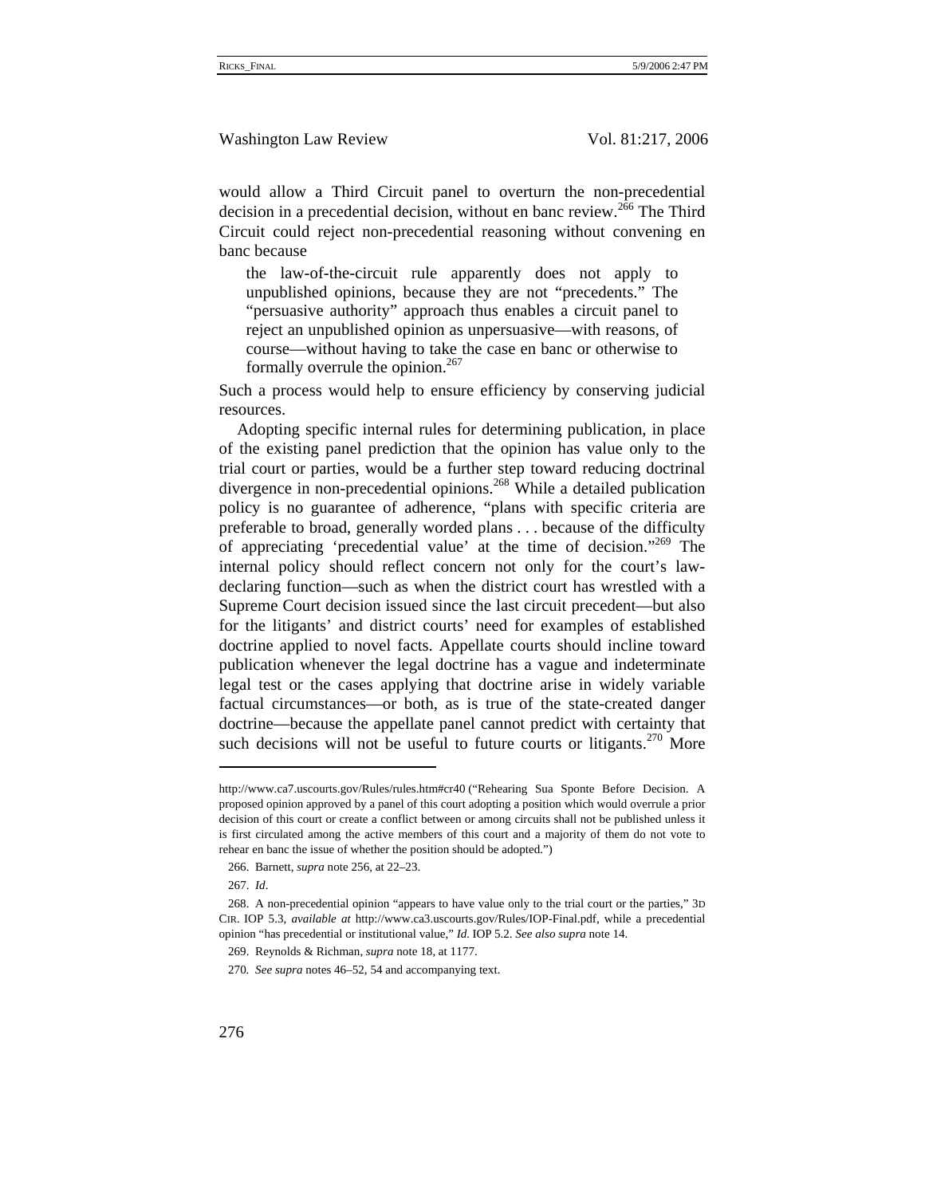would allow a Third Circuit panel to overturn the non-precedential decision in a precedential decision, without en banc review.<sup>266</sup> The Third Circuit could reject non-precedential reasoning without convening en banc because

the law-of-the-circuit rule apparently does not apply to unpublished opinions, because they are not "precedents." The "persuasive authority" approach thus enables a circuit panel to reject an unpublished opinion as unpersuasive—with reasons, of course—without having to take the case en banc or otherwise to formally overrule the opinion.<sup>267</sup>

Such a process would help to ensure efficiency by conserving judicial resources.

Adopting specific internal rules for determining publication, in place of the existing panel prediction that the opinion has value only to the trial court or parties, would be a further step toward reducing doctrinal divergence in non-precedential opinions.268 While a detailed publication policy is no guarantee of adherence, "plans with specific criteria are preferable to broad, generally worded plans . . . because of the difficulty of appreciating 'precedential value' at the time of decision."<sup>269</sup> The internal policy should reflect concern not only for the court's lawdeclaring function—such as when the district court has wrestled with a Supreme Court decision issued since the last circuit precedent—but also for the litigants' and district courts' need for examples of established doctrine applied to novel facts. Appellate courts should incline toward publication whenever the legal doctrine has a vague and indeterminate legal test or the cases applying that doctrine arise in widely variable factual circumstances—or both, as is true of the state-created danger doctrine—because the appellate panel cannot predict with certainty that such decisions will not be useful to future courts or litigants.<sup>270</sup> More

http://www.ca7.uscourts.gov/Rules/rules.htm#cr40 ("Rehearing Sua Sponte Before Decision. A proposed opinion approved by a panel of this court adopting a position which would overrule a prior decision of this court or create a conflict between or among circuits shall not be published unless it is first circulated among the active members of this court and a majority of them do not vote to rehear en banc the issue of whether the position should be adopted.")

<sup>266.</sup> Barnett, *supra* note 256, at 22–23.

<sup>267.</sup> *Id*.

<sup>268.</sup> A non-precedential opinion "appears to have value only to the trial court or the parties," 3D CIR. IOP 5.3, *available at* http://www.ca3.uscourts.gov/Rules/IOP-Final.pdf, while a precedential opinion "has precedential or institutional value," *Id.* IOP 5.2. *See also supra* note 14.

<sup>269.</sup> Reynolds & Richman, *supra* note 18, at 1177.

<sup>270</sup>*. See supra* notes 46–52, 54 and accompanying text.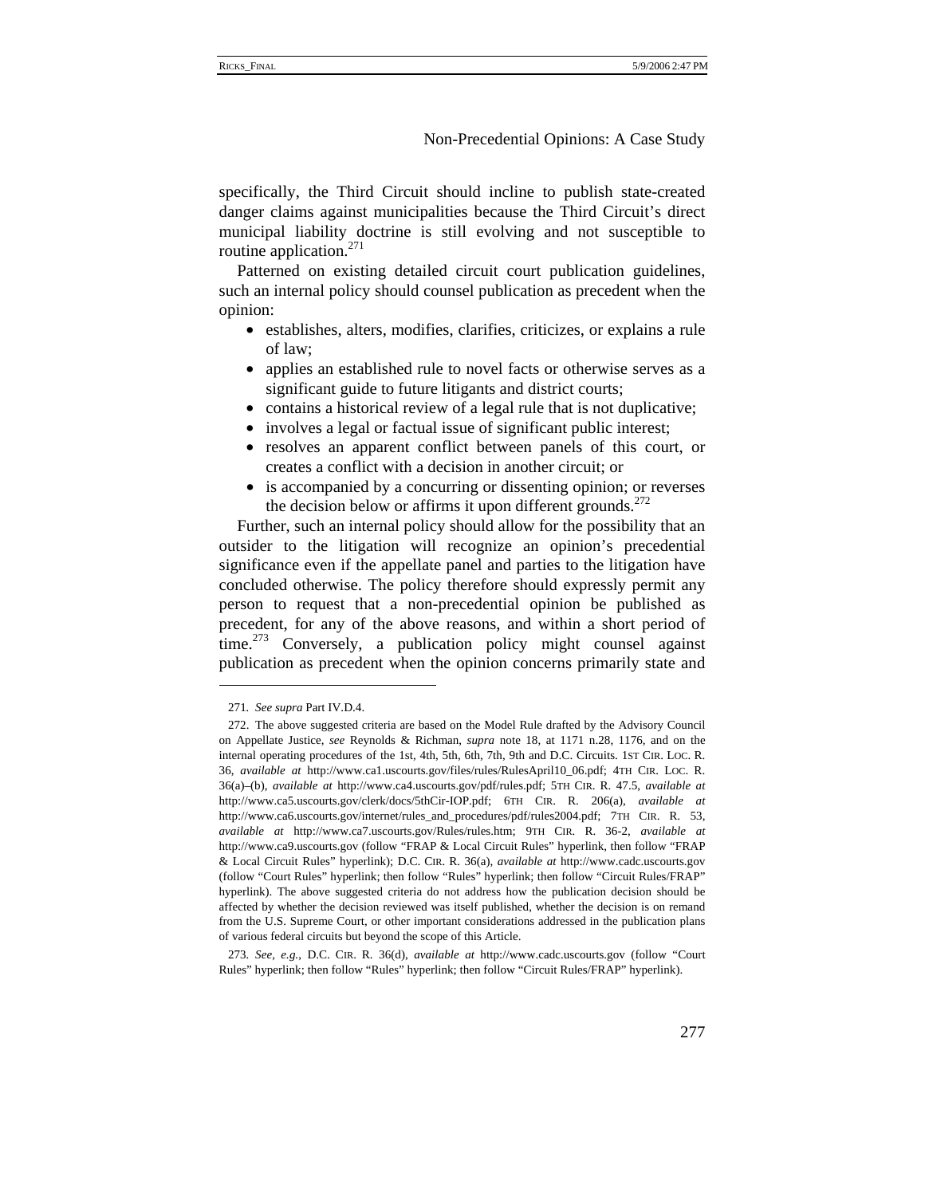specifically, the Third Circuit should incline to publish state-created danger claims against municipalities because the Third Circuit's direct municipal liability doctrine is still evolving and not susceptible to routine application. $271$ 

Patterned on existing detailed circuit court publication guidelines, such an internal policy should counsel publication as precedent when the opinion:

- establishes, alters, modifies, clarifies, criticizes, or explains a rule of law;
- applies an established rule to novel facts or otherwise serves as a significant guide to future litigants and district courts;
- contains a historical review of a legal rule that is not duplicative;
- involves a legal or factual issue of significant public interest;
- resolves an apparent conflict between panels of this court, or creates a conflict with a decision in another circuit; or
- is accompanied by a concurring or dissenting opinion; or reverses the decision below or affirms it upon different grounds.<sup>272</sup>

Further, such an internal policy should allow for the possibility that an outsider to the litigation will recognize an opinion's precedential significance even if the appellate panel and parties to the litigation have concluded otherwise. The policy therefore should expressly permit any person to request that a non-precedential opinion be published as precedent, for any of the above reasons, and within a short period of time.<sup>273</sup> Conversely, a publication policy might counsel against publication as precedent when the opinion concerns primarily state and

<sup>271</sup>*. See supra* Part IV.D.4.

<sup>272.</sup> The above suggested criteria are based on the Model Rule drafted by the Advisory Council on Appellate Justice, *see* Reynolds & Richman, *supra* note 18, at 1171 n.28, 1176, and on the internal operating procedures of the 1st, 4th, 5th, 6th, 7th, 9th and D.C. Circuits. 1ST CIR. LOC. R. 36, *available at* http://www.ca1.uscourts.gov/files/rules/RulesApril10\_06.pdf; 4TH CIR. LOC. R. 36(a)–(b), *available at* http://www.ca4.uscourts.gov/pdf/rules.pdf; 5TH CIR. R. 47.5, *available at* http://www.ca5.uscourts.gov/clerk/docs/5thCir-IOP.pdf; 6TH CIR. R. 206(a), *available at*  http://www.ca6.uscourts.gov/internet/rules\_and\_procedures/pdf/rules2004.pdf; 7TH CIR. R. 53, *available at* http://www.ca7.uscourts.gov/Rules/rules.htm; 9TH CIR. R. 36-2, *available at*  http://www.ca9.uscourts.gov (follow "FRAP & Local Circuit Rules" hyperlink, then follow "FRAP & Local Circuit Rules" hyperlink); D.C. CIR. R. 36(a), *available at* http://www.cadc.uscourts.gov (follow "Court Rules" hyperlink; then follow "Rules" hyperlink; then follow "Circuit Rules/FRAP" hyperlink). The above suggested criteria do not address how the publication decision should be affected by whether the decision reviewed was itself published, whether the decision is on remand from the U.S. Supreme Court, or other important considerations addressed in the publication plans of various federal circuits but beyond the scope of this Article.

<sup>273</sup>*. See, e.g.*, D.C. CIR. R. 36(d), *available at* http://www.cadc.uscourts.gov (follow "Court Rules" hyperlink; then follow "Rules" hyperlink; then follow "Circuit Rules/FRAP" hyperlink).